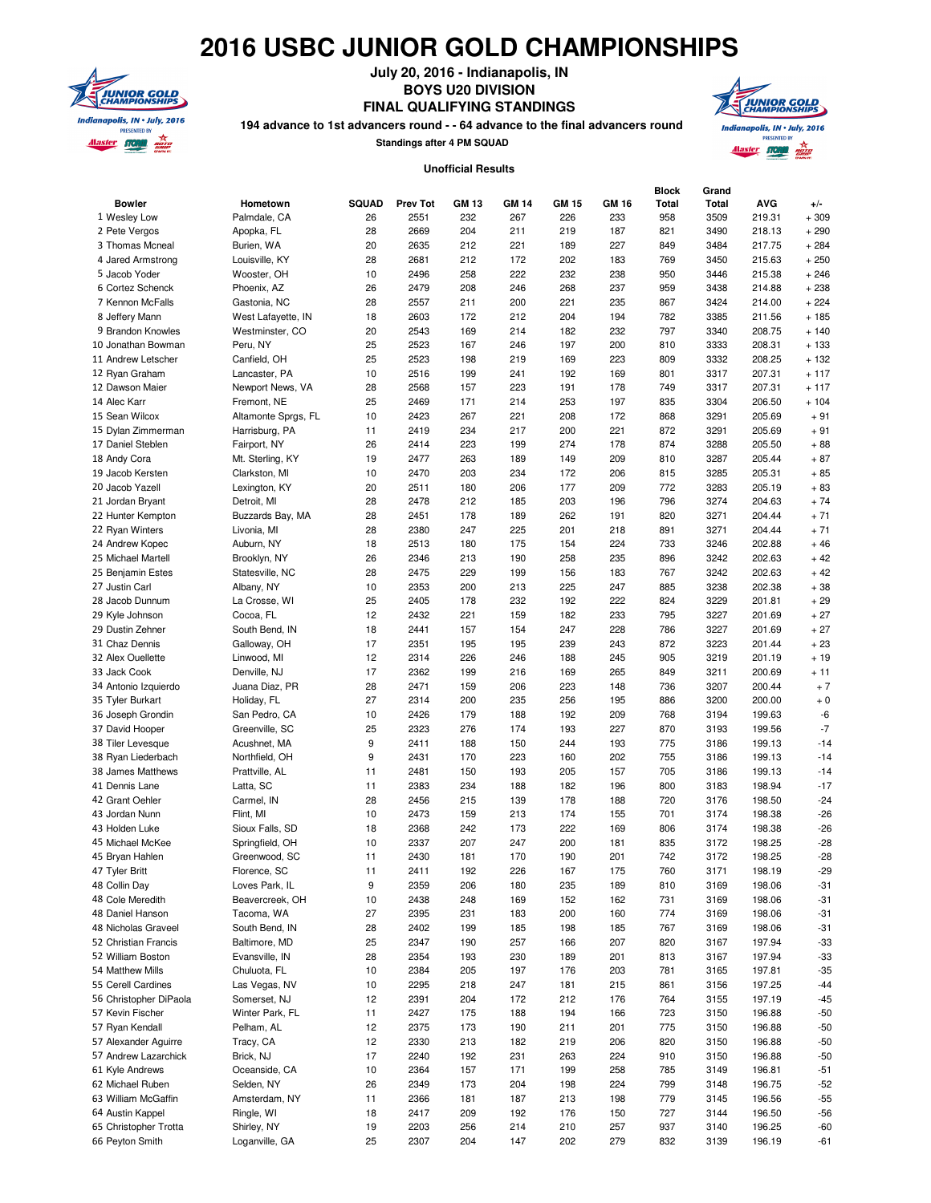## **2016 USBC JUNIOR GOLD CHAMPIONSHIPS**



**July 20, 2016 - Indianapolis, IN BOYS U20 DIVISION**

**FINAL QUALIFYING STANDINGS**

**194 advance to 1st advancers round - - 64 advance to the final advancers round**

**Standings after 4 PM SQUAD**



## **Unofficial Results**

| <b>Bowler</b><br>1 Wesley Low   | Hometown<br>Palmdale, CA       | <b>SQUAD</b><br>26 | <b>Prev Tot</b><br>2551 | <b>GM 13</b><br>232 | <b>GM 14</b><br>267 | <b>GM 15</b><br>226 | GM 16<br>233 | <b>Block</b><br>Total<br>958 | Grand<br>Total<br>3509 | <b>AVG</b><br>219.31 | $+/-$<br>$+309$ |
|---------------------------------|--------------------------------|--------------------|-------------------------|---------------------|---------------------|---------------------|--------------|------------------------------|------------------------|----------------------|-----------------|
| 2 Pete Vergos                   | Apopka, FL                     | 28                 | 2669                    | 204                 | 211                 | 219                 | 187          | 821                          | 3490                   | 218.13               | $+290$          |
| 3 Thomas Mcneal                 | Burien, WA                     | 20                 | 2635                    | 212                 | 221                 | 189                 | 227          | 849                          | 3484                   | 217.75               | $+284$          |
| 4 Jared Armstrong               | Louisville, KY                 | 28                 | 2681                    | 212                 | 172                 | 202                 | 183          | 769                          | 3450                   | 215.63               | $+250$          |
| 5 Jacob Yoder                   | Wooster, OH                    | 10                 | 2496                    | 258                 | 222                 | 232                 | 238          | 950                          | 3446                   | 215.38               | $+246$          |
| 6 Cortez Schenck                | Phoenix, AZ                    | 26                 | 2479                    | 208                 | 246                 | 268                 | 237          | 959                          | 3438                   | 214.88               | $+238$          |
| 7 Kennon McFalls                | Gastonia, NC                   | 28                 | 2557                    | 211                 | 200                 | 221                 | 235          | 867                          | 3424                   | 214.00               | $+224$          |
| 8 Jeffery Mann                  | West Lafayette, IN             | 18                 | 2603                    | 172                 | 212                 | 204                 | 194          | 782                          | 3385                   | 211.56               | $+185$          |
| 9 Brandon Knowles               | Westminster, CO                | 20                 | 2543                    | 169                 | 214                 | 182                 | 232          | 797                          | 3340                   | 208.75               | $+140$          |
| 10 Jonathan Bowman              | Peru, NY                       | 25                 | 2523                    | 167                 | 246                 | 197                 | 200          | 810                          | 3333                   | 208.31               | $+133$          |
| 11 Andrew Letscher              | Canfield, OH                   | 25                 | 2523                    | 198                 | 219                 | 169                 | 223          | 809                          | 3332                   | 208.25               | $+132$          |
| 12 Ryan Graham                  | Lancaster, PA                  | 10                 | 2516                    | 199                 | 241                 | 192                 | 169          | 801                          | 3317                   | 207.31               | $+117$          |
| 12 Dawson Maier                 | Newport News, VA               | 28                 | 2568                    | 157                 | 223                 | 191                 | 178          | 749                          | 3317                   | 207.31               | $+117$          |
| 14 Alec Karr                    | Fremont, NE                    | 25                 | 2469                    | 171                 | 214                 | 253                 | 197          | 835                          | 3304                   | 206.50               | $+104$          |
| 15 Sean Wilcox                  | Altamonte Sprgs, FL            | 10                 | 2423                    | 267                 | 221                 | 208                 | 172          | 868                          | 3291                   | 205.69               | $+91$           |
| 15 Dylan Zimmerman              | Harrisburg, PA                 | 11                 | 2419                    | 234                 | 217                 | 200                 | 221          | 872                          | 3291                   | 205.69               | $+91$           |
| 17 Daniel Steblen               | Fairport, NY                   | 26                 | 2414                    | 223                 | 199                 | 274                 | 178          | 874                          | 3288                   | 205.50               | $+88$           |
| 18 Andy Cora                    | Mt. Sterling, KY               | 19                 | 2477                    | 263                 | 189                 | 149                 | 209          | 810                          | 3287                   | 205.44               | $+87$           |
| 19 Jacob Kersten                | Clarkston, MI                  | 10                 | 2470                    | 203                 | 234                 | 172                 | 206          | 815                          | 3285                   | 205.31               | $+85$           |
| 20 Jacob Yazell                 | Lexington, KY                  | 20                 | 2511                    | 180                 | 206                 | 177                 | 209          | 772                          | 3283                   | 205.19               | $+83$           |
| 21 Jordan Bryant                | Detroit, MI                    | 28                 | 2478                    | 212                 | 185                 | 203                 | 196          | 796                          | 3274                   | 204.63               | $+74$           |
| 22 Hunter Kempton               | Buzzards Bay, MA               | 28                 | 2451                    | 178                 | 189                 | 262                 | 191          | 820                          | 3271                   | 204.44               | $+71$           |
| 22 Ryan Winters                 | Livonia, MI                    | 28                 | 2380                    | 247                 | 225                 | 201                 | 218          | 891                          | 3271                   | 204.44               | $+71$           |
| 24 Andrew Kopec                 | Auburn, NY                     | 18                 | 2513                    | 180                 | 175                 | 154                 | 224          | 733                          | 3246                   | 202.88               | $+46$           |
| 25 Michael Martell              | Brooklyn, NY                   | 26                 | 2346                    | 213                 | 190                 | 258                 | 235          | 896                          | 3242                   | 202.63               | $+42$           |
| 25 Benjamin Estes               | Statesville, NC                | 28                 | 2475                    | 229                 | 199                 | 156                 | 183          | 767                          | 3242                   | 202.63               | $+42$           |
| 27 Justin Carl                  | Albany, NY                     | 10                 | 2353                    | 200                 | 213                 | 225                 | 247          | 885                          | 3238                   | 202.38               | $+38$           |
| 28 Jacob Dunnum                 | La Crosse, WI                  | 25                 | 2405                    | 178                 | 232                 | 192                 | 222          | 824                          | 3229                   | 201.81               | $+29$           |
| 29 Kyle Johnson                 | Cocoa, FL                      | 12                 | 2432                    | 221                 | 159                 | 182                 | 233          | 795                          | 3227                   | 201.69               | $+27$           |
| 29 Dustin Zehner                | South Bend, IN                 | 18                 | 2441                    | 157                 | 154                 | 247                 | 228          | 786                          | 3227                   | 201.69               | $+27$           |
| 31 Chaz Dennis                  | Galloway, OH                   | 17                 | 2351                    | 195                 | 195                 | 239                 | 243          | 872                          | 3223                   | 201.44               | $+23$           |
| 32 Alex Ouellette               | Linwood, MI                    | 12                 | 2314                    | 226                 | 246                 | 188                 | 245          | 905                          | 3219                   | 201.19               | $+19$           |
| 33 Jack Cook                    | Denville, NJ                   | 17                 | 2362                    | 199                 | 216                 | 169                 | 265          | 849                          | 3211                   | 200.69               | $+11$           |
| 34 Antonio Izquierdo            | Juana Diaz, PR                 | 28                 | 2471                    | 159                 | 206                 | 223                 | 148          | 736                          | 3207                   | 200.44               | $+7$            |
| 35 Tyler Burkart                | Holiday, FL                    | 27                 | 2314                    | 200                 | 235                 | 256                 | 195          | 886                          | 3200                   | 200.00               | $+0$            |
| 36 Joseph Grondin               | San Pedro, CA                  | 10                 | 2426                    | 179                 | 188                 | 192                 | 209          | 768                          | 3194                   | 199.63               | -6              |
| 37 David Hooper                 | Greenville, SC                 | 25                 | 2323                    | 276                 | 174                 | 193                 | 227          | 870                          | 3193                   | 199.56               | $-7$            |
| 38 Tiler Levesque               | Acushnet, MA                   | 9                  | 2411                    | 188                 | 150                 | 244                 | 193          | 775                          | 3186                   | 199.13               | $-14$           |
| 38 Ryan Liederbach              | Northfield, OH                 | 9                  | 2431                    | 170                 | 223                 | 160                 | 202          | 755                          | 3186                   | 199.13               | $-14$           |
| 38 James Matthews               | Prattville, AL                 | 11                 | 2481                    | 150                 | 193                 | 205                 | 157          | 705                          | 3186                   | 199.13               | $-14$           |
| 41 Dennis Lane                  | Latta, SC                      | 11                 | 2383                    | 234                 | 188                 | 182                 | 196          | 800                          | 3183                   | 198.94               | $-17$           |
| 42 Grant Oehler                 | Carmel, IN                     | 28                 | 2456                    | 215                 | 139                 | 178                 | 188          | 720                          | 3176                   | 198.50               | $-24$           |
| 43 Jordan Nunn                  | Flint, MI                      | 10                 | 2473                    | 159                 | 213                 | 174                 | 155          | 701                          | 3174                   | 198.38               | $-26$           |
| 43 Holden Luke                  | Sioux Falls, SD                | 18                 | 2368                    | 242                 | 173                 | 222                 | 169          | 806                          | 3174                   | 198.38               | $-26$           |
| 45 Michael McKee                | Springfield, OH                | 10                 | 2337                    | 207                 | 247                 | 200                 | 181          | 835                          | 3172                   | 198.25               | $-28$           |
| 45 Bryan Hahlen                 | Greenwood, SC                  | 11                 | 2430                    | 181                 | 170                 | 190                 | 201          | 742                          | 3172                   | 198.25               | $-28$           |
|                                 |                                |                    |                         |                     |                     |                     |              |                              |                        |                      |                 |
| 47 Tyler Britt<br>48 Collin Day | Florence, SC<br>Loves Park, IL | 11<br>9            | 2411<br>2359            | 192<br>206          | 226<br>180          | 167<br>235          | 175<br>189   | 760<br>810                   | 3171<br>3169           | 198.19<br>198.06     | -29<br>$-31$    |
| 48 Cole Meredith                | Beavercreek, OH                | 10                 | 2438                    | 248                 | 169                 | 152                 | 162          | 731                          | 3169                   | 198.06               | $-31$           |
| 48 Daniel Hanson                | Tacoma, WA                     | 27                 | 2395                    | 231                 | 183                 | 200                 | 160          | 774                          | 3169                   | 198.06               | $-31$           |
| 48 Nicholas Graveel             | South Bend, IN                 | 28                 | 2402                    | 199                 | 185                 | 198                 | 185          | 767                          | 3169                   | 198.06               | $-31$           |
| 52 Christian Francis            | Baltimore, MD                  | 25                 | 2347                    | 190                 | 257                 | 166                 | 207          | 820                          | 3167                   | 197.94               | $-33$           |
| 52 William Boston               | Evansville, IN                 | 28                 | 2354                    | 193                 | 230                 | 189                 | 201          | 813                          | 3167                   | 197.94               | $-33$           |
| 54 Matthew Mills                | Chuluota, FL                   | 10                 | 2384                    | 205                 | 197                 | 176                 | 203          | 781                          | 3165                   | 197.81               |                 |
| 55 Cerell Cardines              |                                |                    | 2295                    |                     |                     |                     |              |                              |                        | 197.25               | $-35$           |
| 56 Christopher DiPaola          | Las Vegas, NV<br>Somerset, NJ  | 10<br>12           | 2391                    | 218<br>204          | 247<br>172          | 181<br>212          | 215<br>176   | 861<br>764                   | 3156<br>3155           | 197.19               | $-44$           |
| 57 Kevin Fischer                |                                |                    | 2427                    |                     |                     |                     |              |                              |                        |                      | -45             |
|                                 | Winter Park, FL                | 11<br>12           | 2375                    | 175                 | 188                 | 194<br>211          | 166          | 723<br>775                   | 3150                   | 196.88<br>196.88     | $-50$           |
| 57 Ryan Kendall                 | Pelham, AL                     |                    |                         | 173                 | 190                 |                     | 201          | 820                          | 3150                   | 196.88               | $-50$           |
| 57 Alexander Aguirre            | Tracy, CA<br>Brick, NJ         | 12                 | 2330                    | 213                 | 182                 | 219                 | 206          |                              | 3150                   |                      | $-50$           |
| 57 Andrew Lazarchick            |                                | 17                 | 2240                    | 192                 | 231                 | 263                 | 224          | 910                          | 3150                   | 196.88               | $-50$           |
| 61 Kyle Andrews                 | Oceanside, CA                  | 10                 | 2364                    | 157                 | 171                 | 199                 | 258          | 785                          | 3149                   | 196.81               | $-51$           |
| 62 Michael Ruben                | Selden, NY                     | 26                 | 2349                    | 173                 | 204                 | 198                 | 224          | 799                          | 3148                   | 196.75               | $-52$           |
| 63 William McGaffin             | Amsterdam, NY                  | 11                 | 2366                    | 181                 | 187                 | 213                 | 198          | 779                          | 3145                   | 196.56               | $-55$           |
| 64 Austin Kappel                | Ringle, WI                     | 18                 | 2417                    | 209                 | 192                 | 176                 | 150          | 727                          | 3144                   | 196.50               | -56             |
| 65 Christopher Trotta           | Shirley, NY                    | 19                 | 2203                    | 256                 | 214                 | 210                 | 257          | 937                          | 3140                   | 196.25               | -60             |
| 66 Peyton Smith                 | Loganville, GA                 | 25                 | 2307                    | 204                 | 147                 | 202                 | 279          | 832                          | 3139                   | 196.19               | -61             |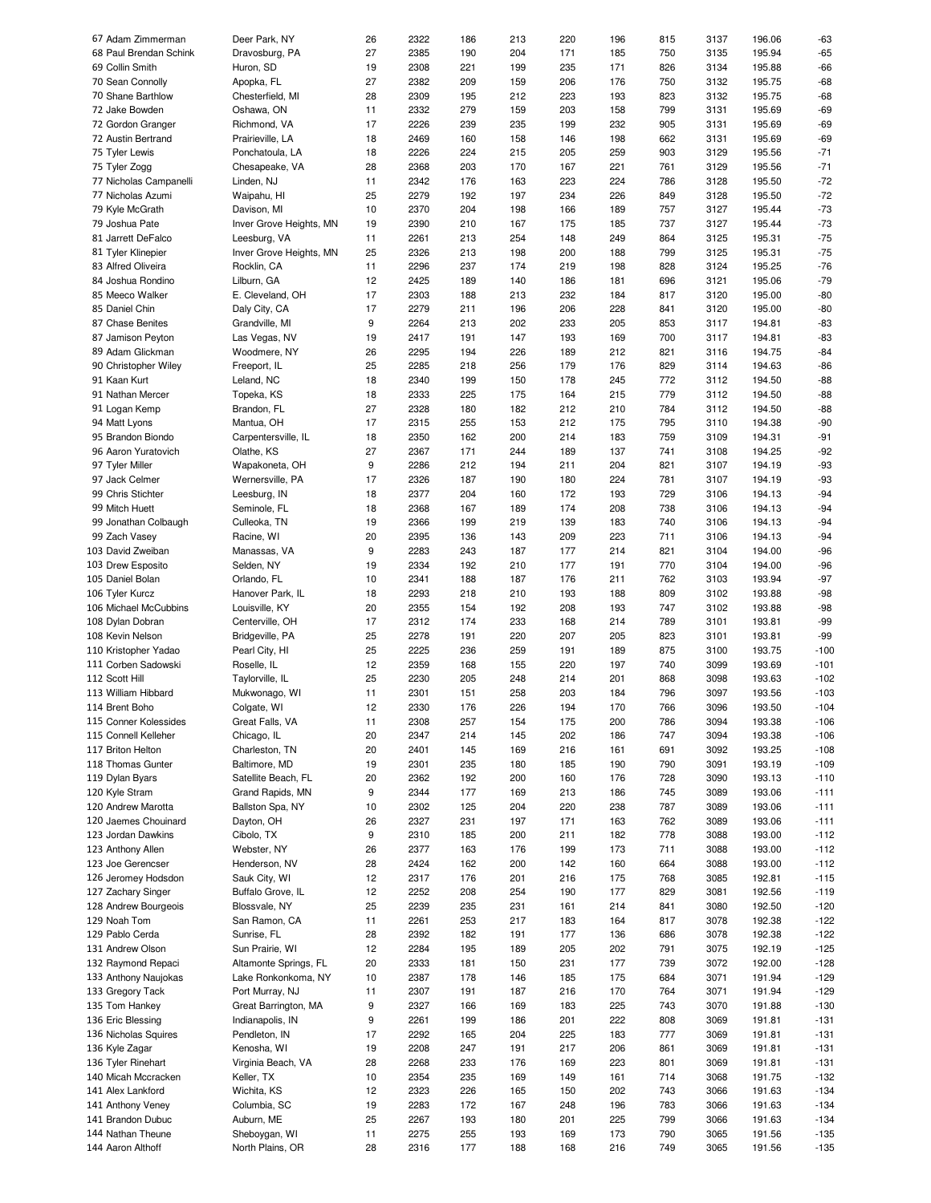| 67 Adam Zimmerman                                                                                                                                                      | Deer Park, NY                     | 26       | 2322         | 186        | 213        | 220        | 196        | 815        | 3137         | 196.06           | -63              |
|------------------------------------------------------------------------------------------------------------------------------------------------------------------------|-----------------------------------|----------|--------------|------------|------------|------------|------------|------------|--------------|------------------|------------------|
| 68 Paul Brendan Schink                                                                                                                                                 | Dravosburg, PA                    | 27       | 2385         | 190        | 204        | 171        | 185        | 750        | 3135         | 195.94           | $-65$            |
| 69 Collin Smith                                                                                                                                                        | Huron, SD                         | 19       | 2308         | 221        | 199        | 235        | 171        | 826        | 3134         | 195.88           | $-66$            |
|                                                                                                                                                                        |                                   |          |              |            |            |            |            |            |              |                  |                  |
| 70 Sean Connolly                                                                                                                                                       | Apopka, FL                        | 27       | 2382         | 209        | 159        | 206        | 176        | 750        | 3132         | 195.75           | $-68$            |
| 70 Shane Barthlow                                                                                                                                                      | Chesterfield, MI                  | 28       | 2309         | 195        | 212        | 223        | 193        | 823        | 3132         | 195.75           | $-68$            |
| 72 Jake Bowden                                                                                                                                                         | Oshawa, ON                        | 11       | 2332         | 279        | 159        | 203        | 158        | 799        | 3131         | 195.69           | $-69$            |
|                                                                                                                                                                        |                                   |          |              |            |            |            |            |            |              |                  |                  |
| 72 Gordon Granger                                                                                                                                                      | Richmond, VA                      | 17       | 2226         | 239        | 235        | 199        | 232        | 905        | 3131         | 195.69           | $-69$            |
| 72 Austin Bertrand                                                                                                                                                     | Prairieville, LA                  | 18       | 2469         | 160        | 158        | 146        | 198        | 662        | 3131         | 195.69           | $-69$            |
| 75 Tyler Lewis                                                                                                                                                         | Ponchatoula, LA                   | 18       | 2226         | 224        | 215        | 205        | 259        | 903        | 3129         | 195.56           | $-71$            |
| 75 Tyler Zogg                                                                                                                                                          | Chesapeake, VA                    | 28       | 2368         | 203        | 170        | 167        | 221        | 761        | 3129         | 195.56           | $-71$            |
|                                                                                                                                                                        |                                   |          |              |            |            |            |            |            |              |                  |                  |
| 77 Nicholas Campanelli                                                                                                                                                 | Linden, NJ                        | 11       | 2342         | 176        | 163        | 223        | 224        | 786        | 3128         | 195.50           | $-72$            |
| 77 Nicholas Azumi                                                                                                                                                      | Waipahu, HI                       | 25       | 2279         | 192        | 197        | 234        | 226        | 849        | 3128         | 195.50           | $-72$            |
| 79 Kyle McGrath                                                                                                                                                        | Davison, MI                       | 10       | 2370         | 204        | 198        | 166        | 189        | 757        | 3127         | 195.44           | $-73$            |
|                                                                                                                                                                        |                                   |          |              |            |            |            |            |            |              |                  |                  |
| 79 Joshua Pate                                                                                                                                                         | Inver Grove Heights, MN           | 19       | 2390         | 210        | 167        | 175        | 185        | 737        | 3127         | 195.44           | $-73$            |
| 81 Jarrett DeFalco                                                                                                                                                     | Leesburg, VA                      | 11       | 2261         | 213        | 254        | 148        | 249        | 864        | 3125         | 195.31           | $-75$            |
| 81 Tyler Klinepier                                                                                                                                                     | Inver Grove Heights, MN           | 25       | 2326         | 213        | 198        | 200        | 188        | 799        | 3125         | 195.31           | $-75$            |
| 83 Alfred Oliveira                                                                                                                                                     | Rocklin, CA                       | 11       | 2296         | 237        | 174        | 219        | 198        | 828        | 3124         | 195.25           | $-76$            |
|                                                                                                                                                                        |                                   |          |              |            |            |            |            |            |              |                  |                  |
| 84 Joshua Rondino                                                                                                                                                      | Lilburn, GA                       | 12       | 2425         | 189        | 140        | 186        | 181        | 696        | 3121         | 195.06           | $-79$            |
| 85 Meeco Walker                                                                                                                                                        | E. Cleveland, OH                  | 17       | 2303         | 188        | 213        | 232        | 184        | 817        | 3120         | 195.00           | $-80$            |
| 85 Daniel Chin                                                                                                                                                         | Daly City, CA                     | 17       | 2279         | 211        | 196        | 206        | 228        | 841        | 3120         | 195.00           | $-80$            |
|                                                                                                                                                                        |                                   |          |              |            |            |            |            |            |              |                  |                  |
| 87 Chase Benites                                                                                                                                                       | Grandville, MI                    | 9        | 2264         | 213        | 202        | 233        | 205        | 853        | 3117         | 194.81           | $-83$            |
| 87 Jamison Peyton                                                                                                                                                      | Las Vegas, NV                     | 19       | 2417         | 191        | 147        | 193        | 169        | 700        | 3117         | 194.81           | $-83$            |
| 89 Adam Glickman                                                                                                                                                       | Woodmere, NY                      | 26       | 2295         | 194        | 226        | 189        | 212        | 821        | 3116         | 194.75           | $-84$            |
|                                                                                                                                                                        |                                   |          |              |            |            |            |            |            |              |                  |                  |
| 90 Christopher Wiley                                                                                                                                                   | Freeport, IL                      | 25       | 2285         | 218        | 256        | 179        | 176        | 829        | 3114         | 194.63           | $-86$            |
| 91 Kaan Kurt                                                                                                                                                           | Leland, NC                        | 18       | 2340         | 199        | 150        | 178        | 245        | 772        | 3112         | 194.50           | $-88$            |
| 91 Nathan Mercer                                                                                                                                                       | Topeka, KS                        | 18       | 2333         | 225        | 175        | 164        | 215        | 779        | 3112         | 194.50           | $-88$            |
|                                                                                                                                                                        | Brandon, FL                       | 27       | 2328         | 180        | 182        | 212        | 210        | 784        | 3112         | 194.50           | $-88$            |
| 91 Logan Kemp                                                                                                                                                          |                                   |          |              |            |            |            |            |            |              |                  |                  |
| 94 Matt Lyons                                                                                                                                                          | Mantua, OH                        | 17       | 2315         | 255        | 153        | 212        | 175        | 795        | 3110         | 194.38           | $-90$            |
| 95 Brandon Biondo                                                                                                                                                      | Carpentersville, IL               | 18       | 2350         | 162        | 200        | 214        | 183        | 759        | 3109         | 194.31           | $-91$            |
| 96 Aaron Yuratovich                                                                                                                                                    | Olathe, KS                        | 27       | 2367         | 171        | 244        | 189        | 137        | 741        | 3108         | 194.25           | $-92$            |
|                                                                                                                                                                        |                                   |          |              |            |            |            |            |            |              |                  |                  |
| 97 Tyler Miller                                                                                                                                                        | Wapakoneta, OH                    | 9        | 2286         | 212        | 194        | 211        | 204        | 821        | 3107         | 194.19           | $-93$            |
| 97 Jack Celmer                                                                                                                                                         | Wernersville, PA                  | 17       | 2326         | 187        | 190        | 180        | 224        | 781        | 3107         | 194.19           | $-93$            |
| 99 Chris Stichter                                                                                                                                                      | Leesburg, IN                      | 18       | 2377         | 204        | 160        | 172        | 193        | 729        | 3106         | 194.13           | $-94$            |
|                                                                                                                                                                        |                                   | 18       | 2368         |            |            |            |            | 738        |              | 194.13           | $-94$            |
| 99 Mitch Huett                                                                                                                                                         | Seminole, FL                      |          |              | 167        | 189        | 174        | 208        |            | 3106         |                  |                  |
| 99 Jonathan Colbaugh                                                                                                                                                   | Culleoka, TN                      | 19       | 2366         | 199        | 219        | 139        | 183        | 740        | 3106         | 194.13           | $-94$            |
| 99 Zach Vasey                                                                                                                                                          | Racine, WI                        | 20       | 2395         | 136        | 143        | 209        | 223        | 711        | 3106         | 194.13           | $-94$            |
| 103 David Zweiban                                                                                                                                                      | Manassas, VA                      | 9        | 2283         | 243        | 187        | 177        | 214        | 821        | 3104         | 194.00           | $-96$            |
|                                                                                                                                                                        |                                   |          |              |            |            |            |            |            |              |                  |                  |
| 103 Drew Esposito                                                                                                                                                      | Selden, NY                        | 19       | 2334         | 192        | 210        | 177        | 191        | 770        | 3104         | 194.00           | $-96$            |
| 105 Daniel Bolan                                                                                                                                                       | Orlando, FL                       | 10       | 2341         | 188        | 187        | 176        | 211        | 762        | 3103         | 193.94           | $-97$            |
| 106 Tyler Kurcz                                                                                                                                                        | Hanover Park, IL                  | 18       | 2293         | 218        | 210        | 193        | 188        | 809        | 3102         | 193.88           | $-98$            |
|                                                                                                                                                                        |                                   |          |              |            |            |            |            | 747        |              |                  |                  |
| 106 Michael McCubbins                                                                                                                                                  | Louisville, KY                    | 20       | 2355         | 154        | 192        | 208        | 193        |            | 3102         | 193.88           | $-98$            |
| 108 Dylan Dobran                                                                                                                                                       | Centerville, OH                   | 17       | 2312         | 174        | 233        | 168        | 214        | 789        | 3101         | 193.81           | $-99$            |
| 108 Kevin Nelson                                                                                                                                                       | Bridgeville, PA                   | 25       | 2278         | 191        | 220        | 207        | 205        | 823        | 3101         | 193.81           | $-99$            |
| 110 Kristopher Yadao                                                                                                                                                   |                                   | 25       | 2225         | 236        | 259        | 191        | 189        | 875        | 3100         | 193.75           | $-100$           |
|                                                                                                                                                                        | Pearl City, HI                    |          |              |            |            |            |            |            |              |                  |                  |
| 111 Corben Sadowski                                                                                                                                                    | Roselle, IL                       | 12       | 2359         | 168        | 155        | 220        | 197        | 740        | 3099         | 193.69           | $-101$           |
| 112 Scott Hill                                                                                                                                                         | Taylorville, IL                   | 25       | 2230         | 205        | 248        | 214        | 201        | 868        | 3098         | 193.63           | $-102$           |
| 113 William Hibbard                                                                                                                                                    | Mukwonago, WI                     | 11       | 2301         | 151        | 258        | 203        | 184        | 796        | 3097         | 193.56           | $-103$           |
|                                                                                                                                                                        |                                   |          |              |            |            |            |            |            |              |                  |                  |
| 114 Brent Boho                                                                                                                                                         | Colgate, WI                       | 12       | 2330         | 176        | 226        | 194        | 170        | 766        | 3096         | 193.50           | $-104$           |
| 115 Conner Kolessides                                                                                                                                                  | Great Falls, VA                   | 11       | 2308         | 257        | 154        | 175        | 200        | 786        | 3094         | 193.38           | $-106$           |
| 115 Connell Kelleher                                                                                                                                                   | Chicago, IL                       | 20       | 2347         | 214        | 145        | 202        | 186        | 747        | 3094         | 193.38           | $-106$           |
| 117 Briton Helton                                                                                                                                                      | Charleston, TN                    | 20       | 2401         | 145        | 169        | 216        | 161        | 691        | 3092         | 193.25           | $-108$           |
|                                                                                                                                                                        |                                   |          |              |            |            |            |            |            |              |                  |                  |
| 118 Thomas Gunter                                                                                                                                                      | Baltimore, MD                     | 19       | 2301         | 235        | 180        | 185        | 190        | 790        | 3091         | 193.19           | $-109$           |
| 119 Dylan Byars                                                                                                                                                        | Satellite Beach, FL               | 20       | 2362         | 192        | 200        | 160        | 176        | 728        | 3090         | 193.13           | $-110$           |
| 120 Kyle Stram                                                                                                                                                         | Grand Rapids, MN                  | 9        | 2344         | 177        | 169        | 213        | 186        | 745        | 3089         | 193.06           | $-111$           |
|                                                                                                                                                                        |                                   |          |              |            |            |            |            |            |              |                  |                  |
| 120 Andrew Marotta                                                                                                                                                     | Ballston Spa, NY                  | 10       | 2302         | 125        | 204        | 220        | 238        | 787        | 3089         | 193.06           | $-111$           |
| 120 Jaemes Chouinard                                                                                                                                                   | Dayton, OH                        | 26       | 2327         | 231        | 197        | 171        | 163        | 762        | 3089         | 193.06           | $-111$           |
| 123 Jordan Dawkins                                                                                                                                                     | Cibolo, TX                        | 9        | 2310         | 185        | 200        | 211        | 182        | 778        | 3088         | 193.00           | $-112$           |
|                                                                                                                                                                        |                                   |          |              |            |            |            |            |            |              |                  |                  |
| 123 Anthony Allen                                                                                                                                                      | Webster, NY                       | 26       | 2377         | 163        | 176        | 199        | 173        | 711        | 3088         | 193.00           | $-112$           |
| 123 Joe Gerencser                                                                                                                                                      | Henderson, NV                     | 28       | 2424         | 162        | 200        | 142        | 160        | 664        | 3088         | 193.00           | $-112$           |
| 126 Jeromey Hodsdon                                                                                                                                                    | Sauk City, WI                     | 12       | 2317         | 176        | 201        | 216        | 175        | 768        | 3085         | 192.81           | $-115$           |
| 127 Zachary Singer                                                                                                                                                     | Buffalo Grove, IL                 | 12       | 2252         | 208        | 254        | 190        | 177        | 829        | 3081         | 192.56           | $-119$           |
|                                                                                                                                                                        |                                   |          |              |            |            |            |            |            |              |                  |                  |
| 128 Andrew Bourgeois                                                                                                                                                   | Blossvale, NY                     | 25       | 2239         | 235        | 231        | 161        | 214        | 841        | 3080         | 192.50           | $-120$           |
| 129 Noah Tom                                                                                                                                                           | San Ramon, CA                     | 11       | 2261         | 253        | 217        | 183        | 164        | 817        | 3078         | 192.38           | $-122$           |
| 129 Pablo Cerda                                                                                                                                                        | Sunrise, FL                       | 28       | 2392         | 182        | 191        | 177        | 136        | 686        | 3078         | 192.38           | $-122$           |
|                                                                                                                                                                        |                                   |          |              |            |            |            |            |            |              |                  |                  |
| 131 Andrew Olson                                                                                                                                                       | Sun Prairie, WI                   | 12       | 2284         | 195        | 189        | 205        | 202        | 791        | 3075         | 192.19           | $-125$           |
| 132 Raymond Repaci                                                                                                                                                     | Altamonte Springs, FL             | 20       | 2333         | 181        | 150        | 231        | 177        | 739        | 3072         | 192.00           | $-128$           |
|                                                                                                                                                                        |                                   | 10       | 2387         | 178        | 146        | 185        | 175        | 684        | 3071         | 191.94           | $-129$           |
|                                                                                                                                                                        |                                   |          |              |            |            |            |            |            |              |                  |                  |
|                                                                                                                                                                        | Lake Ronkonkoma, NY               |          |              | 191        | 187        | 216        | 170        | 764        | 3071         | 191.94           | $-129$           |
|                                                                                                                                                                        | Port Murray, NJ                   | 11       | 2307         |            |            |            |            |            |              |                  |                  |
|                                                                                                                                                                        | Great Barrington, MA              | 9        | 2327         | 166        | 169        | 183        | 225        | 743        | 3070         | 191.88           |                  |
|                                                                                                                                                                        |                                   |          |              |            |            |            |            |            |              |                  |                  |
|                                                                                                                                                                        | Indianapolis, IN                  | 9        | 2261         | 199        | 186        | 201        | 222        | 808        | 3069         | 191.81           | $-130$<br>$-131$ |
|                                                                                                                                                                        | Pendleton, IN                     | 17       | 2292         | 165        | 204        | 225        | 183        | 777        | 3069         | 191.81           | $-131$           |
|                                                                                                                                                                        | Kenosha, WI                       | 19       | 2208         | 247        | 191        | 217        | 206        | 861        | 3069         | 191.81           | $-131$           |
|                                                                                                                                                                        |                                   |          |              |            |            |            |            |            |              |                  |                  |
|                                                                                                                                                                        | Virginia Beach, VA                | 28       | 2268         | 233        | 176        | 169        | 223        | 801        | 3069         | 191.81           | $-131$           |
| 133 Anthony Naujokas<br>133 Gregory Tack<br>135 Tom Hankey<br>136 Eric Blessing<br>136 Nicholas Squires<br>136 Kyle Zagar<br>136 Tyler Rinehart<br>140 Micah Mccracken | Keller, TX                        | 10       | 2354         | 235        | 169        | 149        | 161        | 714        | 3068         | 191.75           | $-132$           |
|                                                                                                                                                                        | Wichita, KS                       | 12       | 2323         | 226        | 165        | 150        | 202        | 743        | 3066         | 191.63           | $-134$           |
|                                                                                                                                                                        | Columbia, SC                      | 19       | 2283         | 172        | 167        | 248        | 196        | 783        | 3066         | 191.63           | $-134$           |
| 141 Alex Lankford<br>141 Anthony Veney                                                                                                                                 |                                   |          |              |            |            |            |            |            |              |                  |                  |
| 141 Brandon Dubuc                                                                                                                                                      | Auburn, ME                        | 25       | 2267         | 193        | 180        | 201        | 225        | 799        | 3066         | 191.63           | $-134$           |
| 144 Nathan Theune<br>144 Aaron Althoff                                                                                                                                 | Sheboygan, WI<br>North Plains, OR | 11<br>28 | 2275<br>2316 | 255<br>177 | 193<br>188 | 169<br>168 | 173<br>216 | 790<br>749 | 3065<br>3065 | 191.56<br>191.56 | $-135$<br>$-135$ |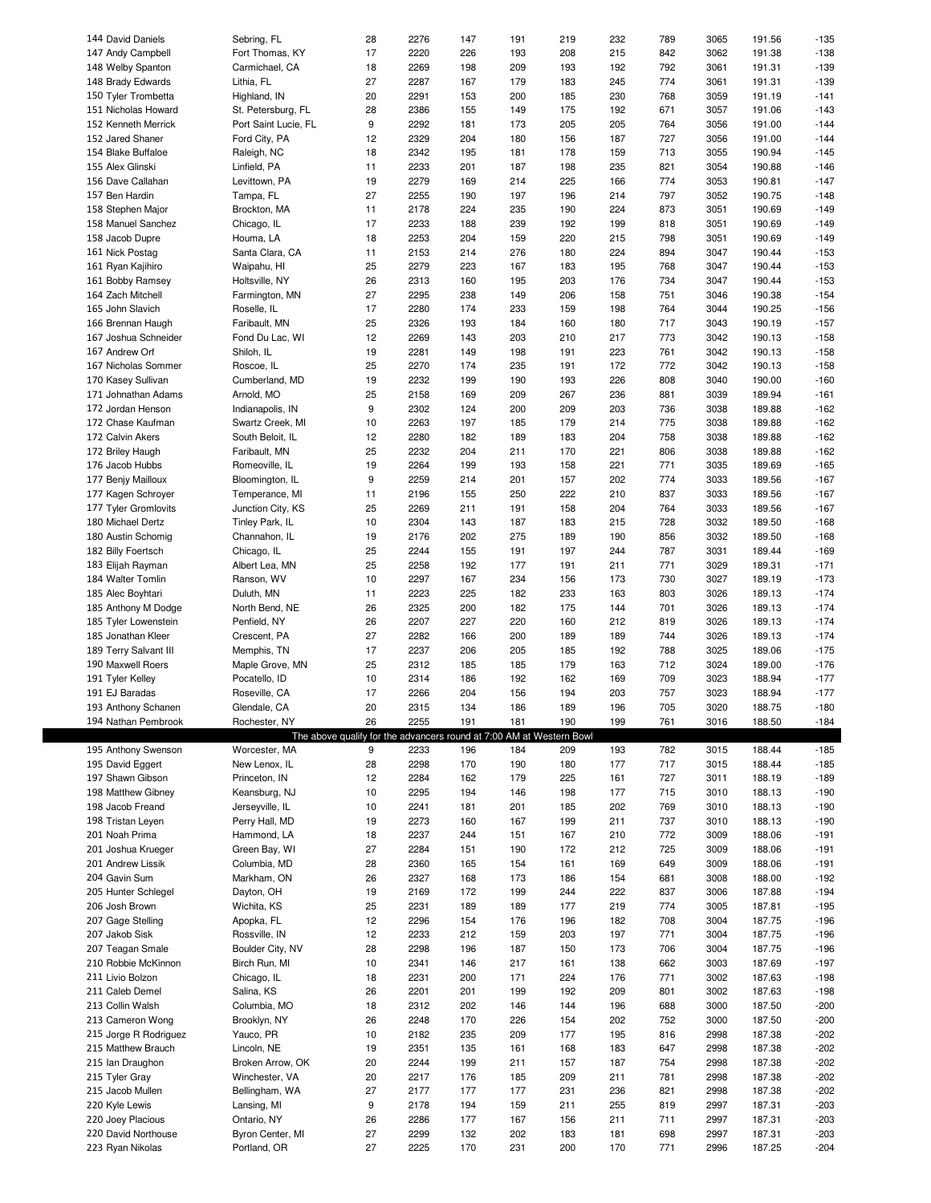| 144 David Daniels     | Sebring, FL                                                          | 28       | 2276 | 147 | 191 | 219 | 232 | 789 | 3065 | 191.56 | $-135$           |
|-----------------------|----------------------------------------------------------------------|----------|------|-----|-----|-----|-----|-----|------|--------|------------------|
| 147 Andy Campbell     | Fort Thomas, KY                                                      | 17       | 2220 | 226 | 193 | 208 | 215 | 842 | 3062 | 191.38 | $-138$           |
|                       |                                                                      |          |      |     |     |     |     |     |      |        |                  |
| 148 Welby Spanton     | Carmichael, CA                                                       | 18       | 2269 | 198 | 209 | 193 | 192 | 792 | 3061 | 191.31 | $-139$           |
| 148 Brady Edwards     | Lithia, FL                                                           | 27       | 2287 | 167 | 179 | 183 | 245 | 774 | 3061 | 191.31 | $-139$           |
| 150 Tyler Trombetta   | Highland, IN                                                         | 20       | 2291 | 153 | 200 | 185 | 230 | 768 | 3059 | 191.19 | $-141$           |
| 151 Nicholas Howard   | St. Petersburg, FL                                                   | 28       | 2386 | 155 | 149 | 175 | 192 | 671 | 3057 | 191.06 | $-143$           |
|                       |                                                                      |          |      |     |     |     |     |     |      |        |                  |
| 152 Kenneth Merrick   | Port Saint Lucie, FL                                                 | 9        | 2292 | 181 | 173 | 205 | 205 | 764 | 3056 | 191.00 | $-144$           |
| 152 Jared Shaner      | Ford City, PA                                                        | 12       | 2329 | 204 | 180 | 156 | 187 | 727 | 3056 | 191.00 | $-144$           |
| 154 Blake Buffaloe    | Raleigh, NC                                                          | 18       | 2342 | 195 | 181 | 178 | 159 | 713 | 3055 | 190.94 | $-145$           |
| 155 Alex Glinski      | Linfield, PA                                                         | 11       | 2233 | 201 | 187 | 198 | 235 | 821 | 3054 | 190.88 | $-146$           |
|                       |                                                                      | 19       |      |     | 214 | 225 |     | 774 |      |        | $-147$           |
| 156 Dave Callahan     | Levittown, PA                                                        |          | 2279 | 169 |     |     | 166 |     | 3053 | 190.81 |                  |
| 157 Ben Hardin        | Tampa, FL                                                            | 27       | 2255 | 190 | 197 | 196 | 214 | 797 | 3052 | 190.75 | $-148$           |
| 158 Stephen Major     | Brockton, MA                                                         | 11       | 2178 | 224 | 235 | 190 | 224 | 873 | 3051 | 190.69 | $-149$           |
| 158 Manuel Sanchez    | Chicago, IL                                                          | 17       | 2233 | 188 | 239 | 192 | 199 | 818 | 3051 | 190.69 | $-149$           |
|                       |                                                                      |          | 2253 | 204 |     | 220 |     | 798 | 3051 | 190.69 | $-149$           |
| 158 Jacob Dupre       | Houma, LA                                                            | 18       |      |     | 159 |     | 215 |     |      |        |                  |
| 161 Nick Postag       | Santa Clara, CA                                                      | 11       | 2153 | 214 | 276 | 180 | 224 | 894 | 3047 | 190.44 | $-153$           |
| 161 Ryan Kajihiro     | Waipahu, HI                                                          | 25       | 2279 | 223 | 167 | 183 | 195 | 768 | 3047 | 190.44 | $-153$           |
| 161 Bobby Ramsey      | Holtsville, NY                                                       | 26       | 2313 | 160 | 195 | 203 | 176 | 734 | 3047 | 190.44 | $-153$           |
|                       |                                                                      | 27       | 2295 | 238 |     | 206 |     |     |      |        | $-154$           |
| 164 Zach Mitchell     | Farmington, MN                                                       |          |      |     | 149 |     | 158 | 751 | 3046 | 190.38 |                  |
| 165 John Slavich      | Roselle, IL                                                          | 17       | 2280 | 174 | 233 | 159 | 198 | 764 | 3044 | 190.25 | $-156$           |
| 166 Brennan Haugh     | Faribault, MN                                                        | 25       | 2326 | 193 | 184 | 160 | 180 | 717 | 3043 | 190.19 | $-157$           |
| 167 Joshua Schneider  | Fond Du Lac, WI                                                      | 12       | 2269 | 143 | 203 | 210 | 217 | 773 | 3042 | 190.13 | $-158$           |
| 167 Andrew Orf        |                                                                      |          | 2281 |     |     |     |     |     | 3042 | 190.13 | $-158$           |
|                       | Shiloh, IL                                                           | 19       |      | 149 | 198 | 191 | 223 | 761 |      |        |                  |
| 167 Nicholas Sommer   | Roscoe, IL                                                           | 25       | 2270 | 174 | 235 | 191 | 172 | 772 | 3042 | 190.13 | $-158$           |
| 170 Kasey Sullivan    | Cumberland, MD                                                       | 19       | 2232 | 199 | 190 | 193 | 226 | 808 | 3040 | 190.00 | $-160$           |
| 171 Johnathan Adams   | Arnold, MO                                                           | 25       | 2158 | 169 | 209 | 267 | 236 | 881 | 3039 | 189.94 | $-161$           |
|                       |                                                                      |          |      |     |     |     |     |     |      |        |                  |
| 172 Jordan Henson     | Indianapolis, IN                                                     | 9        | 2302 | 124 | 200 | 209 | 203 | 736 | 3038 | 189.88 | $-162$           |
| 172 Chase Kaufman     | Swartz Creek, MI                                                     | 10       | 2263 | 197 | 185 | 179 | 214 | 775 | 3038 | 189.88 | $-162$           |
| 172 Calvin Akers      | South Beloit, IL                                                     | 12       | 2280 | 182 | 189 | 183 | 204 | 758 | 3038 | 189.88 | $-162$           |
| 172 Briley Haugh      | Faribault, MN                                                        | 25       | 2232 | 204 | 211 | 170 | 221 | 806 | 3038 | 189.88 | $-162$           |
|                       |                                                                      |          |      |     |     |     |     |     |      |        |                  |
| 176 Jacob Hubbs       | Romeoville, IL                                                       | 19       | 2264 | 199 | 193 | 158 | 221 | 771 | 3035 | 189.69 | $-165$           |
| 177 Benjy Mailloux    | Bloomington, IL                                                      | 9        | 2259 | 214 | 201 | 157 | 202 | 774 | 3033 | 189.56 | $-167$           |
| 177 Kagen Schroyer    | Temperance, MI                                                       | 11       | 2196 | 155 | 250 | 222 | 210 | 837 | 3033 | 189.56 | $-167$           |
| 177 Tyler Gromlovits  | Junction City, KS                                                    | 25       | 2269 | 211 | 191 | 158 | 204 | 764 | 3033 | 189.56 | $-167$           |
|                       |                                                                      |          |      |     |     |     |     |     |      |        |                  |
| 180 Michael Dertz     | Tinley Park, IL                                                      | 10       | 2304 | 143 | 187 | 183 | 215 | 728 | 3032 | 189.50 | $-168$           |
| 180 Austin Schomig    | Channahon, IL                                                        | 19       | 2176 | 202 | 275 | 189 | 190 | 856 | 3032 | 189.50 | $-168$           |
| 182 Billy Foertsch    | Chicago, IL                                                          | 25       | 2244 | 155 | 191 | 197 | 244 | 787 | 3031 | 189.44 | $-169$           |
| 183 Elijah Rayman     | Albert Lea, MN                                                       | 25       | 2258 | 192 | 177 | 191 | 211 | 771 | 3029 | 189.31 | $-171$           |
|                       |                                                                      |          |      |     |     |     |     |     |      |        |                  |
| 184 Walter Tomlin     | Ranson, WV                                                           | 10       | 2297 | 167 | 234 | 156 | 173 | 730 | 3027 | 189.19 | $-173$           |
| 185 Alec Boyhtari     | Duluth, MN                                                           | 11       | 2223 | 225 | 182 | 233 | 163 | 803 | 3026 | 189.13 | $-174$           |
| 185 Anthony M Dodge   | North Bend, NE                                                       | 26       | 2325 | 200 | 182 | 175 | 144 | 701 | 3026 | 189.13 | $-174$           |
| 185 Tyler Lowenstein  | Penfield, NY                                                         | 26       | 2207 | 227 | 220 | 160 | 212 | 819 | 3026 | 189.13 | $-174$           |
|                       |                                                                      |          |      |     |     |     |     |     |      |        |                  |
|                       |                                                                      |          |      |     |     |     |     |     |      |        |                  |
| 185 Jonathan Kleer    | Crescent, PA                                                         | 27       | 2282 | 166 | 200 | 189 | 189 | 744 | 3026 | 189.13 | $-174$           |
| 189 Terry Salvant III | Memphis, TN                                                          | 17       | 2237 | 206 | 205 | 185 | 192 | 788 | 3025 | 189.06 | $-175$           |
|                       |                                                                      |          |      |     |     |     |     |     |      |        |                  |
| 190 Maxwell Roers     | Maple Grove, MN                                                      | 25       | 2312 | 185 | 185 | 179 | 163 | 712 | 3024 | 189.00 | $-176$           |
| 191 Tyler Kelley      | Pocatello, ID                                                        | 10       | 2314 | 186 | 192 | 162 | 169 | 709 | 3023 | 188.94 | $-177$           |
| 191 EJ Baradas        | Roseville, CA                                                        | 17       | 2266 | 204 | 156 | 194 | 203 | 757 | 3023 | 188.94 | $-177$           |
|                       | Glendale, CA                                                         | 20       | 2315 | 134 | 186 | 189 | 196 | 705 | 3020 | 188.75 | $-180$           |
| 193 Anthony Schanen   |                                                                      |          |      |     |     |     |     |     |      |        |                  |
| 194 Nathan Pembrook   | Rochester, NY                                                        | 26       | 2255 | 191 | 181 | 190 | 199 | 761 | 3016 | 188.50 | $-184$           |
|                       | The above qualify for the advancers round at 7:00 AM at Western Bowl |          |      |     |     |     |     |     |      |        |                  |
| 195 Anthony Swenson   | Worcester, MA                                                        | 9        | 2233 | 196 | 184 | 209 | 193 | 782 | 3015 | 188.44 | $-185$           |
| 195 David Eggert      | New Lenox, IL                                                        | 28       | 2298 | 170 | 190 | 180 | 177 | 717 | 3015 | 188.44 | $-185$           |
|                       |                                                                      |          |      |     |     |     |     |     |      |        |                  |
| 197 Shawn Gibson      | Princeton, IN                                                        | 12       | 2284 | 162 | 179 | 225 | 161 | 727 | 3011 | 188.19 | $-189$           |
| 198 Matthew Gibney    | Keansburg, NJ                                                        | 10       | 2295 | 194 | 146 | 198 | 177 | 715 | 3010 | 188.13 | $-190$           |
| 198 Jacob Freand      | Jerseyville, IL                                                      | 10       | 2241 | 181 | 201 | 185 | 202 | 769 | 3010 | 188.13 | $-190$           |
| 198 Tristan Leyen     | Perry Hall, MD                                                       | 19       | 2273 | 160 | 167 | 199 | 211 | 737 | 3010 | 188.13 | $-190$           |
| 201 Noah Prima        | Hammond, LA                                                          | 18       | 2237 | 244 | 151 | 167 | 210 | 772 | 3009 | 188.06 | $-191$           |
|                       |                                                                      |          |      |     |     |     |     |     |      |        |                  |
| 201 Joshua Krueger    | Green Bay, WI                                                        | 27       | 2284 | 151 | 190 | 172 | 212 | 725 | 3009 | 188.06 | $-191$           |
| 201 Andrew Lissik     | Columbia, MD                                                         | 28       | 2360 | 165 | 154 | 161 | 169 | 649 | 3009 | 188.06 | $-191$           |
| 204 Gavin Sum         | Markham, ON                                                          | 26       | 2327 | 168 | 173 | 186 | 154 | 681 | 3008 | 188.00 | $-192$           |
| 205 Hunter Schlegel   | Dayton, OH                                                           | 19       | 2169 | 172 | 199 | 244 | 222 | 837 | 3006 | 187.88 | $-194$           |
|                       |                                                                      |          |      |     |     |     |     |     |      |        |                  |
| 206 Josh Brown        | Wichita, KS                                                          | 25       | 2231 | 189 | 189 | 177 | 219 | 774 | 3005 | 187.81 | $-195$           |
| 207 Gage Stelling     | Apopka, FL                                                           | 12       | 2296 | 154 | 176 | 196 | 182 | 708 | 3004 | 187.75 | $-196$           |
| 207 Jakob Sisk        | Rossville, IN                                                        | 12       | 2233 | 212 | 159 | 203 | 197 | 771 | 3004 | 187.75 | $-196$           |
| 207 Teagan Smale      | Boulder City, NV                                                     | 28       | 2298 | 196 | 187 | 150 | 173 | 706 | 3004 | 187.75 | $-196$           |
|                       |                                                                      |          |      |     |     |     |     |     |      |        |                  |
| 210 Robbie McKinnon   | Birch Run, MI                                                        | 10       | 2341 | 146 | 217 | 161 | 138 | 662 | 3003 | 187.69 | $-197$           |
| 211 Livio Bolzon      | Chicago, IL                                                          | 18       | 2231 | 200 | 171 | 224 | 176 | 771 | 3002 | 187.63 | $-198$           |
| 211 Caleb Demel       | Salina, KS                                                           | 26       | 2201 | 201 | 199 | 192 | 209 | 801 | 3002 | 187.63 | $-198$           |
| 213 Collin Walsh      | Columbia, MO                                                         | 18       | 2312 | 202 | 146 | 144 | 196 | 688 | 3000 | 187.50 | $-200$           |
|                       |                                                                      |          |      |     |     |     |     |     |      |        |                  |
| 213 Cameron Wong      | Brooklyn, NY                                                         | 26       | 2248 | 170 | 226 | 154 | 202 | 752 | 3000 | 187.50 | $-200$           |
| 215 Jorge R Rodriguez | Yauco, PR                                                            | 10       | 2182 | 235 | 209 | 177 | 195 | 816 | 2998 | 187.38 | $-202$           |
| 215 Matthew Brauch    | Lincoln, NE                                                          | 19       | 2351 | 135 | 161 | 168 | 183 | 647 | 2998 | 187.38 | $-202$           |
| 215 Ian Draughon      | Broken Arrow, OK                                                     | 20       | 2244 | 199 | 211 | 157 | 187 | 754 | 2998 | 187.38 | $-202$           |
|                       |                                                                      |          |      |     |     |     |     |     |      |        |                  |
| 215 Tyler Gray        | Winchester, VA                                                       | 20       | 2217 | 176 | 185 | 209 | 211 | 781 | 2998 | 187.38 | $-202$           |
| 215 Jacob Mullen      | Bellingham, WA                                                       | 27       | 2177 | 177 | 177 | 231 | 236 | 821 | 2998 | 187.38 | $-202$           |
| 220 Kyle Lewis        | Lansing, MI                                                          | 9        | 2178 | 194 | 159 | 211 | 255 | 819 | 2997 | 187.31 | $-203$           |
| 220 Joey Placious     | Ontario, NY                                                          | 26       | 2286 | 177 | 167 | 156 | 211 | 711 | 2997 | 187.31 | $-203$           |
| 220 David Northouse   |                                                                      |          | 2299 | 132 | 202 | 183 | 181 | 698 | 2997 | 187.31 |                  |
| 223 Ryan Nikolas      | Byron Center, MI<br>Portland, OR                                     | 27<br>27 | 2225 | 170 | 231 | 200 | 170 | 771 | 2996 | 187.25 | $-203$<br>$-204$ |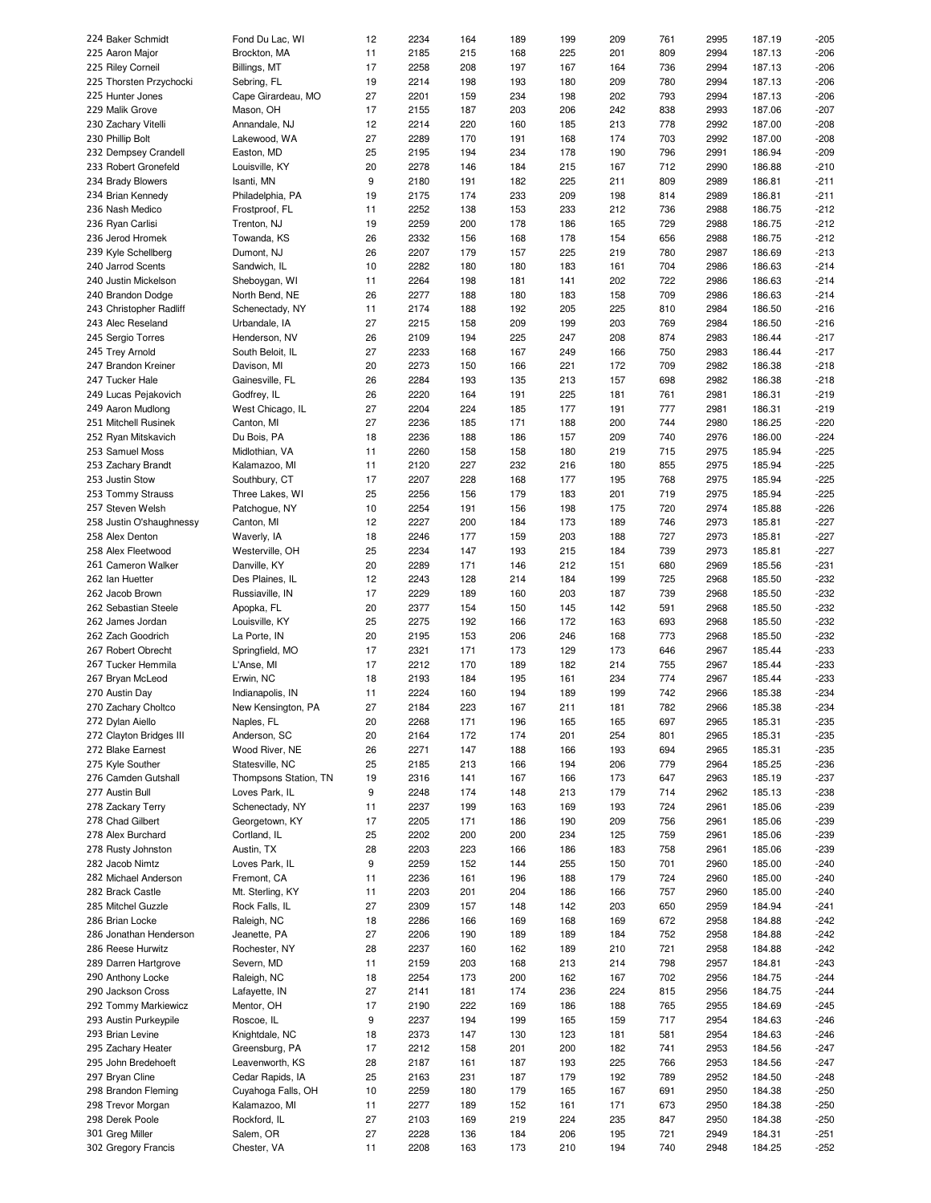| 224 Baker Schmidt        | Fond Du Lac, WI       | 12 | 2234 | 164 | 189 | 199 | 209 | 761 | 2995 | 187.19 | -205   |
|--------------------------|-----------------------|----|------|-----|-----|-----|-----|-----|------|--------|--------|
| 225 Aaron Major          | Brockton, MA          | 11 | 2185 | 215 | 168 | 225 | 201 | 809 | 2994 | 187.13 | $-206$ |
| 225 Riley Corneil        | Billings, MT          | 17 | 2258 | 208 | 197 | 167 | 164 | 736 | 2994 | 187.13 | $-206$ |
| 225 Thorsten Przychocki  | Sebring, FL           | 19 | 2214 | 198 | 193 | 180 | 209 | 780 | 2994 | 187.13 | $-206$ |
|                          |                       |    |      |     |     |     |     |     |      |        |        |
| 225 Hunter Jones         | Cape Girardeau, MO    | 27 | 2201 | 159 | 234 | 198 | 202 | 793 | 2994 | 187.13 | $-206$ |
| 229 Malik Grove          | Mason, OH             | 17 | 2155 | 187 | 203 | 206 | 242 | 838 | 2993 | 187.06 | $-207$ |
| 230 Zachary Vitelli      | Annandale, NJ         | 12 | 2214 | 220 | 160 | 185 | 213 | 778 | 2992 | 187.00 | $-208$ |
| 230 Phillip Bolt         | Lakewood, WA          | 27 | 2289 | 170 | 191 | 168 | 174 | 703 | 2992 | 187.00 | $-208$ |
|                          |                       |    |      |     |     |     |     |     |      |        |        |
| 232 Dempsey Crandell     | Easton, MD            | 25 | 2195 | 194 | 234 | 178 | 190 | 796 | 2991 | 186.94 | $-209$ |
| 233 Robert Gronefeld     | Louisville, KY        | 20 | 2278 | 146 | 184 | 215 | 167 | 712 | 2990 | 186.88 | $-210$ |
| 234 Brady Blowers        | Isanti, MN            | 9  | 2180 | 191 | 182 | 225 | 211 | 809 | 2989 | 186.81 | $-211$ |
| 234 Brian Kennedy        | Philadelphia, PA      | 19 | 2175 | 174 | 233 | 209 | 198 | 814 | 2989 | 186.81 | $-211$ |
|                          |                       |    |      |     |     |     |     |     |      |        |        |
| 236 Nash Medico          | Frostproof, FL        | 11 | 2252 | 138 | 153 | 233 | 212 | 736 | 2988 | 186.75 | $-212$ |
| 236 Ryan Carlisi         | Trenton, NJ           | 19 | 2259 | 200 | 178 | 186 | 165 | 729 | 2988 | 186.75 | $-212$ |
| 236 Jerod Hromek         | Towanda, KS           | 26 | 2332 | 156 | 168 | 178 | 154 | 656 | 2988 | 186.75 | $-212$ |
| 239 Kyle Schellberg      | Dumont, NJ            | 26 | 2207 | 179 | 157 | 225 | 219 | 780 | 2987 | 186.69 | $-213$ |
|                          |                       |    |      |     |     |     |     |     |      |        |        |
| 240 Jarrod Scents        | Sandwich, IL          | 10 | 2282 | 180 | 180 | 183 | 161 | 704 | 2986 | 186.63 | $-214$ |
| 240 Justin Mickelson     | Sheboygan, WI         | 11 | 2264 | 198 | 181 | 141 | 202 | 722 | 2986 | 186.63 | $-214$ |
| 240 Brandon Dodge        | North Bend, NE        | 26 | 2277 | 188 | 180 | 183 | 158 | 709 | 2986 | 186.63 | $-214$ |
| 243 Christopher Radliff  | Schenectady, NY       | 11 | 2174 | 188 | 192 | 205 | 225 | 810 | 2984 | 186.50 | $-216$ |
|                          |                       |    |      |     |     |     |     |     |      |        |        |
| 243 Alec Reseland        | Urbandale, IA         | 27 | 2215 | 158 | 209 | 199 | 203 | 769 | 2984 | 186.50 | $-216$ |
| 245 Sergio Torres        | Henderson, NV         | 26 | 2109 | 194 | 225 | 247 | 208 | 874 | 2983 | 186.44 | $-217$ |
| 245 Trey Arnold          | South Beloit, IL      | 27 | 2233 | 168 | 167 | 249 | 166 | 750 | 2983 | 186.44 | $-217$ |
| 247 Brandon Kreiner      | Davison, MI           | 20 | 2273 | 150 | 166 | 221 | 172 | 709 | 2982 | 186.38 | $-218$ |
|                          |                       |    |      |     |     |     |     |     |      |        |        |
| 247 Tucker Hale          | Gainesville, FL       | 26 | 2284 | 193 | 135 | 213 | 157 | 698 | 2982 | 186.38 | $-218$ |
| 249 Lucas Pejakovich     | Godfrey, IL           | 26 | 2220 | 164 | 191 | 225 | 181 | 761 | 2981 | 186.31 | $-219$ |
| 249 Aaron Mudlong        | West Chicago, IL      | 27 | 2204 | 224 | 185 | 177 | 191 | 777 | 2981 | 186.31 | $-219$ |
| 251 Mitchell Rusinek     | Canton, MI            | 27 | 2236 | 185 | 171 | 188 | 200 | 744 | 2980 | 186.25 | $-220$ |
|                          |                       |    |      |     |     |     |     |     |      |        |        |
| 252 Ryan Mitskavich      | Du Bois, PA           | 18 | 2236 | 188 | 186 | 157 | 209 | 740 | 2976 | 186.00 | $-224$ |
| 253 Samuel Moss          | Midlothian, VA        | 11 | 2260 | 158 | 158 | 180 | 219 | 715 | 2975 | 185.94 | $-225$ |
| 253 Zachary Brandt       | Kalamazoo, MI         | 11 | 2120 | 227 | 232 | 216 | 180 | 855 | 2975 | 185.94 | $-225$ |
| 253 Justin Stow          | Southbury, CT         | 17 | 2207 | 228 | 168 | 177 | 195 | 768 | 2975 | 185.94 | $-225$ |
|                          |                       |    |      |     |     |     |     |     |      |        |        |
| 253 Tommy Strauss        | Three Lakes, WI       | 25 | 2256 | 156 | 179 | 183 | 201 | 719 | 2975 | 185.94 | $-225$ |
| 257 Steven Welsh         | Patchogue, NY         | 10 | 2254 | 191 | 156 | 198 | 175 | 720 | 2974 | 185.88 | $-226$ |
| 258 Justin O'shaughnessy | Canton, MI            | 12 | 2227 | 200 | 184 | 173 | 189 | 746 | 2973 | 185.81 | $-227$ |
| 258 Alex Denton          | Waverly, IA           | 18 | 2246 | 177 | 159 | 203 | 188 | 727 | 2973 | 185.81 | $-227$ |
|                          |                       |    |      |     |     |     |     |     |      |        |        |
| 258 Alex Fleetwood       | Westerville, OH       | 25 | 2234 | 147 | 193 | 215 | 184 | 739 | 2973 | 185.81 | $-227$ |
| 261 Cameron Walker       | Danville, KY          | 20 | 2289 | 171 | 146 | 212 | 151 | 680 | 2969 | 185.56 | $-231$ |
| 262 Ian Huetter          | Des Plaines, IL       | 12 | 2243 | 128 | 214 | 184 | 199 | 725 | 2968 | 185.50 | $-232$ |
| 262 Jacob Brown          | Russiaville, IN       | 17 | 2229 | 189 | 160 | 203 | 187 | 739 | 2968 | 185.50 | $-232$ |
|                          |                       |    |      |     |     |     |     |     |      |        |        |
| 262 Sebastian Steele     | Apopka, FL            | 20 | 2377 | 154 | 150 | 145 | 142 | 591 | 2968 | 185.50 | $-232$ |
| 262 James Jordan         | Louisville, KY        | 25 | 2275 | 192 | 166 | 172 | 163 | 693 | 2968 | 185.50 | $-232$ |
| 262 Zach Goodrich        | La Porte, IN          | 20 | 2195 | 153 | 206 | 246 | 168 | 773 | 2968 | 185.50 | $-232$ |
| 267 Robert Obrecht       | Springfield, MO       | 17 | 2321 | 171 | 173 | 129 | 173 | 646 | 2967 | 185.44 | $-233$ |
|                          |                       |    |      |     |     |     |     |     |      |        |        |
| 267 Tucker Hemmila       | L'Anse, MI            | 17 | 2212 | 170 | 189 | 182 | 214 | 755 | 2967 | 185.44 | $-233$ |
| 267 Bryan McLeod         | Erwin, NC             | 18 | 2193 | 184 | 195 | 161 | 234 | 774 | 2967 | 185.44 | $-233$ |
| 270 Austin Day           | Indianapolis, IN      | 11 | 2224 | 160 | 194 | 189 | 199 | 742 | 2966 | 185.38 | $-234$ |
| 270 Zachary Choltco      | New Kensington, PA    | 27 | 2184 | 223 | 167 | 211 | 181 | 782 | 2966 | 185.38 | $-234$ |
|                          |                       |    |      |     |     |     |     |     |      |        |        |
| 272 Dylan Aiello         | Naples, FL            | 20 | 2268 | 171 | 196 | 165 | 165 | 697 | 2965 |        |        |
| 272 Clayton Bridges III  |                       |    |      |     |     |     |     |     |      | 185.31 | -235   |
|                          | Anderson, SC          | 20 | 2164 | 172 | 174 | 201 | 254 | 801 | 2965 | 185.31 | $-235$ |
|                          |                       |    |      |     |     |     |     |     |      |        |        |
| 272 Blake Earnest        | Wood River, NE        | 26 | 2271 | 147 | 188 | 166 | 193 | 694 | 2965 | 185.31 | -235   |
| 275 Kyle Souther         | Statesville, NC       | 25 | 2185 | 213 | 166 | 194 | 206 | 779 | 2964 | 185.25 | $-236$ |
| 276 Camden Gutshall      | Thompsons Station, TN | 19 | 2316 | 141 | 167 | 166 | 173 | 647 | 2963 | 185.19 | $-237$ |
| 277 Austin Bull          | Loves Park, IL        | 9  | 2248 | 174 | 148 | 213 | 179 | 714 | 2962 | 185.13 | -238   |
|                          |                       |    |      |     |     |     |     |     |      |        |        |
| 278 Zackary Terry        | Schenectady, NY       | 11 | 2237 | 199 | 163 | 169 | 193 | 724 | 2961 | 185.06 | -239   |
| 278 Chad Gilbert         | Georgetown, KY        | 17 | 2205 | 171 | 186 | 190 | 209 | 756 | 2961 | 185.06 | $-239$ |
| 278 Alex Burchard        | Cortland, IL          | 25 | 2202 | 200 | 200 | 234 | 125 | 759 | 2961 | 185.06 | $-239$ |
| 278 Rusty Johnston       | Austin, TX            | 28 | 2203 | 223 | 166 | 186 | 183 | 758 | 2961 | 185.06 | $-239$ |
|                          |                       |    |      |     |     |     |     |     |      |        |        |
| 282 Jacob Nimtz          | Loves Park, IL        | 9  | 2259 | 152 | 144 | 255 | 150 | 701 | 2960 | 185.00 | $-240$ |
| 282 Michael Anderson     | Fremont, CA           | 11 | 2236 | 161 | 196 | 188 | 179 | 724 | 2960 | 185.00 | $-240$ |
| 282 Brack Castle         | Mt. Sterling, KY      | 11 | 2203 | 201 | 204 | 186 | 166 | 757 | 2960 | 185.00 | $-240$ |
| 285 Mitchel Guzzle       | Rock Falls, IL        | 27 | 2309 | 157 | 148 | 142 | 203 | 650 | 2959 | 184.94 | $-241$ |
|                          |                       |    |      |     |     |     |     |     |      |        |        |
| 286 Brian Locke          | Raleigh, NC           | 18 | 2286 | 166 | 169 | 168 | 169 | 672 | 2958 | 184.88 | $-242$ |
| 286 Jonathan Henderson   | Jeanette, PA          | 27 | 2206 | 190 | 189 | 189 | 184 | 752 | 2958 | 184.88 | $-242$ |
| 286 Reese Hurwitz        | Rochester, NY         | 28 | 2237 | 160 | 162 | 189 | 210 | 721 | 2958 | 184.88 | $-242$ |
| 289 Darren Hartgrove     | Severn, MD            | 11 | 2159 | 203 | 168 | 213 | 214 | 798 | 2957 | 184.81 | $-243$ |
| 290 Anthony Locke        |                       | 18 | 2254 | 173 | 200 | 162 | 167 | 702 | 2956 | 184.75 | $-244$ |
|                          | Raleigh, NC           |    |      |     |     |     |     |     |      |        |        |
| 290 Jackson Cross        | Lafayette, IN         | 27 | 2141 | 181 | 174 | 236 | 224 | 815 | 2956 | 184.75 | $-244$ |
| 292 Tommy Markiewicz     | Mentor, OH            | 17 | 2190 | 222 | 169 | 186 | 188 | 765 | 2955 | 184.69 | $-245$ |
| 293 Austin Purkeypile    | Roscoe, IL            | 9  | 2237 | 194 | 199 | 165 | 159 | 717 | 2954 | 184.63 | $-246$ |
| 293 Brian Levine         | Knightdale, NC        | 18 | 2373 | 147 | 130 | 123 | 181 | 581 | 2954 | 184.63 | $-246$ |
|                          |                       |    |      |     |     |     |     |     |      |        |        |
| 295 Zachary Heater       | Greensburg, PA        | 17 | 2212 | 158 | 201 | 200 | 182 | 741 | 2953 | 184.56 | $-247$ |
| 295 John Bredehoeft      | Leavenworth, KS       | 28 | 2187 | 161 | 187 | 193 | 225 | 766 | 2953 | 184.56 | $-247$ |
| 297 Bryan Cline          | Cedar Rapids, IA      | 25 | 2163 | 231 | 187 | 179 | 192 | 789 | 2952 | 184.50 | $-248$ |
|                          |                       |    |      |     |     |     |     |     |      |        |        |
| 298 Brandon Fleming      | Cuyahoga Falls, OH    | 10 | 2259 | 180 | 179 | 165 | 167 | 691 | 2950 | 184.38 | $-250$ |
| 298 Trevor Morgan        | Kalamazoo, MI         | 11 | 2277 | 189 | 152 | 161 | 171 | 673 | 2950 | 184.38 | -250   |
| 298 Derek Poole          | Rockford, IL          | 27 | 2103 | 169 | 219 | 224 | 235 | 847 | 2950 | 184.38 | $-250$ |
| 301 Greg Miller          | Salem, OR             | 27 | 2228 | 136 | 184 | 206 | 195 | 721 | 2949 | 184.31 | $-251$ |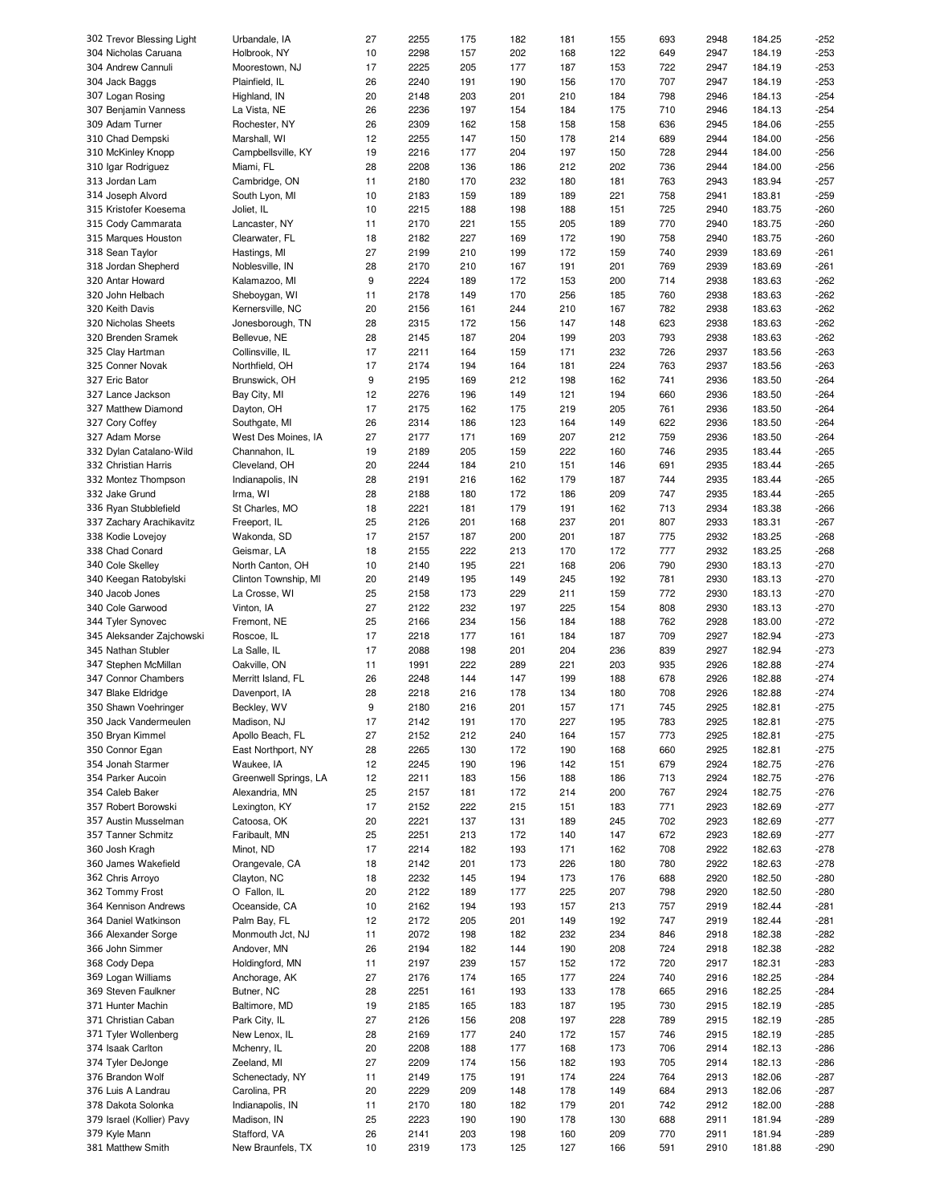| 302 Trevor Blessing Light | Urbandale, IA         | 27 | 2255 | 175 | 182 | 181 | 155 | 693 | 2948 | 184.25 | -252   |
|---------------------------|-----------------------|----|------|-----|-----|-----|-----|-----|------|--------|--------|
| 304 Nicholas Caruana      | Holbrook, NY          | 10 | 2298 | 157 | 202 | 168 | 122 | 649 | 2947 | 184.19 | $-253$ |
| 304 Andrew Cannuli        | Moorestown, NJ        | 17 | 2225 | 205 | 177 | 187 | 153 | 722 | 2947 | 184.19 | $-253$ |
| 304 Jack Baggs            | Plainfield, IL        | 26 | 2240 | 191 | 190 | 156 | 170 | 707 | 2947 | 184.19 | $-253$ |
| 307 Logan Rosing          | Highland, IN          | 20 | 2148 | 203 | 201 | 210 | 184 | 798 | 2946 | 184.13 | $-254$ |
|                           |                       | 26 | 2236 | 197 | 154 | 184 | 175 | 710 | 2946 | 184.13 | $-254$ |
| 307 Benjamin Vanness      | La Vista, NE          |    |      |     |     |     |     |     |      |        |        |
| 309 Adam Turner           | Rochester, NY         | 26 | 2309 | 162 | 158 | 158 | 158 | 636 | 2945 | 184.06 | $-255$ |
| 310 Chad Dempski          | Marshall, WI          | 12 | 2255 | 147 | 150 | 178 | 214 | 689 | 2944 | 184.00 | $-256$ |
| 310 McKinley Knopp        | Campbellsville, KY    | 19 | 2216 | 177 | 204 | 197 | 150 | 728 | 2944 | 184.00 | $-256$ |
| 310 Igar Rodriguez        | Miami, FL             | 28 | 2208 | 136 | 186 | 212 | 202 | 736 | 2944 | 184.00 | $-256$ |
| 313 Jordan Lam            | Cambridge, ON         | 11 | 2180 | 170 | 232 | 180 | 181 | 763 | 2943 | 183.94 | $-257$ |
| 314 Joseph Alvord         | South Lyon, MI        | 10 | 2183 | 159 | 189 | 189 | 221 | 758 | 2941 | 183.81 | $-259$ |
| 315 Kristofer Koesema     | Joliet, IL            | 10 | 2215 | 188 | 198 | 188 | 151 | 725 | 2940 | 183.75 | $-260$ |
|                           |                       |    |      |     |     |     |     |     |      |        |        |
| 315 Cody Cammarata        | Lancaster, NY         | 11 | 2170 | 221 | 155 | 205 | 189 | 770 | 2940 | 183.75 | $-260$ |
| 315 Marques Houston       | Clearwater, FL        | 18 | 2182 | 227 | 169 | 172 | 190 | 758 | 2940 | 183.75 | $-260$ |
| 318 Sean Taylor           | Hastings, MI          | 27 | 2199 | 210 | 199 | 172 | 159 | 740 | 2939 | 183.69 | $-261$ |
| 318 Jordan Shepherd       | Noblesville, IN       | 28 | 2170 | 210 | 167 | 191 | 201 | 769 | 2939 | 183.69 | $-261$ |
| 320 Antar Howard          | Kalamazoo, MI         | 9  | 2224 | 189 | 172 | 153 | 200 | 714 | 2938 | 183.63 | $-262$ |
| 320 John Helbach          | Sheboygan, WI         | 11 | 2178 | 149 | 170 | 256 | 185 | 760 | 2938 | 183.63 | $-262$ |
| 320 Keith Davis           | Kernersville, NC      | 20 | 2156 | 161 | 244 | 210 | 167 | 782 | 2938 | 183.63 | $-262$ |
|                           |                       |    |      |     |     |     |     |     |      |        |        |
| 320 Nicholas Sheets       | Jonesborough, TN      | 28 | 2315 | 172 | 156 | 147 | 148 | 623 | 2938 | 183.63 | $-262$ |
| 320 Brenden Sramek        | Bellevue, NE          | 28 | 2145 | 187 | 204 | 199 | 203 | 793 | 2938 | 183.63 | $-262$ |
| 325 Clay Hartman          | Collinsville, IL      | 17 | 2211 | 164 | 159 | 171 | 232 | 726 | 2937 | 183.56 | $-263$ |
| 325 Conner Novak          | Northfield, OH        | 17 | 2174 | 194 | 164 | 181 | 224 | 763 | 2937 | 183.56 | $-263$ |
| 327 Eric Bator            | Brunswick, OH         | 9  | 2195 | 169 | 212 | 198 | 162 | 741 | 2936 | 183.50 | $-264$ |
| 327 Lance Jackson         | Bay City, MI          | 12 | 2276 | 196 | 149 | 121 | 194 | 660 | 2936 | 183.50 | $-264$ |
|                           | Dayton, OH            | 17 | 2175 | 162 | 175 | 219 | 205 | 761 | 2936 | 183.50 | $-264$ |
| 327 Matthew Diamond       |                       |    |      |     |     |     |     |     |      |        |        |
| 327 Cory Coffey           | Southgate, MI         | 26 | 2314 | 186 | 123 | 164 | 149 | 622 | 2936 | 183.50 | $-264$ |
| 327 Adam Morse            | West Des Moines, IA   | 27 | 2177 | 171 | 169 | 207 | 212 | 759 | 2936 | 183.50 | $-264$ |
| 332 Dylan Catalano-Wild   | Channahon, IL         | 19 | 2189 | 205 | 159 | 222 | 160 | 746 | 2935 | 183.44 | $-265$ |
| 332 Christian Harris      | Cleveland, OH         | 20 | 2244 | 184 | 210 | 151 | 146 | 691 | 2935 | 183.44 | $-265$ |
| 332 Montez Thompson       | Indianapolis, IN      | 28 | 2191 | 216 | 162 | 179 | 187 | 744 | 2935 | 183.44 | $-265$ |
| 332 Jake Grund            | Irma, WI              | 28 | 2188 | 180 | 172 | 186 | 209 | 747 | 2935 | 183.44 | $-265$ |
|                           |                       | 18 | 2221 | 181 | 179 | 191 | 162 | 713 | 2934 | 183.38 | $-266$ |
| 336 Ryan Stubblefield     | St Charles, MO        |    |      |     |     |     |     |     |      |        |        |
| 337 Zachary Arachikavitz  | Freeport, IL          | 25 | 2126 | 201 | 168 | 237 | 201 | 807 | 2933 | 183.31 | $-267$ |
| 338 Kodie Lovejoy         | Wakonda, SD           | 17 | 2157 | 187 | 200 | 201 | 187 | 775 | 2932 | 183.25 | $-268$ |
| 338 Chad Conard           | Geismar, LA           | 18 | 2155 | 222 | 213 | 170 | 172 | 777 | 2932 | 183.25 | $-268$ |
| 340 Cole Skelley          | North Canton, OH      | 10 | 2140 | 195 | 221 | 168 | 206 | 790 | 2930 | 183.13 | $-270$ |
| 340 Keegan Ratobylski     | Clinton Township, MI  | 20 | 2149 | 195 | 149 | 245 | 192 | 781 | 2930 | 183.13 | $-270$ |
| 340 Jacob Jones           | La Crosse, WI         | 25 | 2158 | 173 | 229 | 211 | 159 | 772 | 2930 | 183.13 | $-270$ |
| 340 Cole Garwood          | Vinton, IA            | 27 | 2122 | 232 | 197 | 225 | 154 | 808 | 2930 | 183.13 | $-270$ |
|                           |                       |    |      |     |     |     |     |     |      |        |        |
| 344 Tyler Synovec         | Fremont, NE           | 25 | 2166 | 234 | 156 | 184 | 188 | 762 | 2928 | 183.00 | $-272$ |
| 345 Aleksander Zajchowski | Roscoe, IL            | 17 | 2218 | 177 | 161 | 184 | 187 | 709 | 2927 | 182.94 | $-273$ |
| 345 Nathan Stubler        | La Salle, IL          | 17 | 2088 | 198 | 201 | 204 | 236 | 839 | 2927 | 182.94 | $-273$ |
| 347 Stephen McMillan      | Oakville, ON          | 11 | 1991 | 222 | 289 | 221 | 203 | 935 | 2926 | 182.88 | $-274$ |
| 347 Connor Chambers       | Merritt Island, FL    | 26 | 2248 | 144 | 147 | 199 | 188 | 678 | 2926 | 182.88 | $-274$ |
| 347 Blake Eldridge        | Davenport, IA         | 28 | 2218 | 216 | 178 | 134 | 180 | 708 | 2926 | 182.88 | $-274$ |
|                           |                       | 9  |      |     |     |     |     |     |      |        |        |
| 350 Shawn Voehringer      | Beckley, WV           |    | 2180 | 216 | 201 | 157 | 171 | 745 | 2925 | 182.81 | $-275$ |
| 350 Jack Vandermeulen     | Madison, NJ           | 17 | 2142 | 191 | 170 | 227 | 195 | 783 | 2925 | 182.81 | $-275$ |
| 350 Bryan Kimmel          | Apollo Beach, FL      | 27 | 2152 | 212 | 240 | 164 | 157 | 773 | 2925 | 182.81 | $-275$ |
| 350 Connor Egan           | East Northport, NY    | 28 | 2265 | 130 | 172 | 190 | 168 | 660 | 2925 | 182.81 | $-275$ |
| 354 Jonah Starmer         | Waukee, IA            | 12 | 2245 | 190 | 196 | 142 | 151 | 679 | 2924 | 182.75 | $-276$ |
| 354 Parker Aucoin         | Greenwell Springs, LA | 12 | 2211 | 183 | 156 | 188 | 186 | 713 | 2924 | 182.75 | $-276$ |
|                           | Alexandria, MN        |    |      |     |     |     |     |     |      |        |        |
| 354 Caleb Baker           |                       | 25 | 2157 | 181 | 172 | 214 | 200 | 767 | 2924 | 182.75 | $-276$ |
| 357 Robert Borowski       | Lexington, KY         | 17 | 2152 | 222 | 215 | 151 | 183 | 771 | 2923 | 182.69 | $-277$ |
| 357 Austin Musselman      | Catoosa, OK           | 20 | 2221 | 137 | 131 | 189 | 245 | 702 | 2923 | 182.69 | $-277$ |
| 357 Tanner Schmitz        | Faribault, MN         | 25 | 2251 | 213 | 172 | 140 | 147 | 672 | 2923 | 182.69 | $-277$ |
| 360 Josh Kragh            | Minot, ND             | 17 | 2214 | 182 | 193 | 171 | 162 | 708 | 2922 | 182.63 | $-278$ |
| 360 James Wakefield       | Orangevale, CA        | 18 | 2142 | 201 | 173 | 226 | 180 | 780 | 2922 | 182.63 | $-278$ |
| 362 Chris Arroyo          | Clayton, NC           | 18 | 2232 | 145 | 194 | 173 | 176 | 688 | 2920 | 182.50 | $-280$ |
| 362 Tommy Frost           |                       |    |      |     |     | 225 |     |     |      |        |        |
|                           | O Fallon, IL          | 20 | 2122 | 189 | 177 |     | 207 | 798 | 2920 | 182.50 | $-280$ |
| 364 Kennison Andrews      | Oceanside, CA         | 10 | 2162 | 194 | 193 | 157 | 213 | 757 | 2919 | 182.44 | -281   |
| 364 Daniel Watkinson      | Palm Bay, FL          | 12 | 2172 | 205 | 201 | 149 | 192 | 747 | 2919 | 182.44 | -281   |
| 366 Alexander Sorge       | Monmouth Jct, NJ      | 11 | 2072 | 198 | 182 | 232 | 234 | 846 | 2918 | 182.38 | $-282$ |
| 366 John Simmer           | Andover, MN           | 26 | 2194 | 182 | 144 | 190 | 208 | 724 | 2918 | 182.38 | $-282$ |
| 368 Cody Depa             | Holdingford, MN       | 11 | 2197 | 239 | 157 | 152 | 172 | 720 | 2917 | 182.31 | $-283$ |
|                           |                       |    |      |     |     |     |     |     |      |        |        |
| 369 Logan Williams        | Anchorage, AK         | 27 | 2176 | 174 | 165 | 177 | 224 | 740 | 2916 | 182.25 | $-284$ |
| 369 Steven Faulkner       | Butner, NC            | 28 | 2251 | 161 | 193 | 133 | 178 | 665 | 2916 | 182.25 | $-284$ |
| 371 Hunter Machin         | Baltimore, MD         | 19 | 2185 | 165 | 183 | 187 | 195 | 730 | 2915 | 182.19 | $-285$ |
| 371 Christian Caban       | Park City, IL         | 27 | 2126 | 156 | 208 | 197 | 228 | 789 | 2915 | 182.19 | -285   |
| 371 Tyler Wollenberg      | New Lenox, IL         | 28 | 2169 | 177 | 240 | 172 | 157 | 746 | 2915 | 182.19 | $-285$ |
| 374 Isaak Carlton         | Mchenry, IL           | 20 | 2208 | 188 | 177 | 168 | 173 | 706 | 2914 | 182.13 | -286   |
|                           | Zeeland, MI           | 27 | 2209 | 174 |     |     |     |     | 2914 | 182.13 | $-286$ |
| 374 Tyler DeJonge         |                       |    |      |     | 156 | 182 | 193 | 705 |      |        |        |
| 376 Brandon Wolf          | Schenectady, NY       | 11 | 2149 | 175 | 191 | 174 | 224 | 764 | 2913 | 182.06 | $-287$ |
| 376 Luis A Landrau        | Carolina, PR          | 20 | 2229 | 209 | 148 | 178 | 149 | 684 | 2913 | 182.06 | $-287$ |
| 378 Dakota Solonka        | Indianapolis, IN      | 11 | 2170 | 180 | 182 | 179 | 201 | 742 | 2912 | 182.00 | -288   |
| 379 Israel (Kollier) Pavy | Madison, IN           | 25 | 2223 | 190 | 190 | 178 | 130 | 688 | 2911 | 181.94 | -289   |
| 379 Kyle Mann             | Stafford, VA          | 26 | 2141 | 203 | 198 | 160 | 209 | 770 | 2911 | 181.94 | -289   |
| 381 Matthew Smith         | New Braunfels, TX     | 10 | 2319 | 173 | 125 | 127 | 166 | 591 | 2910 | 181.88 | -290   |
|                           |                       |    |      |     |     |     |     |     |      |        |        |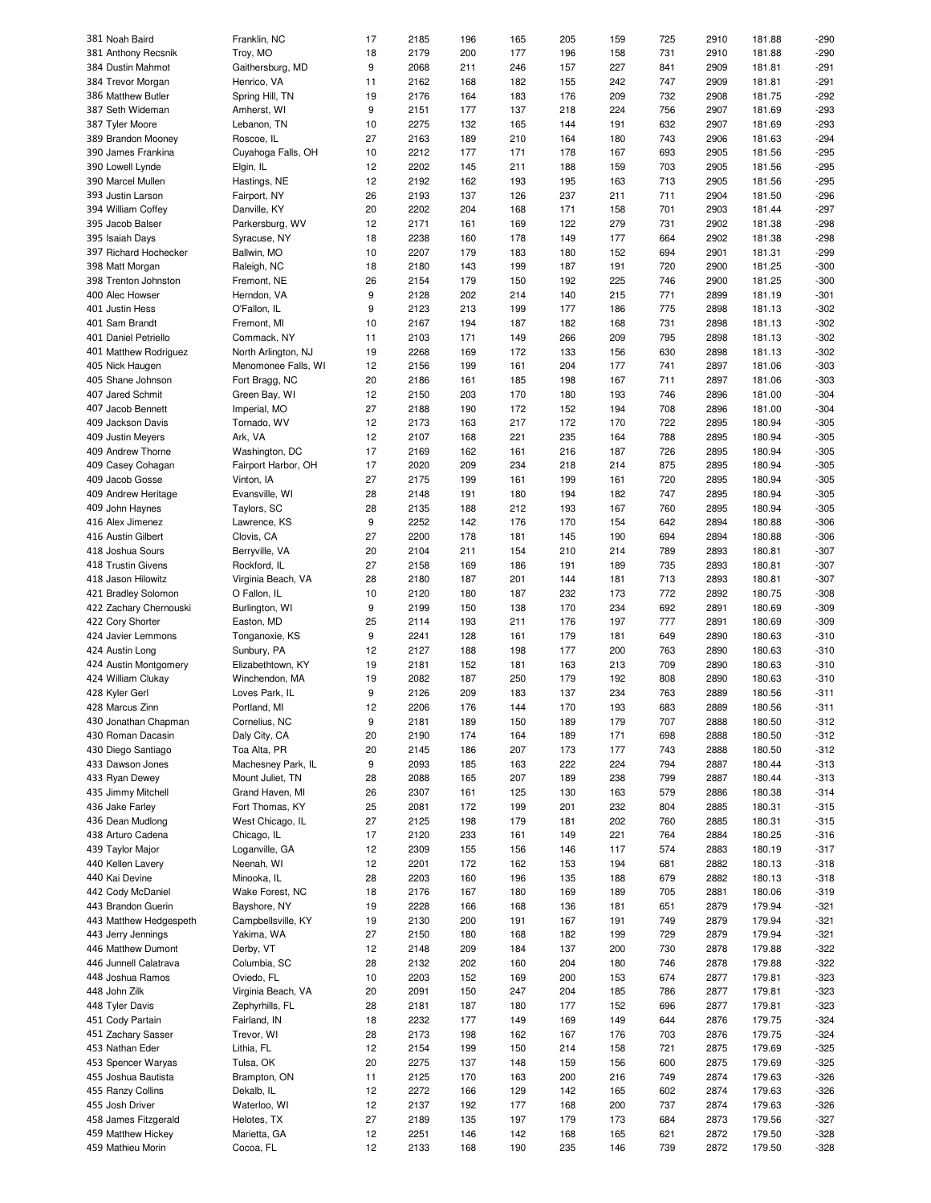| 381 Noah Baird                          | Franklin, NC              | 17       | 2185         | 196        | 165        | 205        | 159        | 725        | 2910         | 181.88           | -290             |
|-----------------------------------------|---------------------------|----------|--------------|------------|------------|------------|------------|------------|--------------|------------------|------------------|
| 381 Anthony Recsnik                     | Troy, MO                  | 18       | 2179         | 200        | 177        | 196        | 158        | 731        | 2910         | 181.88           | $-290$           |
| 384 Dustin Mahmot                       | Gaithersburg, MD          | 9        | 2068         | 211        | 246        | 157        | 227        | 841        | 2909         | 181.81           | $-291$           |
| 384 Trevor Morgan                       | Henrico, VA               | 11       | 2162         | 168        | 182        | 155        | 242        | 747        | 2909         | 181.81           | $-291$           |
|                                         |                           |          |              |            |            |            |            |            |              |                  |                  |
| 386 Matthew Butler                      | Spring Hill, TN           | 19       | 2176         | 164        | 183        | 176        | 209        | 732        | 2908         | 181.75           | $-292$           |
| 387 Seth Wideman                        | Amherst, WI               | 9        | 2151         | 177        | 137        | 218        | 224        | 756        | 2907         | 181.69           | -293             |
| 387 Tyler Moore                         | Lebanon, TN               | 10       | 2275         | 132        | 165        | 144        | 191        | 632        | 2907         | 181.69           | $-293$           |
| 389 Brandon Mooney                      | Roscoe, IL                | 27       | 2163         | 189        | 210        | 164        | 180        | 743        | 2906         | 181.63           | $-294$           |
| 390 James Frankina                      | Cuyahoga Falls, OH        | 10       | 2212         | 177        | 171        | 178        | 167        | 693        | 2905         | 181.56           | $-295$           |
|                                         |                           |          |              |            |            |            |            |            |              |                  |                  |
| 390 Lowell Lynde                        | Elgin, IL                 | 12       | 2202         | 145        | 211        | 188        | 159        | 703        | 2905         | 181.56           | $-295$           |
| 390 Marcel Mullen                       | Hastings, NE              | 12       | 2192         | 162        | 193        | 195        | 163        | 713        | 2905         | 181.56           | $-295$           |
| 393 Justin Larson                       | Fairport, NY              | 26       | 2193         | 137        | 126        | 237        | 211        | 711        | 2904         | 181.50           | $-296$           |
| 394 William Coffey                      | Danville, KY              | 20       | 2202         | 204        | 168        | 171        | 158        | 701        | 2903         | 181.44           | $-297$           |
| 395 Jacob Balser                        | Parkersburg, WV           | 12       | 2171         | 161        | 169        | 122        | 279        | 731        | 2902         | 181.38           | $-298$           |
|                                         |                           |          |              |            |            |            |            |            |              |                  |                  |
| 395 Isaiah Days                         | Syracuse, NY              | 18       | 2238         | 160        | 178        | 149        | 177        | 664        | 2902         | 181.38           | $-298$           |
| 397 Richard Hochecker                   | Ballwin, MO               | 10       | 2207         | 179        | 183        | 180        | 152        | 694        | 2901         | 181.31           | $-299$           |
| 398 Matt Morgan                         | Raleigh, NC               | 18       | 2180         | 143        | 199        | 187        | 191        | 720        | 2900         | 181.25           | $-300$           |
| 398 Trenton Johnston                    | Fremont, NE               | 26       | 2154         | 179        | 150        | 192        | 225        | 746        | 2900         | 181.25           | $-300$           |
| 400 Alec Howser                         | Herndon, VA               | 9        | 2128         | 202        | 214        | 140        | 215        | 771        | 2899         | 181.19           | $-301$           |
|                                         |                           |          |              |            |            |            |            |            |              |                  |                  |
| 401 Justin Hess                         | O'Fallon, IL              | 9        | 2123         | 213        | 199        | 177        | 186        | 775        | 2898         | 181.13           | $-302$           |
| 401 Sam Brandt                          | Fremont, MI               | 10       | 2167         | 194        | 187        | 182        | 168        | 731        | 2898         | 181.13           | $-302$           |
| 401 Daniel Petriello                    | Commack, NY               | 11       | 2103         | 171        | 149        | 266        | 209        | 795        | 2898         | 181.13           | $-302$           |
| 401 Matthew Rodriguez                   | North Arlington, NJ       | 19       | 2268         | 169        | 172        | 133        | 156        | 630        | 2898         | 181.13           | $-302$           |
| 405 Nick Haugen                         | Menomonee Falls, WI       | 12       | 2156         | 199        | 161        | 204        | 177        | 741        | 2897         | 181.06           | $-303$           |
|                                         |                           |          |              |            |            |            |            |            |              |                  |                  |
| 405 Shane Johnson                       | Fort Bragg, NC            | 20       | 2186         | 161        | 185        | 198        | 167        | 711        | 2897         | 181.06           | $-303$           |
| 407 Jared Schmit                        | Green Bay, WI             | 12       | 2150         | 203        | 170        | 180        | 193        | 746        | 2896         | 181.00           | $-304$           |
| 407 Jacob Bennett                       | Imperial, MO              | 27       | 2188         | 190        | 172        | 152        | 194        | 708        | 2896         | 181.00           | $-304$           |
| 409 Jackson Davis                       | Tornado, WV               | 12       | 2173         | 163        | 217        | 172        | 170        | 722        | 2895         | 180.94           | $-305$           |
| 409 Justin Meyers                       | Ark, VA                   | 12       | 2107         | 168        | 221        | 235        | 164        | 788        | 2895         | 180.94           | $-305$           |
|                                         |                           |          |              |            |            |            |            |            |              |                  |                  |
| 409 Andrew Thorne                       | Washington, DC            | 17       | 2169         | 162        | 161        | 216        | 187        | 726        | 2895         | 180.94           | $-305$           |
| 409 Casey Cohagan                       | Fairport Harbor, OH       | 17       | 2020         | 209        | 234        | 218        | 214        | 875        | 2895         | 180.94           | $-305$           |
| 409 Jacob Gosse                         | Vinton, IA                | 27       | 2175         | 199        | 161        | 199        | 161        | 720        | 2895         | 180.94           | $-305$           |
| 409 Andrew Heritage                     | Evansville, WI            | 28       | 2148         | 191        | 180        | 194        | 182        | 747        | 2895         | 180.94           | $-305$           |
| 409 John Haynes                         | Taylors, SC               | 28       | 2135         | 188        | 212        | 193        | 167        | 760        | 2895         | 180.94           | $-305$           |
|                                         |                           |          |              |            |            |            |            |            |              |                  |                  |
| 416 Alex Jimenez                        | Lawrence, KS              | 9        | 2252         | 142        | 176        | 170        | 154        | 642        | 2894         | 180.88           | $-306$           |
| 416 Austin Gilbert                      | Clovis, CA                | 27       | 2200         | 178        | 181        | 145        | 190        | 694        | 2894         | 180.88           | $-306$           |
| 418 Joshua Sours                        | Berryville, VA            | 20       | 2104         | 211        | 154        | 210        | 214        | 789        | 2893         | 180.81           | $-307$           |
| 418 Trustin Givens                      | Rockford, IL              | 27       | 2158         | 169        | 186        | 191        | 189        | 735        | 2893         | 180.81           | $-307$           |
| 418 Jason Hilowitz                      | Virginia Beach, VA        | 28       | 2180         | 187        | 201        | 144        | 181        | 713        | 2893         | 180.81           | $-307$           |
|                                         |                           |          |              |            |            |            |            |            |              |                  |                  |
| 421 Bradley Solomon                     | O Fallon, IL              | 10       | 2120         | 180        | 187        | 232        | 173        | 772        | 2892         | 180.75           | $-308$           |
| 422 Zachary Chernouski                  | Burlington, WI            | 9        | 2199         | 150        | 138        | 170        | 234        | 692        | 2891         | 180.69           | $-309$           |
| 422 Cory Shorter                        | Easton, MD                | 25       | 2114         | 193        | 211        | 176        | 197        | 777        | 2891         | 180.69           | $-309$           |
| 424 Javier Lemmons                      | Tonganoxie, KS            | 9        | 2241         | 128        | 161        | 179        | 181        | 649        | 2890         | 180.63           | $-310$           |
| 424 Austin Long                         | Sunbury, PA               | 12       | 2127         | 188        | 198        | 177        | 200        | 763        | 2890         | 180.63           | $-310$           |
|                                         |                           |          |              |            |            |            |            |            |              |                  |                  |
| 424 Austin Montgomery                   | Elizabethtown, KY         | 19       | 2181         | 152        | 181        | 163        | 213        | 709        | 2890         | 180.63           | $-310$           |
| 424 William Clukay                      | Winchendon, MA            | 19       | 2082         | 187        | 250        | 179        | 192        | 808        | 2890         | 180.63           | $-310$           |
| 428 Kyler Gerl                          | Loves Park, IL            | 9        | 2126         | 209        | 183        | 137        | 234        | 763        | 2889         | 180.56           | $-311$           |
| 428 Marcus Zinn                         | Portland, MI              | 12       | 2206         | 176        | 144        | 170        | 193        | 683        | 2889         | 180.56           | $-311$           |
| 430 Jonathan Chapman                    | Cornelius, NC             | 9        | 2181         | 189        | 150        | 189        | 179        | 707        | 2888         | 180.50           | $-312$           |
|                                         |                           |          |              |            |            |            |            |            |              |                  |                  |
| 430 Roman Dacasin                       | Daly City, CA             | 20       | 2190         | 174        | 164        | 189        | 171        | 698        | 2888         | 180.50           | $-312$           |
| 430 Diego Santiago                      | Toa Alta, PR              | 20       | 2145         | 186        | 207        | 173        | 177        | 743        | 2888         | 180.50           | $-312$           |
| 433 Dawson Jones                        | Machesney Park, IL        | 9        | 2093         | 185        | 163        | 222        | 224        | 794        | 2887         | 180.44           | $-313$           |
| 433 Ryan Dewey                          | Mount Juliet, TN          | 28       | 2088         | 165        | 207        | 189        | 238        | 799        | 2887         | 180.44           | $-313$           |
| 435 Jimmy Mitchell                      | Grand Haven, MI           | 26       | 2307         | 161        | 125        | 130        | 163        | 579        | 2886         | 180.38           | $-314$           |
|                                         |                           |          |              |            |            |            |            |            |              |                  |                  |
| 436 Jake Farley                         | Fort Thomas, KY           | 25       | 2081         | 172        | 199        | 201        | 232        | 804        | 2885         | 180.31           | $-315$           |
| 436 Dean Mudlong                        | West Chicago, IL          | 27       | 2125         | 198        | 179        | 181        | 202        | 760        | 2885         | 180.31           | $-315$           |
| 438 Arturo Cadena                       | Chicago, IL               | 17       | 2120         | 233        | 161        | 149        | 221        | 764        | 2884         | 180.25           | $-316$           |
| 439 Taylor Major                        | Loganville, GA            | 12       | 2309         | 155        | 156        | 146        | 117        | 574        | 2883         | 180.19           | $-317$           |
| 440 Kellen Lavery                       | Neenah, WI                | 12       | 2201         | 172        | 162        | 153        | 194        | 681        | 2882         | 180.13           | $-318$           |
| 440 Kai Devine                          |                           |          |              | 160        | 196        | 135        | 188        | 679        | 2882         | 180.13           | $-318$           |
|                                         |                           |          |              |            |            |            |            |            |              |                  |                  |
|                                         | Minooka, IL               | 28       | 2203         |            |            |            |            |            |              |                  |                  |
| 442 Cody McDaniel                       | Wake Forest, NC           | 18       | 2176         | 167        | 180        | 169        | 189        | 705        | 2881         | 180.06           | $-319$           |
| 443 Brandon Guerin                      | Bayshore, NY              | 19       | 2228         | 166        | 168        | 136        | 181        | 651        | 2879         | 179.94           | $-321$           |
| 443 Matthew Hedgespeth                  | Campbellsville, KY        | 19       | 2130         | 200        | 191        | 167        | 191        | 749        | 2879         | 179.94           | $-321$           |
| 443 Jerry Jennings                      | Yakima, WA                | 27       | 2150         | 180        | 168        | 182        | 199        | 729        | 2879         | 179.94           | $-321$           |
|                                         |                           |          |              |            |            |            |            |            |              |                  |                  |
| 446 Matthew Dumont                      | Derby, VT                 | 12       | 2148         | 209        | 184        | 137        | 200        | 730        | 2878         | 179.88           | $-322$           |
| 446 Junnell Calatrava                   | Columbia, SC              | 28       | 2132         | 202        | 160        | 204        | 180        | 746        | 2878         | 179.88           | $-322$           |
| 448 Joshua Ramos                        | Oviedo, FL                | 10       | 2203         | 152        | 169        | 200        | 153        | 674        | 2877         | 179.81           | $-323$           |
| 448 John Zilk                           | Virginia Beach, VA        | 20       | 2091         | 150        | 247        | 204        | 185        | 786        | 2877         | 179.81           | $-323$           |
| 448 Tyler Davis                         | Zephyrhills, FL           | 28       | 2181         | 187        | 180        | 177        | 152        | 696        | 2877         | 179.81           | $-323$           |
|                                         |                           |          |              |            |            |            |            |            |              |                  |                  |
| 451 Cody Partain                        | Fairland, IN              | 18       | 2232         | 177        | 149        | 169        | 149        | 644        | 2876         | 179.75           | $-324$           |
| 451 Zachary Sasser                      | Trevor, WI                | 28       | 2173         | 198        | 162        | 167        | 176        | 703        | 2876         | 179.75           | $-324$           |
| 453 Nathan Eder                         | Lithia, FL                | 12       | 2154         | 199        | 150        | 214        | 158        | 721        | 2875         | 179.69           | $-325$           |
| 453 Spencer Waryas                      | Tulsa, OK                 | 20       | 2275         | 137        | 148        | 159        | 156        | 600        | 2875         | 179.69           | $-325$           |
| 455 Joshua Bautista                     | Brampton, ON              | 11       | 2125         | 170        | 163        | 200        | 216        | 749        | 2874         | 179.63           | $-326$           |
|                                         |                           |          |              |            |            |            |            |            |              |                  |                  |
| 455 Ranzy Collins                       | Dekalb, IL                | 12       | 2272         | 166        | 129        | 142        | 165        | 602        | 2874         | 179.63           | $-326$           |
| 455 Josh Driver                         | Waterloo, WI              | 12       | 2137         | 192        | 177        | 168        | 200        | 737        | 2874         | 179.63           | $-326$           |
| 458 James Fitzgerald                    | Helotes, TX               | 27       | 2189         | 135        | 197        | 179        | 173        | 684        | 2873         | 179.56           | $-327$           |
| 459 Matthew Hickey<br>459 Mathieu Morin | Marietta, GA<br>Cocoa, FL | 12<br>12 | 2251<br>2133 | 146<br>168 | 142<br>190 | 168<br>235 | 165<br>146 | 621<br>739 | 2872<br>2872 | 179.50<br>179.50 | $-328$<br>$-328$ |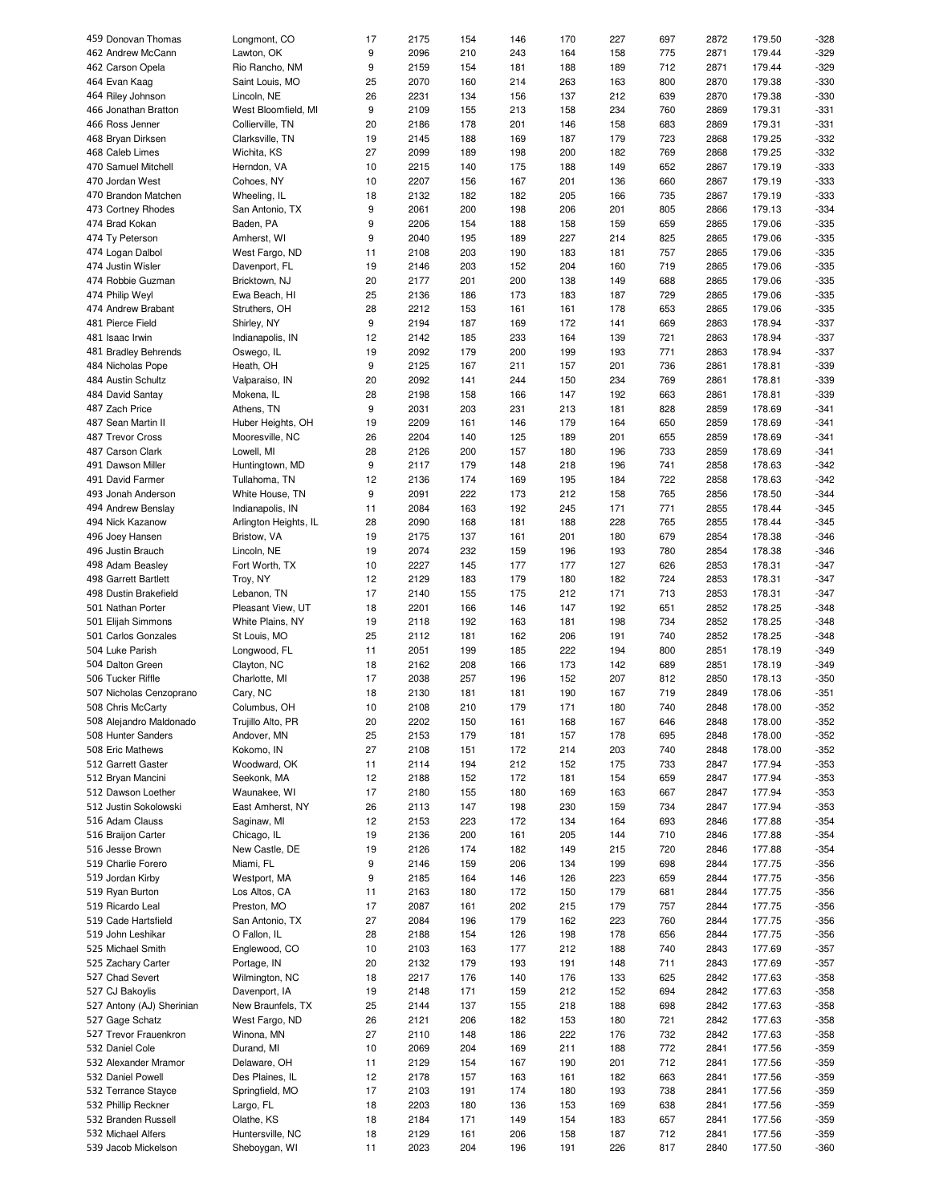| 459 Donovan Thomas        | Longmont, CO          | 17 | 2175 | 154 | 146 | 170 | 227 | 697 | 2872 | 179.50 | -328   |
|---------------------------|-----------------------|----|------|-----|-----|-----|-----|-----|------|--------|--------|
| 462 Andrew McCann         | Lawton, OK            | 9  | 2096 | 210 | 243 | 164 | 158 | 775 | 2871 | 179.44 | $-329$ |
| 462 Carson Opela          | Rio Rancho, NM        | 9  | 2159 | 154 | 181 | 188 | 189 | 712 | 2871 | 179.44 | $-329$ |
| 464 Evan Kaag             | Saint Louis, MO       | 25 | 2070 | 160 | 214 | 263 | 163 | 800 | 2870 | 179.38 | $-330$ |
| 464 Riley Johnson         | Lincoln, NE           | 26 | 2231 | 134 | 156 | 137 | 212 | 639 | 2870 | 179.38 | $-330$ |
| 466 Jonathan Bratton      |                       | 9  | 2109 | 155 | 213 | 158 | 234 | 760 | 2869 | 179.31 | $-331$ |
|                           | West Bloomfield, MI   |    |      |     |     |     |     |     |      |        |        |
| 466 Ross Jenner           | Collierville, TN      | 20 | 2186 | 178 | 201 | 146 | 158 | 683 | 2869 | 179.31 | $-331$ |
| 468 Bryan Dirksen         | Clarksville, TN       | 19 | 2145 | 188 | 169 | 187 | 179 | 723 | 2868 | 179.25 | $-332$ |
| 468 Caleb Limes           | Wichita, KS           | 27 | 2099 | 189 | 198 | 200 | 182 | 769 | 2868 | 179.25 | $-332$ |
| 470 Samuel Mitchell       | Herndon, VA           | 10 | 2215 | 140 | 175 | 188 | 149 | 652 | 2867 | 179.19 | $-333$ |
| 470 Jordan West           | Cohoes, NY            | 10 | 2207 | 156 | 167 | 201 | 136 | 660 | 2867 | 179.19 | $-333$ |
| 470 Brandon Matchen       | Wheeling, IL          | 18 | 2132 | 182 | 182 | 205 | 166 | 735 | 2867 | 179.19 | $-333$ |
| 473 Cortney Rhodes        | San Antonio, TX       | 9  | 2061 | 200 | 198 | 206 | 201 | 805 | 2866 | 179.13 | $-334$ |
|                           |                       |    |      |     |     |     |     |     |      |        |        |
| 474 Brad Kokan            | Baden, PA             | 9  | 2206 | 154 | 188 | 158 | 159 | 659 | 2865 | 179.06 | $-335$ |
| 474 Ty Peterson           | Amherst, WI           | 9  | 2040 | 195 | 189 | 227 | 214 | 825 | 2865 | 179.06 | $-335$ |
| 474 Logan Dalbol          | West Fargo, ND        | 11 | 2108 | 203 | 190 | 183 | 181 | 757 | 2865 | 179.06 | $-335$ |
| 474 Justin Wisler         | Davenport, FL         | 19 | 2146 | 203 | 152 | 204 | 160 | 719 | 2865 | 179.06 | $-335$ |
| 474 Robbie Guzman         | Bricktown, NJ         | 20 | 2177 | 201 | 200 | 138 | 149 | 688 | 2865 | 179.06 | $-335$ |
| 474 Philip Weyl           | Ewa Beach, HI         | 25 | 2136 | 186 | 173 | 183 | 187 | 729 | 2865 | 179.06 | $-335$ |
| 474 Andrew Brabant        | Struthers, OH         | 28 | 2212 | 153 | 161 | 161 | 178 | 653 | 2865 | 179.06 | $-335$ |
|                           |                       |    |      |     |     |     |     |     |      |        |        |
| 481 Pierce Field          | Shirley, NY           | 9  | 2194 | 187 | 169 | 172 | 141 | 669 | 2863 | 178.94 | $-337$ |
| 481 Isaac Irwin           | Indianapolis, IN      | 12 | 2142 | 185 | 233 | 164 | 139 | 721 | 2863 | 178.94 | $-337$ |
| 481 Bradley Behrends      | Oswego, IL            | 19 | 2092 | 179 | 200 | 199 | 193 | 771 | 2863 | 178.94 | $-337$ |
| 484 Nicholas Pope         | Heath, OH             | 9  | 2125 | 167 | 211 | 157 | 201 | 736 | 2861 | 178.81 | $-339$ |
| 484 Austin Schultz        | Valparaiso, IN        | 20 | 2092 | 141 | 244 | 150 | 234 | 769 | 2861 | 178.81 | $-339$ |
| 484 David Santay          | Mokena, IL            | 28 | 2198 | 158 | 166 | 147 | 192 | 663 | 2861 | 178.81 | $-339$ |
| 487 Zach Price            | Athens, TN            | 9  | 2031 | 203 | 231 | 213 | 181 | 828 | 2859 | 178.69 | $-341$ |
|                           |                       |    |      |     |     |     |     |     |      |        |        |
| 487 Sean Martin II        | Huber Heights, OH     | 19 | 2209 | 161 | 146 | 179 | 164 | 650 | 2859 | 178.69 | $-341$ |
| 487 Trevor Cross          | Mooresville, NC       | 26 | 2204 | 140 | 125 | 189 | 201 | 655 | 2859 | 178.69 | $-341$ |
| 487 Carson Clark          | Lowell, MI            | 28 | 2126 | 200 | 157 | 180 | 196 | 733 | 2859 | 178.69 | $-341$ |
| 491 Dawson Miller         | Huntingtown, MD       | 9  | 2117 | 179 | 148 | 218 | 196 | 741 | 2858 | 178.63 | $-342$ |
| 491 David Farmer          | Tullahoma, TN         | 12 | 2136 | 174 | 169 | 195 | 184 | 722 | 2858 | 178.63 | $-342$ |
| 493 Jonah Anderson        | White House, TN       | 9  | 2091 | 222 | 173 | 212 | 158 | 765 | 2856 | 178.50 | $-344$ |
|                           |                       |    | 2084 | 163 | 192 | 245 |     | 771 | 2855 | 178.44 | $-345$ |
| 494 Andrew Benslay        | Indianapolis, IN      | 11 |      |     |     |     | 171 |     |      |        |        |
| 494 Nick Kazanow          | Arlington Heights, IL | 28 | 2090 | 168 | 181 | 188 | 228 | 765 | 2855 | 178.44 | $-345$ |
| 496 Joey Hansen           | Bristow, VA           | 19 | 2175 | 137 | 161 | 201 | 180 | 679 | 2854 | 178.38 | $-346$ |
| 496 Justin Brauch         | Lincoln, NE           | 19 | 2074 | 232 | 159 | 196 | 193 | 780 | 2854 | 178.38 | $-346$ |
| 498 Adam Beasley          | Fort Worth, TX        | 10 | 2227 | 145 | 177 | 177 | 127 | 626 | 2853 | 178.31 | $-347$ |
| 498 Garrett Bartlett      | Troy, NY              | 12 | 2129 | 183 | 179 | 180 | 182 | 724 | 2853 | 178.31 | $-347$ |
| 498 Dustin Brakefield     | Lebanon, TN           | 17 | 2140 | 155 | 175 | 212 | 171 | 713 | 2853 | 178.31 | $-347$ |
| 501 Nathan Porter         | Pleasant View, UT     | 18 | 2201 | 166 | 146 | 147 | 192 | 651 | 2852 | 178.25 | $-348$ |
|                           |                       |    |      |     |     |     |     |     |      |        |        |
| 501 Elijah Simmons        | White Plains, NY      | 19 | 2118 | 192 | 163 | 181 | 198 | 734 | 2852 | 178.25 | $-348$ |
| 501 Carlos Gonzales       | St Louis, MO          | 25 | 2112 | 181 | 162 | 206 | 191 | 740 | 2852 | 178.25 | $-348$ |
| 504 Luke Parish           | Longwood, FL          | 11 | 2051 | 199 | 185 | 222 | 194 | 800 | 2851 | 178.19 | $-349$ |
| 504 Dalton Green          | Clayton, NC           | 18 | 2162 | 208 | 166 | 173 | 142 | 689 | 2851 | 178.19 | $-349$ |
| 506 Tucker Riffle         | Charlotte, MI         | 17 | 2038 | 257 | 196 | 152 | 207 | 812 | 2850 | 178.13 | $-350$ |
| 507 Nicholas Cenzoprano   | Cary, NC              | 18 | 2130 | 181 | 181 | 190 | 167 | 719 | 2849 | 178.06 | $-351$ |
|                           | Columbus, OH          | 10 | 2108 | 210 | 179 | 171 | 180 | 740 | 2848 |        | $-352$ |
| 508 Chris McCarty         |                       |    |      |     |     |     |     |     |      | 178.00 |        |
| 508 Alejandro Maldonado   | Trujillo Alto, PR     | 20 | 2202 | 150 | 161 | 168 | 167 | 646 | 2848 | 178.00 | -352   |
| 508 Hunter Sanders        | Andover, MN           | 25 | 2153 | 179 | 181 | 157 | 178 | 695 | 2848 | 178.00 | $-352$ |
| 508 Eric Mathews          | Kokomo, IN            | 27 | 2108 | 151 | 172 | 214 | 203 | 740 | 2848 | 178.00 | -352   |
| 512 Garrett Gaster        | Woodward, OK          | 11 | 2114 | 194 | 212 | 152 | 175 | 733 | 2847 | 177.94 | $-353$ |
| 512 Bryan Mancini         | Seekonk, MA           | 12 | 2188 | 152 | 172 | 181 | 154 | 659 | 2847 | 177.94 | $-353$ |
| 512 Dawson Loether        | Waunakee, WI          | 17 | 2180 | 155 | 180 | 169 | 163 | 667 | 2847 | 177.94 | -353   |
|                           | East Amherst, NY      | 26 | 2113 | 147 | 198 | 230 | 159 | 734 | 2847 | 177.94 | $-353$ |
| 512 Justin Sokolowski     |                       |    |      |     |     |     |     |     |      |        |        |
| 516 Adam Clauss           | Saginaw, MI           | 12 | 2153 | 223 | 172 | 134 | 164 | 693 | 2846 | 177.88 | $-354$ |
| 516 Braijon Carter        | Chicago, IL           | 19 | 2136 | 200 | 161 | 205 | 144 | 710 | 2846 | 177.88 | $-354$ |
| 516 Jesse Brown           | New Castle, DE        | 19 | 2126 | 174 | 182 | 149 | 215 | 720 | 2846 | 177.88 | $-354$ |
| 519 Charlie Forero        | Miami, FL             | 9  | 2146 | 159 | 206 | 134 | 199 | 698 | 2844 | 177.75 | $-356$ |
| 519 Jordan Kirby          | Westport, MA          | 9  | 2185 | 164 | 146 | 126 | 223 | 659 | 2844 | 177.75 | -356   |
| 519 Ryan Burton           | Los Altos, CA         | 11 | 2163 | 180 | 172 | 150 | 179 | 681 | 2844 | 177.75 | -356   |
|                           |                       |    |      |     |     |     |     |     |      |        |        |
| 519 Ricardo Leal          | Preston, MO           | 17 | 2087 | 161 | 202 | 215 | 179 | 757 | 2844 | 177.75 | -356   |
| 519 Cade Hartsfield       | San Antonio, TX       | 27 | 2084 | 196 | 179 | 162 | 223 | 760 | 2844 | 177.75 | -356   |
| 519 John Leshikar         | O Fallon, IL          | 28 | 2188 | 154 | 126 | 198 | 178 | 656 | 2844 | 177.75 | -356   |
| 525 Michael Smith         | Englewood, CO         | 10 | 2103 | 163 | 177 | 212 | 188 | 740 | 2843 | 177.69 | $-357$ |
| 525 Zachary Carter        | Portage, IN           | 20 | 2132 | 179 | 193 | 191 | 148 | 711 | 2843 | 177.69 | $-357$ |
| 527 Chad Severt           | Wilmington, NC        | 18 | 2217 | 176 | 140 | 176 | 133 | 625 | 2842 | 177.63 | -358   |
|                           |                       |    |      |     |     |     |     |     |      |        |        |
| 527 CJ Bakoylis           | Davenport, IA         | 19 | 2148 | 171 | 159 | 212 | 152 | 694 | 2842 | 177.63 | $-358$ |
| 527 Antony (AJ) Sherinian | New Braunfels, TX     | 25 | 2144 | 137 | 155 | 218 | 188 | 698 | 2842 | 177.63 | -358   |
| 527 Gage Schatz           | West Fargo, ND        | 26 | 2121 | 206 | 182 | 153 | 180 | 721 | 2842 | 177.63 | -358   |
| 527 Trevor Frauenkron     | Winona, MN            | 27 | 2110 | 148 | 186 | 222 | 176 | 732 | 2842 | 177.63 | -358   |
| 532 Daniel Cole           | Durand, MI            | 10 | 2069 | 204 | 169 | 211 | 188 | 772 | 2841 | 177.56 | -359   |
|                           |                       | 11 |      |     |     |     |     | 712 |      | 177.56 | $-359$ |
| 532 Alexander Mramor      | Delaware, OH          |    | 2129 | 154 | 167 | 190 | 201 |     | 2841 |        |        |
| 532 Daniel Powell         | Des Plaines, IL       | 12 | 2178 | 157 | 163 | 161 | 182 | 663 | 2841 | 177.56 | $-359$ |
| 532 Terrance Stayce       | Springfield, MO       | 17 | 2103 | 191 | 174 | 180 | 193 | 738 | 2841 | 177.56 | $-359$ |
| 532 Phillip Reckner       | Largo, FL             | 18 | 2203 | 180 | 136 | 153 | 169 | 638 | 2841 | 177.56 | -359   |
| 532 Branden Russell       | Olathe, KS            | 18 | 2184 | 171 | 149 | 154 | 183 | 657 | 2841 | 177.56 | -359   |
| 532 Michael Alfers        | Huntersville, NC      | 18 | 2129 | 161 | 206 | 158 | 187 | 712 | 2841 | 177.56 | -359   |
| 539 Jacob Mickelson       | Sheboygan, WI         | 11 | 2023 | 204 | 196 | 191 | 226 | 817 | 2840 | 177.50 | -360   |
|                           |                       |    |      |     |     |     |     |     |      |        |        |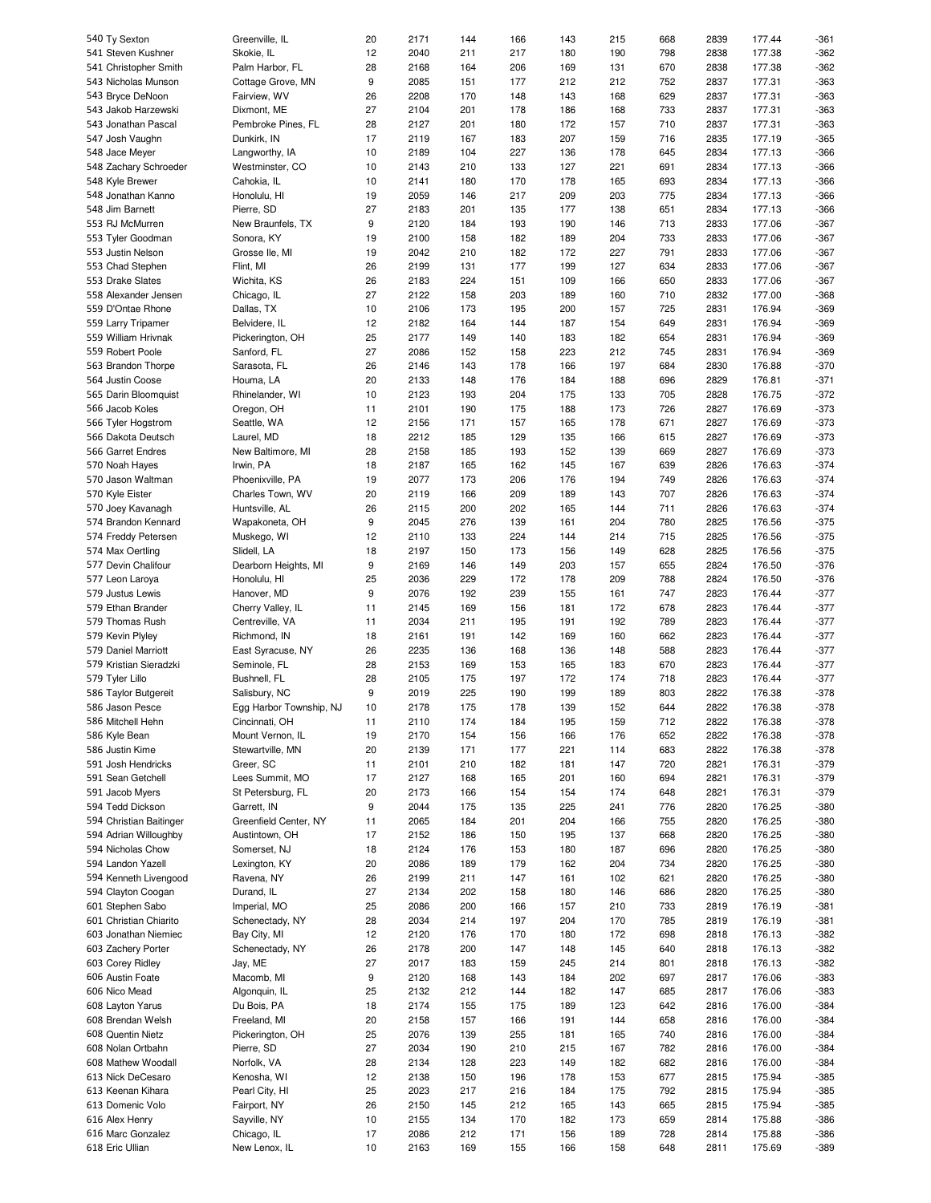| 540 Ty Sexton                        | Greenville, IL               | 20       | 2171         | 144        | 166        | 143        | 215        | 668        | 2839         | 177.44           | $-361$           |
|--------------------------------------|------------------------------|----------|--------------|------------|------------|------------|------------|------------|--------------|------------------|------------------|
| 541 Steven Kushner                   | Skokie, IL                   | 12       | 2040         | 211        | 217        | 180        | 190        | 798        | 2838         | 177.38           | $-362$           |
| 541 Christopher Smith                | Palm Harbor, FL              | 28       | 2168         | 164        | 206        | 169        | 131        | 670        | 2838         | 177.38           | $-362$           |
| 543 Nicholas Munson                  | Cottage Grove, MN            | 9        | 2085         | 151        | 177        | 212        | 212        | 752        | 2837         | 177.31           | $-363$           |
|                                      |                              |          |              |            |            |            |            |            |              |                  |                  |
| 543 Bryce DeNoon                     | Fairview, WV                 | 26       | 2208         | 170        | 148        | 143        | 168        | 629        | 2837         | 177.31           | $-363$           |
| 543 Jakob Harzewski                  | Dixmont, ME                  | 27       | 2104         | 201        | 178        | 186        | 168        | 733        | 2837         | 177.31           | $-363$           |
| 543 Jonathan Pascal                  | Pembroke Pines, FL           | 28       | 2127         | 201        | 180        | 172        | 157        | 710        | 2837         | 177.31           | $-363$           |
| 547 Josh Vaughn                      | Dunkirk, IN                  | 17       | 2119         | 167        | 183        | 207        | 159        | 716        | 2835         | 177.19           | $-365$           |
| 548 Jace Meyer                       | Langworthy, IA               | 10       | 2189         | 104        | 227        | 136        | 178        | 645        | 2834         | 177.13           | $-366$           |
|                                      |                              |          |              |            |            |            |            |            |              |                  |                  |
| 548 Zachary Schroeder                | Westminster, CO              | 10       | 2143         | 210        | 133        | 127        | 221        | 691        | 2834         | 177.13           | $-366$           |
| 548 Kyle Brewer                      | Cahokia, IL                  | 10       | 2141         | 180        | 170        | 178        | 165        | 693        | 2834         | 177.13           | $-366$           |
| 548 Jonathan Kanno                   | Honolulu, HI                 | 19       | 2059         | 146        | 217        | 209        | 203        | 775        | 2834         | 177.13           | $-366$           |
| 548 Jim Barnett                      | Pierre, SD                   | 27       | 2183         | 201        | 135        | 177        | 138        | 651        | 2834         | 177.13           | $-366$           |
| 553 RJ McMurren                      | New Braunfels, TX            | 9        | 2120         | 184        | 193        | 190        | 146        | 713        | 2833         | 177.06           | $-367$           |
|                                      |                              |          |              |            |            |            |            |            |              |                  |                  |
| 553 Tyler Goodman                    | Sonora, KY                   | 19       | 2100         | 158        | 182        | 189        | 204        | 733        | 2833         | 177.06           | $-367$           |
| 553 Justin Nelson                    | Grosse Ile, MI               | 19       | 2042         | 210        | 182        | 172        | 227        | 791        | 2833         | 177.06           | $-367$           |
| 553 Chad Stephen                     | Flint, MI                    | 26       | 2199         | 131        | 177        | 199        | 127        | 634        | 2833         | 177.06           | $-367$           |
| 553 Drake Slates                     | Wichita, KS                  | 26       | 2183         | 224        | 151        | 109        | 166        | 650        | 2833         | 177.06           | $-367$           |
| 558 Alexander Jensen                 | Chicago, IL                  | 27       | 2122         | 158        | 203        | 189        | 160        | 710        | 2832         | 177.00           | $-368$           |
|                                      |                              |          |              |            |            |            |            |            |              |                  |                  |
| 559 D'Ontae Rhone                    | Dallas, TX                   | 10       | 2106         | 173        | 195        | 200        | 157        | 725        | 2831         | 176.94           | $-369$           |
| 559 Larry Tripamer                   | Belvidere, IL                | 12       | 2182         | 164        | 144        | 187        | 154        | 649        | 2831         | 176.94           | $-369$           |
| 559 William Hrivnak                  | Pickerington, OH             | 25       | 2177         | 149        | 140        | 183        | 182        | 654        | 2831         | 176.94           | $-369$           |
| 559 Robert Poole                     | Sanford, FL                  | 27       | 2086         | 152        | 158        | 223        | 212        | 745        | 2831         | 176.94           | $-369$           |
| 563 Brandon Thorpe                   | Sarasota, FL                 | 26       | 2146         | 143        | 178        | 166        | 197        | 684        | 2830         | 176.88           | $-370$           |
|                                      |                              |          |              |            |            |            |            |            |              |                  |                  |
| 564 Justin Coose                     | Houma, LA                    | 20       | 2133         | 148        | 176        | 184        | 188        | 696        | 2829         | 176.81           | $-371$           |
| 565 Darin Bloomquist                 | Rhinelander, WI              | 10       | 2123         | 193        | 204        | 175        | 133        | 705        | 2828         | 176.75           | $-372$           |
| 566 Jacob Koles                      | Oregon, OH                   | 11       | 2101         | 190        | 175        | 188        | 173        | 726        | 2827         | 176.69           | $-373$           |
| 566 Tyler Hogstrom                   | Seattle, WA                  | 12       | 2156         | 171        | 157        | 165        | 178        | 671        | 2827         | 176.69           | $-373$           |
|                                      |                              | 18       | 2212         | 185        | 129        | 135        | 166        | 615        | 2827         | 176.69           | $-373$           |
| 566 Dakota Deutsch                   | Laurel, MD                   |          |              |            |            |            |            |            |              |                  |                  |
| 566 Garret Endres                    | New Baltimore, MI            | 28       | 2158         | 185        | 193        | 152        | 139        | 669        | 2827         | 176.69           | $-373$           |
| 570 Noah Hayes                       | Irwin, PA                    | 18       | 2187         | 165        | 162        | 145        | 167        | 639        | 2826         | 176.63           | $-374$           |
| 570 Jason Waltman                    | Phoenixville, PA             | 19       | 2077         | 173        | 206        | 176        | 194        | 749        | 2826         | 176.63           | $-374$           |
| 570 Kyle Eister                      | Charles Town, WV             | 20       | 2119         | 166        | 209        | 189        | 143        | 707        | 2826         | 176.63           | $-374$           |
|                                      |                              | 26       | 2115         | 200        | 202        | 165        | 144        | 711        | 2826         | 176.63           | $-374$           |
| 570 Joey Kavanagh                    | Huntsville, AL               |          |              |            |            |            |            |            |              |                  |                  |
| 574 Brandon Kennard                  | Wapakoneta, OH               | 9        | 2045         | 276        | 139        | 161        | 204        | 780        | 2825         | 176.56           | $-375$           |
| 574 Freddy Petersen                  | Muskego, WI                  | 12       | 2110         | 133        | 224        | 144        | 214        | 715        | 2825         | 176.56           | $-375$           |
| 574 Max Oertling                     | Slidell, LA                  | 18       | 2197         | 150        | 173        | 156        | 149        | 628        | 2825         | 176.56           | $-375$           |
| 577 Devin Chalifour                  | Dearborn Heights, MI         | 9        | 2169         | 146        | 149        | 203        | 157        | 655        | 2824         | 176.50           | $-376$           |
| 577 Leon Laroya                      | Honolulu, HI                 | 25       | 2036         | 229        | 172        | 178        | 209        | 788        | 2824         | 176.50           | $-376$           |
|                                      |                              |          |              |            |            |            |            |            |              |                  |                  |
| 579 Justus Lewis                     | Hanover, MD                  | 9        | 2076         | 192        | 239        | 155        | 161        | 747        | 2823         | 176.44           | $-377$           |
|                                      | Cherry Valley, IL            | 11       | 2145         | 169        | 156        | 181        | 172        | 678        | 2823         | 176.44           | $-377$           |
| 579 Ethan Brander                    |                              |          |              |            |            |            |            |            |              |                  |                  |
| 579 Thomas Rush                      | Centreville, VA              | 11       | 2034         | 211        | 195        | 191        | 192        | 789        | 2823         | 176.44           | $-377$           |
|                                      |                              |          |              |            |            |            |            |            |              |                  |                  |
| 579 Kevin Plyley                     | Richmond, IN                 | 18       | 2161         | 191        | 142        | 169        | 160        | 662        | 2823         | 176.44           | $-377$           |
| 579 Daniel Marriott                  | East Syracuse, NY            | 26       | 2235         | 136        | 168        | 136        | 148        | 588        | 2823         | 176.44           | $-377$           |
| 579 Kristian Sieradzki               | Seminole, FL                 | 28       | 2153         | 169        | 153        | 165        | 183        | 670        | 2823         | 176.44           | $-377$           |
| 579 Tyler Lillo                      | Bushnell, FL                 | 28       | 2105         | 175        | 197        | 172        | 174        | 718        | 2823         | 176.44           | $-377$           |
| 586 Taylor Butgereit                 | Salisbury, NC                | 9        | 2019         | 225        | 190        | 199        | 189        | 803        | 2822         | 176.38           | $-378$           |
|                                      |                              | 10       |              |            |            |            |            |            |              |                  |                  |
| 586 Jason Pesce                      | Egg Harbor Township, NJ      |          | 2178         | 175        | 178        | 139        | 152        | 644        | 2822         | 176.38           | $-378$           |
| 586 Mitchell Hehn                    | Cincinnati, OH               | 11       | 2110         | 174        | 184        | 195        | 159        | 712        | 2822         | 176.38           | $-378$           |
| 586 Kyle Bean                        | Mount Vernon, IL             | 19       | 2170         | 154        | 156        | 166        | 176        | 652        | 2822         | 176.38           | $-378$           |
| 586 Justin Kime                      | Stewartville, MN             | 20       | 2139         | 171        | 177        | 221        | 114        | 683        | 2822         | 176.38           | $-378$           |
| 591 Josh Hendricks                   | Greer, SC                    | 11       | 2101         | 210        | 182        | 181        | 147        | 720        | 2821         | 176.31           | $-379$           |
| 591 Sean Getchell                    | Lees Summit, MO              | 17       | 2127         | 168        | 165        | 201        | 160        | 694        | 2821         | 176.31           | $-379$           |
|                                      |                              |          |              |            |            |            |            |            |              |                  |                  |
| 591 Jacob Myers                      | St Petersburg, FL            | 20       | 2173         | 166        | 154        | 154        | 174        | 648        | 2821         | 176.31           | $-379$           |
| 594 Tedd Dickson                     | Garrett, IN                  | 9        | 2044         | 175        | 135        | 225        | 241        | 776        | 2820         | 176.25           | $-380$           |
| 594 Christian Baitinger              | Greenfield Center, NY        | 11       | 2065         | 184        | 201        | 204        | 166        | 755        | 2820         | 176.25           | $-380$           |
| 594 Adrian Willoughby                | Austintown, OH               | 17       | 2152         | 186        | 150        | 195        | 137        | 668        | 2820         | 176.25           | $-380$           |
| 594 Nicholas Chow                    | Somerset, NJ                 | 18       | 2124         | 176        | 153        | 180        | 187        | 696        | 2820         | 176.25           | $-380$           |
| 594 Landon Yazell                    |                              |          |              |            |            |            |            |            |              |                  |                  |
|                                      | Lexington, KY                | 20       | 2086         | 189        | 179        | 162        | 204        | 734        | 2820         | 176.25           | $-380$           |
| 594 Kenneth Livengood                | Ravena, NY                   | 26       | 2199         | 211        | 147        | 161        | 102        | 621        | 2820         | 176.25           | $-380$           |
| 594 Clayton Coogan                   | Durand, IL                   | 27       | 2134         | 202        | 158        | 180        | 146        | 686        | 2820         | 176.25           | $-380$           |
| 601 Stephen Sabo                     | Imperial, MO                 | 25       | 2086         | 200        | 166        | 157        | 210        | 733        | 2819         | 176.19           | $-381$           |
| 601 Christian Chiarito               | Schenectady, NY              | 28       | 2034         | 214        | 197        | 204        | 170        | 785        | 2819         | 176.19           | $-381$           |
| 603 Jonathan Niemiec                 | Bay City, MI                 | 12       | 2120         | 176        | 170        | 180        | 172        | 698        | 2818         | 176.13           | $-382$           |
|                                      |                              |          |              |            |            |            |            |            |              |                  |                  |
| 603 Zachery Porter                   | Schenectady, NY              | 26       | 2178         | 200        | 147        | 148        | 145        | 640        | 2818         | 176.13           | $-382$           |
| 603 Corey Ridley                     | Jay, ME                      | 27       | 2017         | 183        | 159        | 245        | 214        | 801        | 2818         | 176.13           | $-382$           |
| 606 Austin Foate                     | Macomb, MI                   | 9        | 2120         | 168        | 143        | 184        | 202        | 697        | 2817         | 176.06           | $-383$           |
| 606 Nico Mead                        | Algonquin, IL                | 25       | 2132         | 212        | 144        | 182        | 147        | 685        | 2817         | 176.06           | $-383$           |
| 608 Layton Yarus                     | Du Bois, PA                  | 18       | 2174         | 155        | 175        | 189        | 123        | 642        | 2816         | 176.00           | $-384$           |
|                                      |                              |          |              |            |            |            |            |            |              |                  |                  |
| 608 Brendan Welsh                    | Freeland, MI                 | 20       | 2158         | 157        | 166        | 191        | 144        | 658        | 2816         | 176.00           | $-384$           |
| 608 Quentin Nietz                    | Pickerington, OH             | 25       | 2076         | 139        | 255        | 181        | 165        | 740        | 2816         | 176.00           | $-384$           |
| 608 Nolan Ortbahn                    | Pierre, SD                   | 27       | 2034         | 190        | 210        | 215        | 167        | 782        | 2816         | 176.00           | $-384$           |
| 608 Mathew Woodall                   | Norfolk, VA                  | 28       | 2134         | 128        | 223        | 149        | 182        | 682        | 2816         | 176.00           | $-384$           |
| 613 Nick DeCesaro                    | Kenosha, WI                  | 12       | 2138         | 150        | 196        | 178        | 153        | 677        | 2815         | 175.94           | $-385$           |
| 613 Keenan Kihara                    | Pearl City, HI               | 25       | 2023         | 217        | 216        | 184        | 175        | 792        | 2815         | 175.94           | $-385$           |
|                                      |                              |          |              |            |            |            |            |            |              |                  |                  |
| 613 Domenic Volo                     | Fairport, NY                 | 26       | 2150         | 145        | 212        | 165        | 143        | 665        | 2815         | 175.94           | $-385$           |
| 616 Alex Henry                       | Sayville, NY                 | 10       | 2155         | 134        | 170        | 182        | 173        | 659        | 2814         | 175.88           | $-386$           |
| 616 Marc Gonzalez<br>618 Eric Ullian | Chicago, IL<br>New Lenox, IL | 17<br>10 | 2086<br>2163 | 212<br>169 | 171<br>155 | 156<br>166 | 189<br>158 | 728<br>648 | 2814<br>2811 | 175.88<br>175.69 | $-386$<br>$-389$ |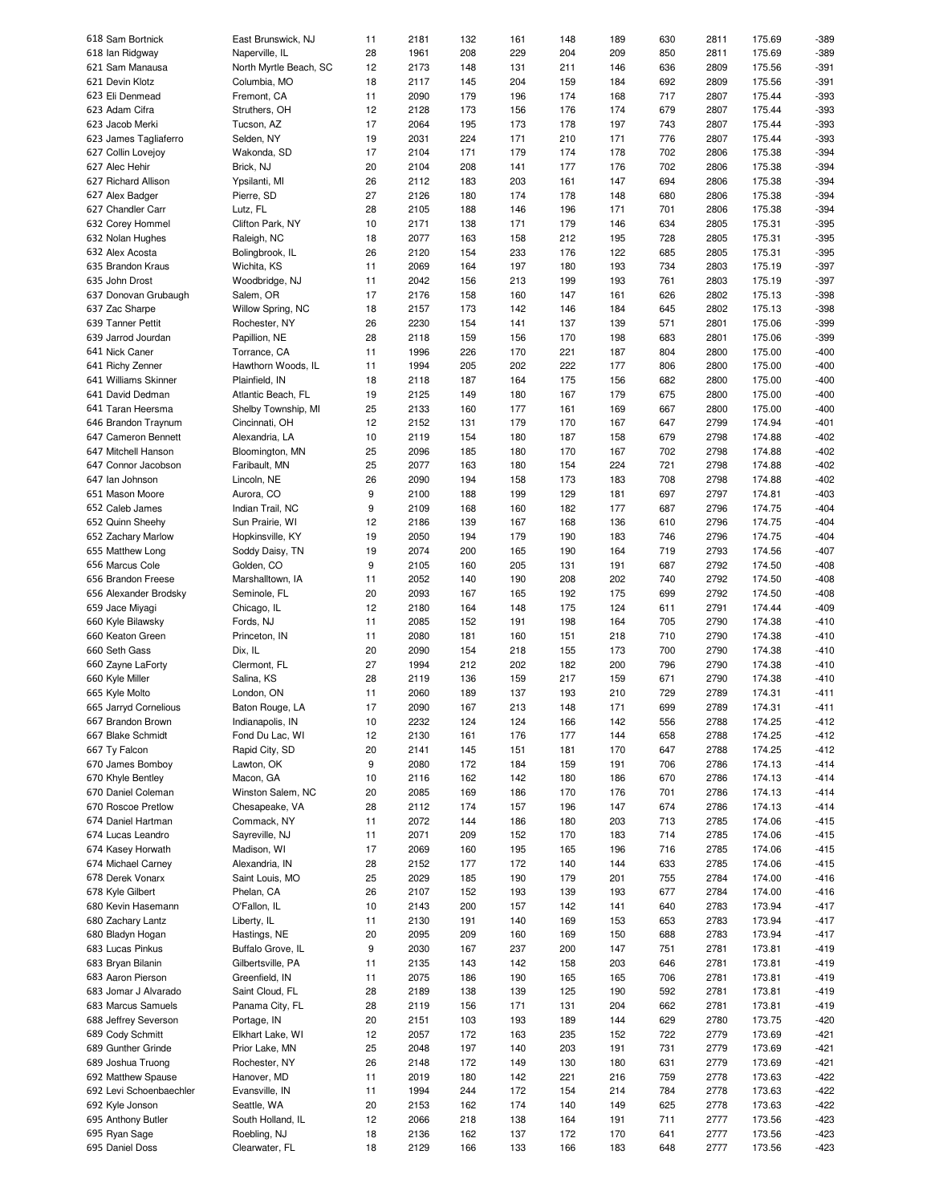| 618 Sam Bortnick                 | East Brunswick, NJ             | 11       | 2181         | 132        | 161        | 148        | 189        | 630        | 2811         | 175.69           | -389             |
|----------------------------------|--------------------------------|----------|--------------|------------|------------|------------|------------|------------|--------------|------------------|------------------|
| 618 Ian Ridgway                  | Naperville, IL                 | 28       | 1961         | 208        | 229        | 204        | 209        | 850        | 2811         | 175.69           | -389             |
| 621 Sam Manausa                  | North Myrtle Beach, SC         | 12       | 2173         | 148        | 131        | 211        | 146        | 636        | 2809         | 175.56           | $-391$           |
|                                  | Columbia, MO                   |          | 2117         |            |            |            |            |            |              |                  |                  |
| 621 Devin Klotz                  |                                | 18       |              | 145        | 204        | 159        | 184        | 692        | 2809         | 175.56           | $-391$           |
| 623 Eli Denmead                  | Fremont, CA                    | 11       | 2090         | 179        | 196        | 174        | 168        | 717        | 2807         | 175.44           | $-393$           |
| 623 Adam Cifra                   | Struthers, OH                  | 12       | 2128         | 173        | 156        | 176        | 174        | 679        | 2807         | 175.44           | -393             |
| 623 Jacob Merki                  | Tucson, AZ                     | 17       | 2064         | 195        | 173        | 178        | 197        | 743        | 2807         | 175.44           | $-393$           |
|                                  |                                |          |              |            |            |            |            |            |              |                  |                  |
| 623 James Tagliaferro            | Selden, NY                     | 19       | 2031         | 224        | 171        | 210        | 171        | 776        | 2807         | 175.44           | -393             |
| 627 Collin Lovejoy               | Wakonda, SD                    | 17       | 2104         | 171        | 179        | 174        | 178        | 702        | 2806         | 175.38           | $-394$           |
| 627 Alec Hehir                   | Brick, NJ                      | 20       | 2104         | 208        | 141        | 177        | 176        | 702        | 2806         | 175.38           | $-394$           |
|                                  |                                |          |              |            |            |            |            |            |              |                  |                  |
| 627 Richard Allison              | Ypsilanti, MI                  | 26       | 2112         | 183        | 203        | 161        | 147        | 694        | 2806         | 175.38           | $-394$           |
| 627 Alex Badger                  | Pierre, SD                     | 27       | 2126         | 180        | 174        | 178        | 148        | 680        | 2806         | 175.38           | $-394$           |
| 627 Chandler Carr                | Lutz, FL                       | 28       | 2105         | 188        | 146        | 196        | 171        | 701        | 2806         | 175.38           | $-394$           |
|                                  |                                |          |              |            |            |            |            |            |              |                  |                  |
| 632 Corey Hommel                 | Clifton Park, NY               | 10       | 2171         | 138        | 171        | 179        | 146        | 634        | 2805         | 175.31           | $-395$           |
| 632 Nolan Hughes                 | Raleigh, NC                    | 18       | 2077         | 163        | 158        | 212        | 195        | 728        | 2805         | 175.31           | $-395$           |
| 632 Alex Acosta                  | Bolingbrook, IL                | 26       | 2120         | 154        | 233        | 176        | 122        | 685        | 2805         | 175.31           | $-395$           |
|                                  |                                |          |              |            |            |            |            |            |              |                  |                  |
| 635 Brandon Kraus                | Wichita, KS                    | 11       | 2069         | 164        | 197        | 180        | 193        | 734        | 2803         | 175.19           | $-397$           |
| 635 John Drost                   | Woodbridge, NJ                 | 11       | 2042         | 156        | 213        | 199        | 193        | 761        | 2803         | 175.19           | $-397$           |
| 637 Donovan Grubaugh             | Salem, OR                      | 17       | 2176         | 158        | 160        | 147        | 161        | 626        | 2802         | 175.13           | -398             |
|                                  |                                |          |              |            |            |            |            |            |              |                  |                  |
| 637 Zac Sharpe                   | Willow Spring, NC              | 18       | 2157         | 173        | 142        | 146        | 184        | 645        | 2802         | 175.13           | -398             |
| 639 Tanner Pettit                | Rochester, NY                  | 26       | 2230         | 154        | 141        | 137        | 139        | 571        | 2801         | 175.06           | -399             |
| 639 Jarrod Jourdan               | Papillion, NE                  | 28       | 2118         | 159        | 156        | 170        | 198        | 683        | 2801         | 175.06           | -399             |
|                                  |                                |          |              |            |            |            |            |            |              |                  |                  |
| 641 Nick Caner                   | Torrance, CA                   | 11       | 1996         | 226        | 170        | 221        | 187        | 804        | 2800         | 175.00           | $-400$           |
| 641 Richy Zenner                 | Hawthorn Woods, IL             | 11       | 1994         | 205        | 202        | 222        | 177        | 806        | 2800         | 175.00           | $-400$           |
| 641 Williams Skinner             | Plainfield, IN                 | 18       | 2118         | 187        | 164        | 175        | 156        | 682        | 2800         | 175.00           | $-400$           |
|                                  |                                |          |              |            |            |            |            |            |              |                  |                  |
| 641 David Dedman                 | Atlantic Beach, FL             | 19       | 2125         | 149        | 180        | 167        | 179        | 675        | 2800         | 175.00           | $-400$           |
| 641 Taran Heersma                | Shelby Township, MI            | 25       | 2133         | 160        | 177        | 161        | 169        | 667        | 2800         | 175.00           | $-400$           |
| 646 Brandon Traynum              | Cincinnati, OH                 | 12       | 2152         | 131        | 179        | 170        | 167        | 647        | 2799         | 174.94           | $-401$           |
|                                  |                                |          |              |            |            |            |            |            |              |                  |                  |
| 647 Cameron Bennett              | Alexandria, LA                 | 10       | 2119         | 154        | 180        | 187        | 158        | 679        | 2798         | 174.88           | $-402$           |
| 647 Mitchell Hanson              | Bloomington, MN                | 25       | 2096         | 185        | 180        | 170        | 167        | 702        | 2798         | 174.88           | $-402$           |
| 647 Connor Jacobson              | Faribault, MN                  | 25       | 2077         | 163        | 180        | 154        | 224        | 721        | 2798         | 174.88           | $-402$           |
|                                  |                                |          |              |            |            |            |            |            |              |                  |                  |
| 647 Ian Johnson                  | Lincoln, NE                    | 26       | 2090         | 194        | 158        | 173        | 183        | 708        | 2798         | 174.88           | $-402$           |
| 651 Mason Moore                  | Aurora, CO                     | 9        | 2100         | 188        | 199        | 129        | 181        | 697        | 2797         | 174.81           | $-403$           |
| 652 Caleb James                  | Indian Trail, NC               | 9        | 2109         | 168        | 160        | 182        | 177        | 687        | 2796         | 174.75           | $-404$           |
|                                  |                                |          |              |            |            |            |            |            |              |                  |                  |
| 652 Quinn Sheehy                 | Sun Prairie, WI                | 12       | 2186         | 139        | 167        | 168        | 136        | 610        | 2796         | 174.75           | $-404$           |
| 652 Zachary Marlow               | Hopkinsville, KY               | 19       | 2050         | 194        | 179        | 190        | 183        | 746        | 2796         | 174.75           | $-404$           |
| 655 Matthew Long                 | Soddy Daisy, TN                | 19       | 2074         | 200        | 165        | 190        | 164        | 719        | 2793         | 174.56           | $-407$           |
|                                  |                                |          |              |            |            |            |            |            |              |                  |                  |
| 656 Marcus Cole                  | Golden, CO                     | 9        | 2105         | 160        | 205        | 131        | 191        | 687        | 2792         | 174.50           | $-408$           |
| 656 Brandon Freese               | Marshalltown, IA               | 11       | 2052         | 140        | 190        | 208        | 202        | 740        | 2792         | 174.50           | $-408$           |
| 656 Alexander Brodsky            | Seminole, FL                   | 20       | 2093         | 167        | 165        | 192        | 175        | 699        | 2792         | 174.50           | $-408$           |
|                                  |                                |          |              |            |            |            |            |            |              |                  |                  |
| 659 Jace Miyagi                  | Chicago, IL                    | 12       | 2180         | 164        | 148        | 175        | 124        | 611        | 2791         | 174.44           | $-409$           |
| 660 Kyle Bilawsky                | Fords, NJ                      | 11       | 2085         | 152        | 191        | 198        | 164        | 705        | 2790         | 174.38           | $-410$           |
| 660 Keaton Green                 | Princeton, IN                  | 11       | 2080         | 181        | 160        | 151        | 218        | 710        | 2790         | 174.38           | $-410$           |
|                                  |                                |          |              |            |            |            |            |            |              |                  |                  |
| 660 Seth Gass                    | Dix, IL                        | 20       | 2090         | 154        | 218        | 155        | 173        | 700        | 2790         | 174.38           | $-410$           |
| 660 Zayne LaForty                | Clermont, FL                   | 27       | 1994         | 212        | 202        | 182        | 200        | 796        | 2790         | 174.38           | $-410$           |
| 660 Kyle Miller                  | Salina, KS                     | 28       | 2119         | 136        | 159        | 217        | 159        | 671        | 2790         | 174.38           | $-410$           |
|                                  |                                |          |              |            |            |            |            |            |              |                  |                  |
| 665 Kyle Molto                   | London, ON                     | 11       | 2060         | 189        | 137        | 193        | 210        | 729        | 2789         | 174.31           | $-411$           |
| 665 Jarryd Cornelious            | Baton Rouge, LA                | 17       | 2090         | 167        | 213        | 148        | 171        | 699        | 2789         | 174.31           | $-411$           |
|                                  |                                |          | 2232         |            |            |            |            |            |              |                  |                  |
| 667 Brandon Brown                | Indianapolis, IN               | 10       |              | 124        | 124        | 166        | 142        | 556        | 2788         | 174.25           | $-412$           |
| 667 Blake Schmidt                | Fond Du Lac, WI                | 12       | 2130         | 161        | 176        | 177        | 144        | 658        | 2788         | 174.25           | $-412$           |
| 667 Ty Falcon                    | Rapid City, SD                 | 20       | 2141         | 145        | 151        | 181        | 170        | 647        | 2788         | 174.25           | $-412$           |
|                                  |                                |          |              |            |            |            |            |            |              |                  |                  |
| 670 James Bomboy                 | Lawton, OK                     | 9        | 2080         | 172        | 184        | 159        | 191        | 706        | 2786         | 174.13           | $-414$           |
| 670 Khyle Bentley                | Macon, GA                      | 10       | 2116         | 162        | 142        | 180        | 186        | 670        | 2786         | 174.13           | $-414$           |
| 670 Daniel Coleman               | Winston Salem, NC              | 20       | 2085         | 169        | 186        | 170        | 176        | 701        | 2786         | 174.13           | $-414$           |
|                                  |                                |          |              |            |            |            |            |            |              |                  |                  |
| 670 Roscoe Pretlow               | Chesapeake, VA                 | 28       | 2112         | 174        | 157        | 196        | 147        | 674        | 2786         | 174.13           | $-414$           |
| 674 Daniel Hartman               | Commack, NY                    | 11       | 2072         | 144        | 186        | 180        | 203        | 713        | 2785         | 174.06           | $-415$           |
| 674 Lucas Leandro                | Sayreville, NJ                 | 11       | 2071         | 209        | 152        | 170        | 183        | 714        | 2785         | 174.06           | $-415$           |
| 674 Kasey Horwath                | Madison, WI                    | 17       | 2069         | 160        | 195        | 165        | 196        | 716        | 2785         | 174.06           | $-415$           |
|                                  |                                |          |              |            |            |            |            |            |              |                  |                  |
| 674 Michael Carney               | Alexandria, IN                 | 28       | 2152         | 177        | 172        | 140        | 144        | 633        | 2785         | 174.06           | $-415$           |
| 678 Derek Vonarx                 | Saint Louis, MO                | 25       | 2029         | 185        | 190        | 179        | 201        | 755        | 2784         | 174.00           | $-416$           |
| 678 Kyle Gilbert                 | Phelan, CA                     | 26       | 2107         | 152        | 193        | 139        | 193        | 677        | 2784         | 174.00           | $-416$           |
|                                  |                                |          |              |            |            |            |            |            |              |                  |                  |
| 680 Kevin Hasemann               | O'Fallon, IL                   | 10       | 2143         | 200        | 157        | 142        | 141        | 640        | 2783         | 173.94           | $-417$           |
| 680 Zachary Lantz                | Liberty, IL                    | 11       | 2130         | 191        | 140        | 169        | 153        | 653        | 2783         | 173.94           | $-417$           |
| 680 Bladyn Hogan                 | Hastings, NE                   | 20       | 2095         | 209        | 160        | 169        | 150        | 688        | 2783         | 173.94           | $-417$           |
|                                  |                                |          |              |            |            |            |            |            |              |                  |                  |
| 683 Lucas Pinkus                 | Buffalo Grove, IL              | 9        | 2030         | 167        | 237        | 200        | 147        | 751        | 2781         | 173.81           | $-419$           |
| 683 Bryan Bilanin                | Gilbertsville, PA              | 11       | 2135         | 143        | 142        | 158        | 203        | 646        | 2781         | 173.81           | $-419$           |
| 683 Aaron Pierson                | Greenfield, IN                 | 11       | 2075         | 186        | 190        | 165        | 165        | 706        | 2781         | 173.81           | $-419$           |
|                                  |                                |          |              |            |            |            |            |            |              |                  |                  |
| 683 Jomar J Alvarado             | Saint Cloud, FL                | 28       | 2189         | 138        | 139        | 125        | 190        | 592        | 2781         | 173.81           | $-419$           |
| 683 Marcus Samuels               | Panama City, FL                | 28       | 2119         | 156        | 171        | 131        | 204        | 662        | 2781         | 173.81           | $-419$           |
|                                  | Portage, IN                    | 20       | 2151         | 103        | 193        | 189        | 144        | 629        | 2780         | 173.75           | $-420$           |
| 688 Jeffrey Severson             |                                |          |              |            |            |            |            |            |              |                  |                  |
| 689 Cody Schmitt                 | Elkhart Lake, WI               | 12       | 2057         | 172        | 163        | 235        | 152        | 722        | 2779         | 173.69           | $-421$           |
| 689 Gunther Grinde               | Prior Lake, MN                 | 25       | 2048         | 197        | 140        | 203        | 191        | 731        | 2779         | 173.69           | $-421$           |
|                                  |                                |          | 2148         |            |            |            |            |            |              |                  |                  |
|                                  |                                |          |              | 172        | 149        | 130        | 180        | 631        | 2779         | 173.69           | $-421$           |
| 689 Joshua Truong                | Rochester, NY                  | 26       |              |            |            |            |            |            |              |                  |                  |
| 692 Matthew Spause               | Hanover, MD                    | 11       | 2019         | 180        | 142        | 221        | 216        | 759        | 2778         | 173.63           | $-422$           |
|                                  |                                |          |              |            |            |            |            |            |              |                  |                  |
| 692 Levi Schoenbaechler          | Evansville, IN                 | 11       | 1994         | 244        | 172        | 154        | 214        | 784        | 2778         | 173.63           | $-422$           |
| 692 Kyle Jonson                  | Seattle, WA                    | 20       | 2153         | 162        | 174        | 140        | 149        | 625        | 2778         | 173.63           | $-422$           |
| 695 Anthony Butler               | South Holland, IL              | 12       | 2066         | 218        | 138        | 164        | 191        | 711        | 2777         | 173.56           | $-423$           |
|                                  |                                |          |              |            |            |            |            |            |              |                  |                  |
| 695 Ryan Sage<br>695 Daniel Doss | Roebling, NJ<br>Clearwater, FL | 18<br>18 | 2136<br>2129 | 162<br>166 | 137<br>133 | 172<br>166 | 170<br>183 | 641<br>648 | 2777<br>2777 | 173.56<br>173.56 | $-423$<br>$-423$ |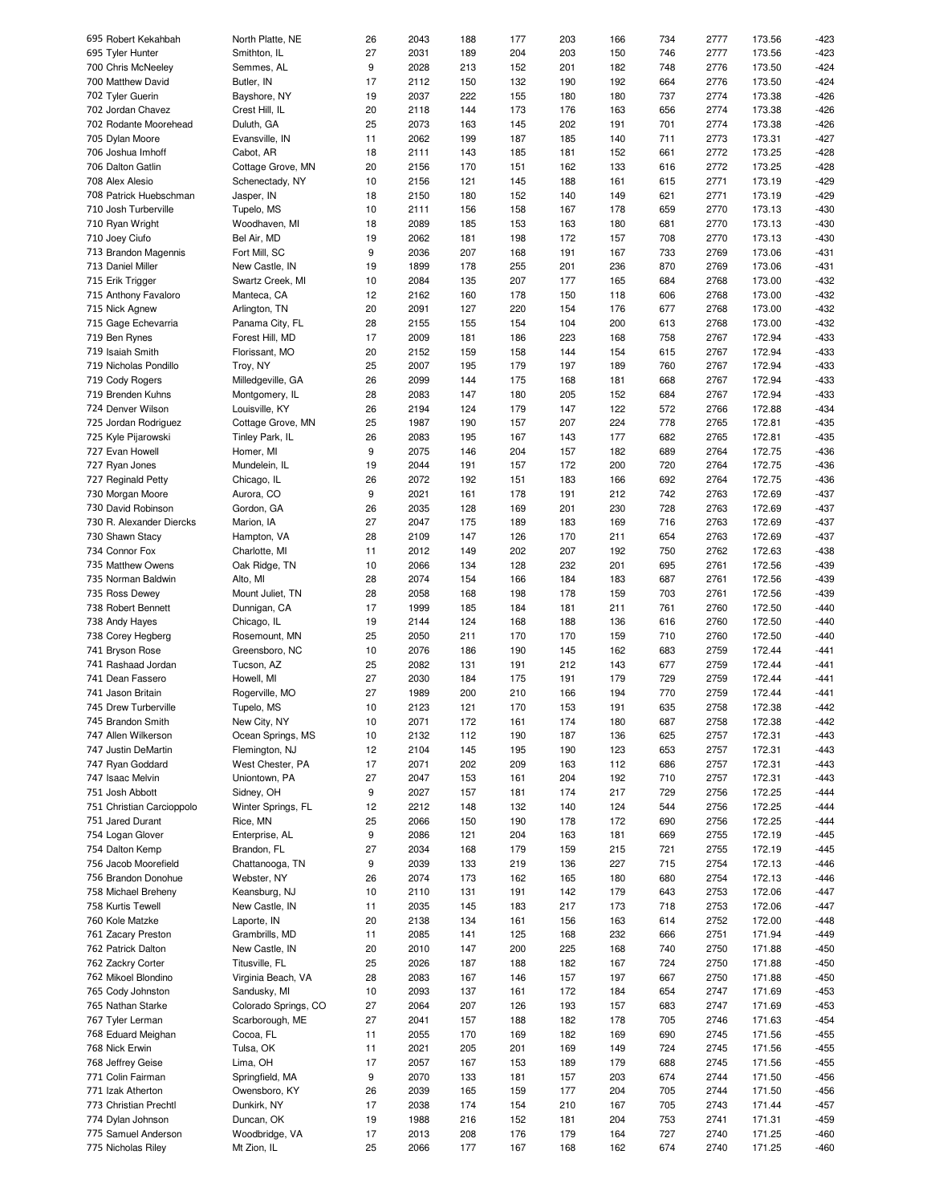| 695 Robert Kekahbah       | North Platte, NE     | 26 | 2043 | 188 | 177 | 203 | 166 | 734 | 2777 | 173.56 | -423   |
|---------------------------|----------------------|----|------|-----|-----|-----|-----|-----|------|--------|--------|
| 695 Tyler Hunter          | Smithton, IL         | 27 | 2031 | 189 | 204 | 203 | 150 | 746 | 2777 | 173.56 | $-423$ |
| 700 Chris McNeeley        | Semmes, AL           | 9  | 2028 | 213 | 152 | 201 | 182 | 748 | 2776 | 173.50 | $-424$ |
| 700 Matthew David         | Butler, IN           | 17 | 2112 | 150 | 132 | 190 | 192 | 664 | 2776 | 173.50 | $-424$ |
| 702 Tyler Guerin          | Bayshore, NY         | 19 | 2037 | 222 | 155 | 180 | 180 | 737 | 2774 | 173.38 | $-426$ |
|                           |                      |    |      |     |     |     |     |     |      |        |        |
| 702 Jordan Chavez         | Crest Hill, IL       | 20 | 2118 | 144 | 173 | 176 | 163 | 656 | 2774 | 173.38 | $-426$ |
| 702 Rodante Moorehead     | Duluth, GA           | 25 | 2073 | 163 | 145 | 202 | 191 | 701 | 2774 | 173.38 | $-426$ |
| 705 Dylan Moore           | Evansville, IN       | 11 | 2062 | 199 | 187 | 185 | 140 | 711 | 2773 | 173.31 | $-427$ |
| 706 Joshua Imhoff         | Cabot, AR            | 18 | 2111 | 143 | 185 | 181 | 152 | 661 | 2772 | 173.25 | $-428$ |
| 706 Dalton Gatlin         | Cottage Grove, MN    | 20 | 2156 | 170 | 151 | 162 | 133 | 616 | 2772 | 173.25 | $-428$ |
|                           |                      |    |      |     |     |     |     |     |      |        |        |
| 708 Alex Alesio           | Schenectady, NY      | 10 | 2156 | 121 | 145 | 188 | 161 | 615 | 2771 | 173.19 | $-429$ |
| 708 Patrick Huebschman    | Jasper, IN           | 18 | 2150 | 180 | 152 | 140 | 149 | 621 | 2771 | 173.19 | $-429$ |
| 710 Josh Turberville      | Tupelo, MS           | 10 | 2111 | 156 | 158 | 167 | 178 | 659 | 2770 | 173.13 | $-430$ |
| 710 Ryan Wright           | Woodhaven, MI        | 18 | 2089 | 185 | 153 | 163 | 180 | 681 | 2770 | 173.13 | $-430$ |
| 710 Joey Ciufo            | Bel Air, MD          | 19 | 2062 | 181 | 198 | 172 | 157 | 708 | 2770 | 173.13 | $-430$ |
| 713 Brandon Magennis      | Fort Mill, SC        | 9  | 2036 | 207 | 168 | 191 | 167 | 733 | 2769 | 173.06 | $-431$ |
|                           |                      |    |      |     |     |     |     |     |      |        |        |
| 713 Daniel Miller         | New Castle, IN       | 19 | 1899 | 178 | 255 | 201 | 236 | 870 | 2769 | 173.06 | $-431$ |
| 715 Erik Trigger          | Swartz Creek, MI     | 10 | 2084 | 135 | 207 | 177 | 165 | 684 | 2768 | 173.00 | $-432$ |
| 715 Anthony Favaloro      | Manteca, CA          | 12 | 2162 | 160 | 178 | 150 | 118 | 606 | 2768 | 173.00 | $-432$ |
| 715 Nick Agnew            | Arlington, TN        | 20 | 2091 | 127 | 220 | 154 | 176 | 677 | 2768 | 173.00 | $-432$ |
| 715 Gage Echevarria       | Panama City, FL      | 28 | 2155 | 155 | 154 | 104 | 200 | 613 | 2768 | 173.00 | $-432$ |
|                           | Forest Hill, MD      | 17 | 2009 | 181 | 186 | 223 | 168 | 758 | 2767 | 172.94 | $-433$ |
| 719 Ben Rynes             |                      |    |      |     |     |     |     |     |      |        |        |
| 719 Isaiah Smith          | Florissant, MO       | 20 | 2152 | 159 | 158 | 144 | 154 | 615 | 2767 | 172.94 | $-433$ |
| 719 Nicholas Pondillo     | Troy, NY             | 25 | 2007 | 195 | 179 | 197 | 189 | 760 | 2767 | 172.94 | $-433$ |
| 719 Cody Rogers           | Milledgeville, GA    | 26 | 2099 | 144 | 175 | 168 | 181 | 668 | 2767 | 172.94 | $-433$ |
| 719 Brenden Kuhns         | Montgomery, IL       | 28 | 2083 | 147 | 180 | 205 | 152 | 684 | 2767 | 172.94 | $-433$ |
| 724 Denver Wilson         | Louisville, KY       | 26 | 2194 | 124 | 179 | 147 | 122 | 572 | 2766 | 172.88 | $-434$ |
|                           |                      |    |      |     |     |     |     |     |      |        |        |
| 725 Jordan Rodriguez      | Cottage Grove, MN    | 25 | 1987 | 190 | 157 | 207 | 224 | 778 | 2765 | 172.81 | $-435$ |
| 725 Kyle Pijarowski       | Tinley Park, IL      | 26 | 2083 | 195 | 167 | 143 | 177 | 682 | 2765 | 172.81 | $-435$ |
| 727 Evan Howell           | Homer, MI            | 9  | 2075 | 146 | 204 | 157 | 182 | 689 | 2764 | 172.75 | $-436$ |
| 727 Ryan Jones            | Mundelein, IL        | 19 | 2044 | 191 | 157 | 172 | 200 | 720 | 2764 | 172.75 | $-436$ |
| 727 Reginald Petty        | Chicago, IL          | 26 | 2072 | 192 | 151 | 183 | 166 | 692 | 2764 | 172.75 | $-436$ |
| 730 Morgan Moore          | Aurora, CO           | 9  | 2021 | 161 | 178 | 191 | 212 | 742 | 2763 | 172.69 | $-437$ |
|                           |                      |    |      |     |     |     |     |     |      |        |        |
| 730 David Robinson        | Gordon, GA           | 26 | 2035 | 128 | 169 | 201 | 230 | 728 | 2763 | 172.69 | $-437$ |
| 730 R. Alexander Diercks  | Marion, IA           | 27 | 2047 | 175 | 189 | 183 | 169 | 716 | 2763 | 172.69 | $-437$ |
| 730 Shawn Stacy           | Hampton, VA          | 28 | 2109 | 147 | 126 | 170 | 211 | 654 | 2763 | 172.69 | $-437$ |
| 734 Connor Fox            | Charlotte, MI        | 11 | 2012 | 149 | 202 | 207 | 192 | 750 | 2762 | 172.63 | $-438$ |
| 735 Matthew Owens         | Oak Ridge, TN        | 10 | 2066 | 134 | 128 | 232 | 201 | 695 | 2761 | 172.56 | $-439$ |
| 735 Norman Baldwin        | Alto, MI             | 28 | 2074 | 154 | 166 | 184 | 183 | 687 | 2761 | 172.56 | $-439$ |
|                           |                      |    |      |     |     |     |     |     |      |        |        |
| 735 Ross Dewey            | Mount Juliet, TN     | 28 | 2058 | 168 | 198 | 178 | 159 | 703 | 2761 | 172.56 | $-439$ |
| 738 Robert Bennett        | Dunnigan, CA         | 17 | 1999 | 185 | 184 | 181 | 211 | 761 | 2760 | 172.50 | $-440$ |
| 738 Andy Hayes            | Chicago, IL          | 19 | 2144 | 124 | 168 | 188 | 136 | 616 | 2760 | 172.50 | $-440$ |
| 738 Corey Hegberg         | Rosemount, MN        | 25 | 2050 | 211 | 170 | 170 | 159 | 710 | 2760 | 172.50 | $-440$ |
| 741 Bryson Rose           | Greensboro, NC       | 10 | 2076 | 186 | 190 | 145 | 162 | 683 | 2759 | 172.44 | $-441$ |
|                           | Tucson, AZ           |    | 2082 |     |     |     |     | 677 |      | 172.44 | $-441$ |
| 741 Rashaad Jordan        |                      | 25 |      | 131 | 191 | 212 | 143 |     | 2759 |        |        |
| 741 Dean Fassero          | Howell, MI           | 27 | 2030 | 184 | 175 | 191 | 179 | 729 | 2759 | 172.44 | $-441$ |
| 741 Jason Britain         | Rogerville, MO       | 27 | 1989 | 200 | 210 | 166 | 194 | 770 | 2759 | 172.44 | $-441$ |
| 745 Drew Turberville      | Tupelo, MS           | 10 | 2123 | 121 | 170 | 153 | 191 | 635 | 2758 | 172.38 | $-442$ |
| 745 Brandon Smith         | New City, NY         | 10 | 2071 | 172 | 161 | 174 | 180 | 687 | 2758 | 172.38 | -442   |
| 747 Allen Wilkerson       | Ocean Springs, MS    | 10 | 2132 | 112 | 190 | 187 | 136 | 625 | 2757 | 172.31 | $-443$ |
|                           |                      |    |      |     |     |     |     |     |      |        |        |
| 747 Justin DeMartin       | Flemington, NJ       | 12 | 2104 | 145 | 195 | 190 | 123 | 653 | 2757 | 172.31 | $-443$ |
| 747 Ryan Goddard          | West Chester, PA     | 17 | 2071 | 202 | 209 | 163 | 112 | 686 | 2757 | 172.31 | $-443$ |
| 747 Isaac Melvin          | Uniontown, PA        | 27 | 2047 | 153 | 161 | 204 | 192 | 710 | 2757 | 172.31 | -443   |
| 751 Josh Abbott           | Sidney, OH           | 9  | 2027 | 157 | 181 | 174 | 217 | 729 | 2756 | 172.25 | $-444$ |
| 751 Christian Carcioppolo | Winter Springs, FL   | 12 | 2212 | 148 | 132 | 140 | 124 | 544 | 2756 | 172.25 | $-444$ |
| 751 Jared Durant          | Rice, MN             | 25 | 2066 | 150 | 190 | 178 | 172 | 690 | 2756 | 172.25 | $-444$ |
|                           |                      |    |      |     |     |     |     |     |      |        |        |
| 754 Logan Glover          | Enterprise, AL       | 9  | 2086 | 121 | 204 | 163 | 181 | 669 | 2755 | 172.19 | $-445$ |
| 754 Dalton Kemp           | Brandon, FL          | 27 | 2034 | 168 | 179 | 159 | 215 | 721 | 2755 | 172.19 | -445   |
| 756 Jacob Moorefield      | Chattanooga, TN      | 9  | 2039 | 133 | 219 | 136 | 227 | 715 | 2754 | 172.13 | $-446$ |
| 756 Brandon Donohue       | Webster, NY          | 26 | 2074 | 173 | 162 | 165 | 180 | 680 | 2754 | 172.13 | -446   |
| 758 Michael Breheny       | Keansburg, NJ        | 10 | 2110 | 131 | 191 | 142 | 179 | 643 | 2753 | 172.06 | $-447$ |
|                           |                      |    |      |     |     |     |     |     |      |        |        |
| 758 Kurtis Tewell         | New Castle, IN       | 11 | 2035 | 145 | 183 | 217 | 173 | 718 | 2753 | 172.06 | $-447$ |
| 760 Kole Matzke           | Laporte, IN          | 20 | 2138 | 134 | 161 | 156 | 163 | 614 | 2752 | 172.00 | $-448$ |
| 761 Zacary Preston        | Grambrills, MD       | 11 | 2085 | 141 | 125 | 168 | 232 | 666 | 2751 | 171.94 | $-449$ |
| 762 Patrick Dalton        | New Castle, IN       | 20 | 2010 | 147 | 200 | 225 | 168 | 740 | 2750 | 171.88 | $-450$ |
| 762 Zackry Corter         | Titusville, FL       | 25 | 2026 | 187 | 188 | 182 | 167 | 724 | 2750 | 171.88 | $-450$ |
| 762 Mikoel Blondino       | Virginia Beach, VA   | 28 | 2083 | 167 | 146 | 157 | 197 | 667 | 2750 | 171.88 | -450   |
|                           |                      |    |      |     |     |     |     |     |      |        |        |
| 765 Cody Johnston         | Sandusky, MI         | 10 | 2093 | 137 | 161 | 172 | 184 | 654 | 2747 | 171.69 | $-453$ |
| 765 Nathan Starke         | Colorado Springs, CO | 27 | 2064 | 207 | 126 | 193 | 157 | 683 | 2747 | 171.69 | -453   |
| 767 Tyler Lerman          | Scarborough, ME      | 27 | 2041 | 157 | 188 | 182 | 178 | 705 | 2746 | 171.63 | $-454$ |
| 768 Eduard Meighan        | Cocoa, FL            | 11 | 2055 | 170 | 169 | 182 | 169 | 690 | 2745 | 171.56 | -455   |
| 768 Nick Erwin            | Tulsa, OK            | 11 | 2021 | 205 | 201 | 169 | 149 | 724 | 2745 | 171.56 | -455   |
|                           |                      |    |      |     |     |     |     |     |      |        |        |
| 768 Jeffrey Geise         | Lima, OH             | 17 | 2057 | 167 | 153 | 189 | 179 | 688 | 2745 | 171.56 | -455   |
| 771 Colin Fairman         | Springfield, MA      | 9  | 2070 | 133 | 181 | 157 | 203 | 674 | 2744 | 171.50 | -456   |
| 771 Izak Atherton         | Owensboro, KY        | 26 | 2039 | 165 | 159 | 177 | 204 | 705 | 2744 | 171.50 | -456   |
| 773 Christian Prechtl     | Dunkirk, NY          | 17 | 2038 | 174 | 154 | 210 | 167 | 705 | 2743 | 171.44 | -457   |
| 774 Dylan Johnson         | Duncan, OK           | 19 | 1988 | 216 | 152 | 181 | 204 | 753 | 2741 | 171.31 | $-459$ |
|                           |                      |    |      |     |     |     |     |     |      |        |        |
| 775 Samuel Anderson       | Woodbridge, VA       | 17 | 2013 | 208 | 176 | 179 | 164 | 727 | 2740 | 171.25 | -460   |
| 775 Nicholas Riley        | Mt Zion, IL          | 25 | 2066 | 177 | 167 | 168 | 162 | 674 | 2740 | 171.25 | -460   |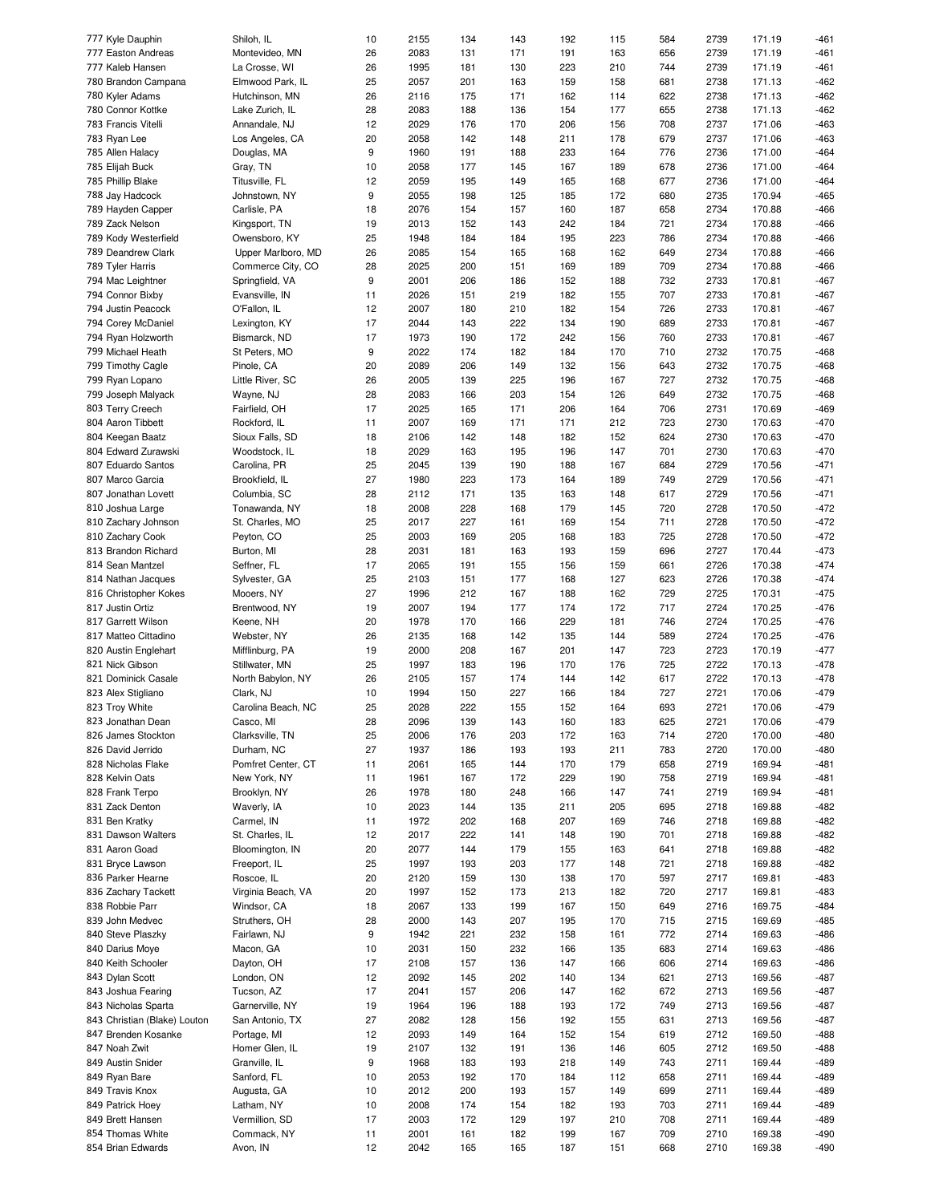| 777 Kyle Dauphin             | Shiloh, IL         | 10 | 2155 | 134 | 143 | 192 | 115 | 584 | 2739 | 171.19 | -461   |
|------------------------------|--------------------|----|------|-----|-----|-----|-----|-----|------|--------|--------|
| 777 Easton Andreas           | Montevideo, MN     | 26 | 2083 | 131 | 171 | 191 | 163 | 656 | 2739 | 171.19 | $-461$ |
| 777 Kaleb Hansen             | La Crosse, WI      | 26 | 1995 | 181 | 130 | 223 | 210 | 744 | 2739 | 171.19 | -461   |
| 780 Brandon Campana          | Elmwood Park, IL   | 25 | 2057 | 201 | 163 | 159 | 158 | 681 | 2738 | 171.13 | $-462$ |
| 780 Kyler Adams              | Hutchinson, MN     | 26 | 2116 | 175 | 171 | 162 | 114 | 622 | 2738 | 171.13 | $-462$ |
|                              |                    |    |      |     |     |     |     |     |      |        |        |
| 780 Connor Kottke            | Lake Zurich, IL    | 28 | 2083 | 188 | 136 | 154 | 177 | 655 | 2738 | 171.13 | $-462$ |
| 783 Francis Vitelli          | Annandale, NJ      | 12 | 2029 | 176 | 170 | 206 | 156 | 708 | 2737 | 171.06 | $-463$ |
| 783 Ryan Lee                 | Los Angeles, CA    | 20 | 2058 | 142 | 148 | 211 | 178 | 679 | 2737 | 171.06 | $-463$ |
| 785 Allen Halacy             | Douglas, MA        | 9  | 1960 | 191 | 188 | 233 | 164 | 776 | 2736 | 171.00 | $-464$ |
| 785 Elijah Buck              | Gray, TN           | 10 | 2058 | 177 | 145 | 167 | 189 | 678 | 2736 | 171.00 | $-464$ |
|                              | Titusville, FL     |    | 2059 | 195 |     |     |     | 677 |      |        | $-464$ |
| 785 Phillip Blake            |                    | 12 |      |     | 149 | 165 | 168 |     | 2736 | 171.00 |        |
| 788 Jay Hadcock              | Johnstown, NY      | 9  | 2055 | 198 | 125 | 185 | 172 | 680 | 2735 | 170.94 | $-465$ |
| 789 Hayden Capper            | Carlisle, PA       | 18 | 2076 | 154 | 157 | 160 | 187 | 658 | 2734 | 170.88 | -466   |
| 789 Zack Nelson              | Kingsport, TN      | 19 | 2013 | 152 | 143 | 242 | 184 | 721 | 2734 | 170.88 | $-466$ |
| 789 Kody Westerfield         | Owensboro, KY      | 25 | 1948 | 184 | 184 | 195 | 223 | 786 | 2734 | 170.88 | -466   |
| 789 Deandrew Clark           | Upper Marlboro, MD | 26 | 2085 | 154 | 165 | 168 | 162 | 649 | 2734 | 170.88 | $-466$ |
|                              |                    |    |      |     |     |     |     |     |      |        |        |
| 789 Tyler Harris             | Commerce City, CO  | 28 | 2025 | 200 | 151 | 169 | 189 | 709 | 2734 | 170.88 | $-466$ |
| 794 Mac Leightner            | Springfield, VA    | 9  | 2001 | 206 | 186 | 152 | 188 | 732 | 2733 | 170.81 | $-467$ |
| 794 Connor Bixby             | Evansville, IN     | 11 | 2026 | 151 | 219 | 182 | 155 | 707 | 2733 | 170.81 | $-467$ |
| 794 Justin Peacock           | O'Fallon, IL       | 12 | 2007 | 180 | 210 | 182 | 154 | 726 | 2733 | 170.81 | $-467$ |
| 794 Corey McDaniel           | Lexington, KY      | 17 | 2044 | 143 | 222 | 134 | 190 | 689 | 2733 | 170.81 | $-467$ |
| 794 Ryan Holzworth           | Bismarck, ND       | 17 | 1973 | 190 | 172 | 242 | 156 | 760 | 2733 | 170.81 | $-467$ |
|                              |                    |    |      |     |     |     |     |     |      |        |        |
| 799 Michael Heath            | St Peters, MO      | 9  | 2022 | 174 | 182 | 184 | 170 | 710 | 2732 | 170.75 | $-468$ |
| 799 Timothy Cagle            | Pinole, CA         | 20 | 2089 | 206 | 149 | 132 | 156 | 643 | 2732 | 170.75 | $-468$ |
| 799 Ryan Lopano              | Little River, SC   | 26 | 2005 | 139 | 225 | 196 | 167 | 727 | 2732 | 170.75 | $-468$ |
| 799 Joseph Malyack           | Wayne, NJ          | 28 | 2083 | 166 | 203 | 154 | 126 | 649 | 2732 | 170.75 | $-468$ |
| 803 Terry Creech             | Fairfield, OH      | 17 | 2025 | 165 | 171 | 206 | 164 | 706 | 2731 | 170.69 | $-469$ |
|                              |                    |    |      |     |     |     |     |     |      |        |        |
| 804 Aaron Tibbett            | Rockford, IL       | 11 | 2007 | 169 | 171 | 171 | 212 | 723 | 2730 | 170.63 | $-470$ |
| 804 Keegan Baatz             | Sioux Falls, SD    | 18 | 2106 | 142 | 148 | 182 | 152 | 624 | 2730 | 170.63 | $-470$ |
| 804 Edward Zurawski          | Woodstock, IL      | 18 | 2029 | 163 | 195 | 196 | 147 | 701 | 2730 | 170.63 | $-470$ |
| 807 Eduardo Santos           | Carolina, PR       | 25 | 2045 | 139 | 190 | 188 | 167 | 684 | 2729 | 170.56 | $-471$ |
| 807 Marco Garcia             | Brookfield, IL     | 27 | 1980 | 223 | 173 | 164 | 189 | 749 | 2729 | 170.56 | $-471$ |
| 807 Jonathan Lovett          | Columbia, SC       | 28 | 2112 | 171 | 135 | 163 | 148 | 617 | 2729 | 170.56 | $-471$ |
|                              |                    |    |      |     |     |     |     |     |      |        |        |
| 810 Joshua Large             | Tonawanda, NY      | 18 | 2008 | 228 | 168 | 179 | 145 | 720 | 2728 | 170.50 | $-472$ |
| 810 Zachary Johnson          | St. Charles, MO    | 25 | 2017 | 227 | 161 | 169 | 154 | 711 | 2728 | 170.50 | $-472$ |
| 810 Zachary Cook             | Peyton, CO         | 25 | 2003 | 169 | 205 | 168 | 183 | 725 | 2728 | 170.50 | $-472$ |
| 813 Brandon Richard          | Burton, MI         | 28 | 2031 | 181 | 163 | 193 | 159 | 696 | 2727 | 170.44 | $-473$ |
| 814 Sean Mantzel             | Seffner, FL        | 17 | 2065 | 191 | 155 | 156 | 159 | 661 | 2726 | 170.38 | $-474$ |
| 814 Nathan Jacques           | Sylvester, GA      | 25 | 2103 | 151 | 177 | 168 | 127 | 623 | 2726 | 170.38 | $-474$ |
|                              |                    |    |      |     |     |     |     |     |      |        |        |
| 816 Christopher Kokes        | Mooers, NY         | 27 | 1996 | 212 | 167 | 188 | 162 | 729 | 2725 | 170.31 | $-475$ |
| 817 Justin Ortiz             | Brentwood, NY      | 19 | 2007 | 194 | 177 | 174 | 172 | 717 | 2724 | 170.25 | $-476$ |
| 817 Garrett Wilson           | Keene, NH          | 20 | 1978 | 170 | 166 | 229 | 181 | 746 | 2724 | 170.25 | $-476$ |
| 817 Matteo Cittadino         | Webster, NY        | 26 | 2135 | 168 | 142 | 135 | 144 | 589 | 2724 | 170.25 | $-476$ |
| 820 Austin Englehart         | Mifflinburg, PA    | 19 | 2000 | 208 | 167 | 201 | 147 | 723 | 2723 | 170.19 | $-477$ |
| 821 Nick Gibson              |                    |    |      |     |     |     |     |     |      |        |        |
|                              | Stillwater, MN     | 25 | 1997 | 183 | 196 | 170 | 176 | 725 | 2722 | 170.13 | $-478$ |
| 821 Dominick Casale          | North Babylon, NY  | 26 | 2105 | 157 | 174 | 144 | 142 | 617 | 2722 | 170.13 | $-478$ |
| 823 Alex Stigliano           | Clark, NJ          | 10 | 1994 | 150 | 227 | 166 | 184 | 727 | 2721 | 170.06 | $-479$ |
| 823 Troy White               | Carolina Beach, NC | 25 | 2028 | 222 | 155 | 152 | 164 | 693 | 2721 | 170.06 | $-479$ |
| 823 Jonathan Dean            | Casco, MI          | 28 | 2096 | 139 | 143 | 160 | 183 | 625 | 2721 | 170.06 | $-479$ |
| 826 James Stockton           | Clarksville, TN    | 25 | 2006 | 176 | 203 | 172 | 163 | 714 | 2720 | 170.00 | $-480$ |
|                              |                    |    |      |     |     |     |     |     |      |        |        |
| 826 David Jerrido            | Durham, NC         | 27 | 1937 | 186 | 193 | 193 | 211 | 783 | 2720 | 170.00 | $-480$ |
| 828 Nicholas Flake           | Pomfret Center, CT | 11 | 2061 | 165 | 144 | 170 | 179 | 658 | 2719 | 169.94 | -481   |
| 828 Kelvin Oats              | New York, NY       | 11 | 1961 | 167 | 172 | 229 | 190 | 758 | 2719 | 169.94 | -481   |
| 828 Frank Terpo              | Brooklyn, NY       | 26 | 1978 | 180 | 248 | 166 | 147 | 741 | 2719 | 169.94 | -481   |
| 831 Zack Denton              | Waverly, IA        | 10 | 2023 | 144 | 135 | 211 | 205 | 695 | 2718 | 169.88 | $-482$ |
| 831 Ben Kratky               | Carmel, IN         | 11 | 1972 | 202 | 168 | 207 | 169 | 746 | 2718 | 169.88 | $-482$ |
|                              |                    |    |      |     |     |     |     |     |      |        |        |
| 831 Dawson Walters           | St. Charles, IL    | 12 | 2017 | 222 | 141 | 148 | 190 | 701 | 2718 | 169.88 | $-482$ |
| 831 Aaron Goad               | Bloomington, IN    | 20 | 2077 | 144 | 179 | 155 | 163 | 641 | 2718 | 169.88 | $-482$ |
| 831 Bryce Lawson             | Freeport, IL       | 25 | 1997 | 193 | 203 | 177 | 148 | 721 | 2718 | 169.88 | $-482$ |
| 836 Parker Hearne            | Roscoe, IL         | 20 | 2120 | 159 | 130 | 138 | 170 | 597 | 2717 | 169.81 | -483   |
| 836 Zachary Tackett          | Virginia Beach, VA | 20 | 1997 | 152 | 173 | 213 | 182 | 720 | 2717 | 169.81 | -483   |
|                              |                    |    |      |     |     |     |     |     | 2716 |        |        |
| 838 Robbie Parr              | Windsor, CA        | 18 | 2067 | 133 | 199 | 167 | 150 | 649 |      | 169.75 | -484   |
| 839 John Medvec              | Struthers, OH      | 28 | 2000 | 143 | 207 | 195 | 170 | 715 | 2715 | 169.69 | -485   |
| 840 Steve Plaszky            | Fairlawn, NJ       | 9  | 1942 | 221 | 232 | 158 | 161 | 772 | 2714 | 169.63 | -486   |
| 840 Darius Moye              | Macon, GA          | 10 | 2031 | 150 | 232 | 166 | 135 | 683 | 2714 | 169.63 | -486   |
| 840 Keith Schooler           | Dayton, OH         | 17 | 2108 | 157 | 136 | 147 | 166 | 606 | 2714 | 169.63 | -486   |
| 843 Dylan Scott              | London, ON         | 12 | 2092 | 145 | 202 | 140 | 134 | 621 | 2713 | 169.56 | -487   |
|                              |                    |    |      |     |     |     |     |     |      |        |        |
| 843 Joshua Fearing           | Tucson, AZ         | 17 | 2041 | 157 | 206 | 147 | 162 | 672 | 2713 | 169.56 | -487   |
| 843 Nicholas Sparta          | Garnerville, NY    | 19 | 1964 | 196 | 188 | 193 | 172 | 749 | 2713 | 169.56 | -487   |
| 843 Christian (Blake) Louton | San Antonio, TX    | 27 | 2082 | 128 | 156 | 192 | 155 | 631 | 2713 | 169.56 | -487   |
| 847 Brenden Kosanke          | Portage, MI        | 12 | 2093 | 149 | 164 | 152 | 154 | 619 | 2712 | 169.50 | -488   |
| 847 Noah Zwit                | Homer Glen, IL     | 19 | 2107 | 132 | 191 | 136 | 146 | 605 | 2712 | 169.50 | -488   |
|                              |                    |    |      |     |     |     |     |     |      |        |        |
| 849 Austin Snider            | Granville, IL      | 9  | 1968 | 183 | 193 | 218 | 149 | 743 | 2711 | 169.44 | -489   |
| 849 Ryan Bare                | Sanford, FL        | 10 | 2053 | 192 | 170 | 184 | 112 | 658 | 2711 | 169.44 | -489   |
| 849 Travis Knox              | Augusta, GA        | 10 | 2012 | 200 | 193 | 157 | 149 | 699 | 2711 | 169.44 | -489   |
| 849 Patrick Hoey             | Latham, NY         | 10 | 2008 | 174 | 154 | 182 | 193 | 703 | 2711 | 169.44 | -489   |
| 849 Brett Hansen             | Vermillion, SD     | 17 | 2003 | 172 | 129 | 197 | 210 | 708 | 2711 | 169.44 | -489   |
| 854 Thomas White             | Commack, NY        |    | 2001 |     |     | 199 | 167 | 709 | 2710 | 169.38 | -490   |
|                              |                    | 11 |      | 161 | 182 |     |     |     |      |        |        |
| 854 Brian Edwards            | Avon, IN           | 12 | 2042 | 165 | 165 | 187 | 151 | 668 | 2710 | 169.38 | -490   |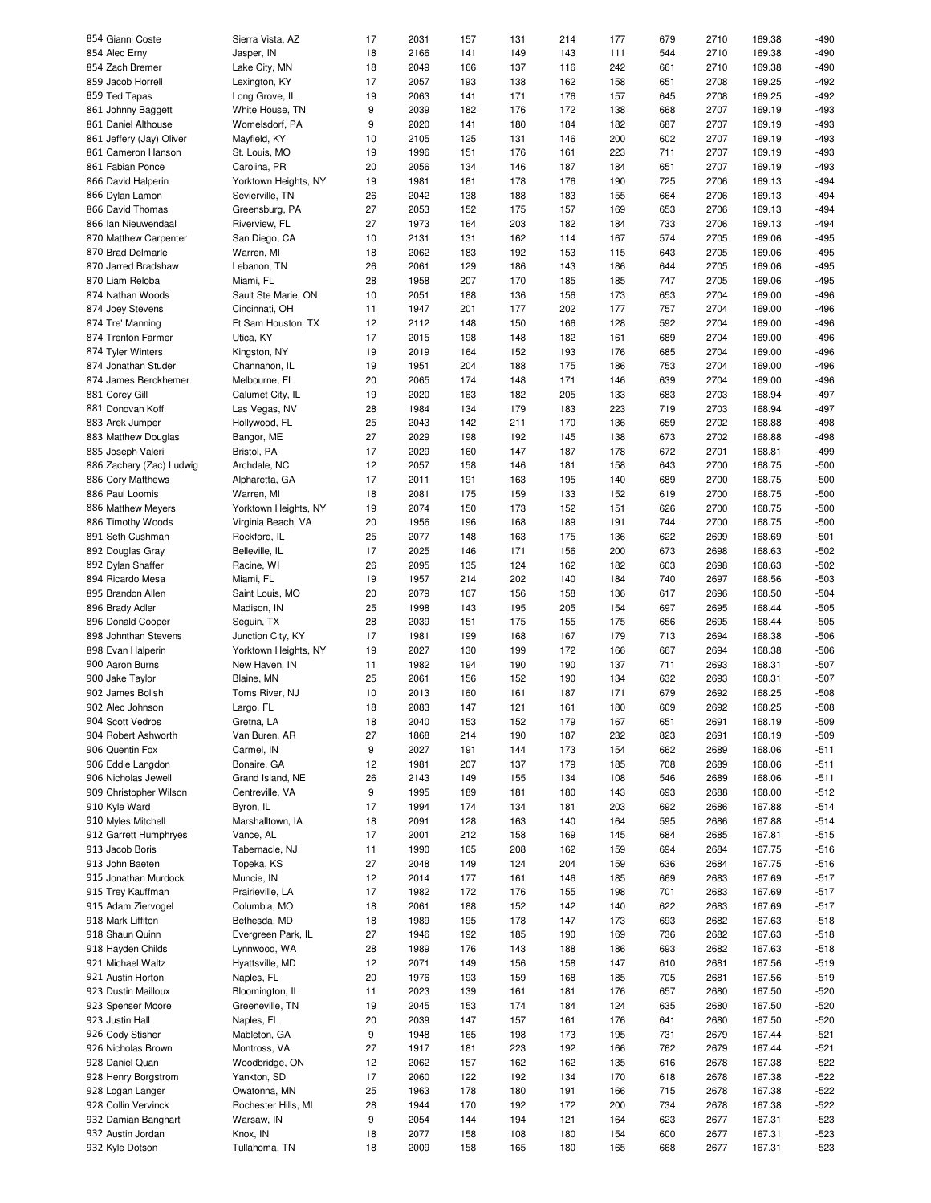| 854 Gianni Coste                                                                                                                                                                                                                                                                                                                             | Sierra Vista, AZ          | 17       | 2031         | 157        | 131        | 214        | 177        | 679        | 2710         | 169.38           | -490             |
|----------------------------------------------------------------------------------------------------------------------------------------------------------------------------------------------------------------------------------------------------------------------------------------------------------------------------------------------|---------------------------|----------|--------------|------------|------------|------------|------------|------------|--------------|------------------|------------------|
| 854 Alec Erny                                                                                                                                                                                                                                                                                                                                | Jasper, IN                | 18       | 2166         | 141        | 149        | 143        | 111        | 544        | 2710         | 169.38           | $-490$           |
| 854 Zach Bremer                                                                                                                                                                                                                                                                                                                              | Lake City, MN             | 18       | 2049         | 166        | 137        | 116        | 242        | 661        | 2710         | 169.38           | $-490$           |
| 859 Jacob Horrell                                                                                                                                                                                                                                                                                                                            | Lexington, KY             | 17       | 2057         | 193        | 138        | 162        | 158        | 651        | 2708         | 169.25           | $-492$           |
| 859 Ted Tapas                                                                                                                                                                                                                                                                                                                                | Long Grove, IL            | 19       | 2063         | 141        | 171        | 176        | 157        | 645        | 2708         | 169.25           | $-492$           |
| 861 Johnny Baggett                                                                                                                                                                                                                                                                                                                           | White House, TN           | 9        | 2039         | 182        | 176        | 172        | 138        | 668        | 2707         | 169.19           | -493             |
|                                                                                                                                                                                                                                                                                                                                              |                           |          |              |            |            |            |            |            |              |                  |                  |
| 861 Daniel Althouse                                                                                                                                                                                                                                                                                                                          | Womelsdorf, PA            | 9        | 2020         | 141        | 180        | 184        | 182        | 687        | 2707         | 169.19           | -493             |
| 861 Jeffery (Jay) Oliver                                                                                                                                                                                                                                                                                                                     | Mayfield, KY              | 10       | 2105         | 125        | 131        | 146        | 200        | 602        | 2707         | 169.19           | -493             |
| 861 Cameron Hanson                                                                                                                                                                                                                                                                                                                           | St. Louis, MO             | 19       | 1996         | 151        | 176        | 161        | 223        | 711        | 2707         | 169.19           | -493             |
| 861 Fabian Ponce                                                                                                                                                                                                                                                                                                                             | Carolina, PR              | 20       | 2056         | 134        | 146        | 187        | 184        | 651        | 2707         | 169.19           | -493             |
| 866 David Halperin                                                                                                                                                                                                                                                                                                                           | Yorktown Heights, NY      | 19       | 1981         | 181        | 178        | 176        | 190        | 725        | 2706         | 169.13           | $-494$           |
| 866 Dylan Lamon                                                                                                                                                                                                                                                                                                                              | Sevierville, TN           | 26       | 2042         | 138        | 188        | 183        | 155        | 664        | 2706         | 169.13           | $-494$           |
| 866 David Thomas                                                                                                                                                                                                                                                                                                                             | Greensburg, PA            | 27       | 2053         | 152        | 175        | 157        | 169        | 653        | 2706         | 169.13           | $-494$           |
| 866 Ian Nieuwendaal                                                                                                                                                                                                                                                                                                                          | Riverview, FL             | 27       | 1973         |            |            |            |            |            | 2706         | 169.13           | $-494$           |
|                                                                                                                                                                                                                                                                                                                                              |                           |          |              | 164        | 203        | 182        | 184        | 733        |              |                  |                  |
| 870 Matthew Carpenter                                                                                                                                                                                                                                                                                                                        | San Diego, CA             | 10       | 2131         | 131        | 162        | 114        | 167        | 574        | 2705         | 169.06           | $-495$           |
| 870 Brad Delmarle                                                                                                                                                                                                                                                                                                                            | Warren, MI                | 18       | 2062         | 183        | 192        | 153        | 115        | 643        | 2705         | 169.06           | $-495$           |
| 870 Jarred Bradshaw                                                                                                                                                                                                                                                                                                                          | Lebanon, TN               | 26       | 2061         | 129        | 186        | 143        | 186        | 644        | 2705         | 169.06           | $-495$           |
| 870 Liam Reloba                                                                                                                                                                                                                                                                                                                              | Miami, FL                 | 28       | 1958         | 207        | 170        | 185        | 185        | 747        | 2705         | 169.06           | $-495$           |
| 874 Nathan Woods                                                                                                                                                                                                                                                                                                                             | Sault Ste Marie, ON       | 10       | 2051         | 188        | 136        | 156        | 173        | 653        | 2704         | 169.00           | $-496$           |
| 874 Joey Stevens                                                                                                                                                                                                                                                                                                                             | Cincinnati, OH            | 11       | 1947         | 201        | 177        | 202        | 177        | 757        | 2704         | 169.00           | $-496$           |
|                                                                                                                                                                                                                                                                                                                                              |                           |          | 2112         |            |            |            | 128        |            | 2704         |                  | $-496$           |
| 874 Tre' Manning                                                                                                                                                                                                                                                                                                                             | Ft Sam Houston, TX        | 12       |              | 148        | 150        | 166        |            | 592        |              | 169.00           |                  |
| 874 Trenton Farmer                                                                                                                                                                                                                                                                                                                           | Utica, KY                 | 17       | 2015         | 198        | 148        | 182        | 161        | 689        | 2704         | 169.00           | $-496$           |
| 874 Tyler Winters                                                                                                                                                                                                                                                                                                                            | Kingston, NY              | 19       | 2019         | 164        | 152        | 193        | 176        | 685        | 2704         | 169.00           | $-496$           |
| 874 Jonathan Studer                                                                                                                                                                                                                                                                                                                          | Channahon, IL             | 19       | 1951         | 204        | 188        | 175        | 186        | 753        | 2704         | 169.00           | $-496$           |
| 874 James Berckhemer                                                                                                                                                                                                                                                                                                                         | Melbourne, FL             | 20       | 2065         | 174        | 148        | 171        | 146        | 639        | 2704         | 169.00           | $-496$           |
| 881 Corey Gill                                                                                                                                                                                                                                                                                                                               | Calumet City, IL          | 19       | 2020         | 163        | 182        | 205        | 133        | 683        | 2703         | 168.94           | $-497$           |
| 881 Donovan Koff                                                                                                                                                                                                                                                                                                                             | Las Vegas, NV             | 28       | 1984         | 134        | 179        | 183        | 223        | 719        | 2703         | 168.94           | $-497$           |
|                                                                                                                                                                                                                                                                                                                                              |                           |          |              |            |            |            |            |            |              |                  |                  |
| 883 Arek Jumper                                                                                                                                                                                                                                                                                                                              | Hollywood, FL             | 25       | 2043         | 142        | 211        | 170        | 136        | 659        | 2702         | 168.88           | $-498$           |
| 883 Matthew Douglas                                                                                                                                                                                                                                                                                                                          | Bangor, ME                | 27       | 2029         | 198        | 192        | 145        | 138        | 673        | 2702         | 168.88           | $-498$           |
| 885 Joseph Valeri                                                                                                                                                                                                                                                                                                                            | Bristol, PA               | 17       | 2029         | 160        | 147        | 187        | 178        | 672        | 2701         | 168.81           | -499             |
| 886 Zachary (Zac) Ludwig                                                                                                                                                                                                                                                                                                                     | Archdale, NC              | 12       | 2057         | 158        | 146        | 181        | 158        | 643        | 2700         | 168.75           | $-500$           |
| 886 Cory Matthews                                                                                                                                                                                                                                                                                                                            | Alpharetta, GA            | 17       | 2011         | 191        | 163        | 195        | 140        | 689        | 2700         | 168.75           | $-500$           |
| 886 Paul Loomis                                                                                                                                                                                                                                                                                                                              | Warren, MI                | 18       | 2081         | 175        | 159        | 133        | 152        | 619        | 2700         | 168.75           | $-500$           |
|                                                                                                                                                                                                                                                                                                                                              |                           |          |              |            |            |            |            |            |              |                  |                  |
| 886 Matthew Meyers                                                                                                                                                                                                                                                                                                                           | Yorktown Heights, NY      | 19       | 2074         | 150        | 173        | 152        | 151        | 626        | 2700         | 168.75           | $-500$           |
| 886 Timothy Woods                                                                                                                                                                                                                                                                                                                            | Virginia Beach, VA        | 20       | 1956         | 196        | 168        | 189        | 191        | 744        | 2700         | 168.75           | $-500$           |
| 891 Seth Cushman                                                                                                                                                                                                                                                                                                                             | Rockford, IL              | 25       | 2077         | 148        | 163        | 175        | 136        | 622        | 2699         | 168.69           | $-501$           |
| 892 Douglas Gray                                                                                                                                                                                                                                                                                                                             | Belleville, IL            | 17       | 2025         | 146        | 171        | 156        | 200        | 673        | 2698         | 168.63           | $-502$           |
| 892 Dylan Shaffer                                                                                                                                                                                                                                                                                                                            | Racine, WI                | 26       | 2095         | 135        | 124        | 162        | 182        | 603        | 2698         | 168.63           | $-502$           |
| 894 Ricardo Mesa                                                                                                                                                                                                                                                                                                                             | Miami, FL                 | 19       | 1957         | 214        | 202        | 140        | 184        | 740        | 2697         | 168.56           | $-503$           |
| 895 Brandon Allen                                                                                                                                                                                                                                                                                                                            | Saint Louis, MO           | 20       | 2079         | 167        | 156        | 158        | 136        | 617        | 2696         | 168.50           | $-504$           |
|                                                                                                                                                                                                                                                                                                                                              |                           |          |              |            |            |            |            |            |              |                  |                  |
| 896 Brady Adler                                                                                                                                                                                                                                                                                                                              | Madison, IN               | 25       | 1998         | 143        | 195        | 205        | 154        | 697        | 2695         | 168.44           | $-505$           |
| 896 Donald Cooper                                                                                                                                                                                                                                                                                                                            | Seguin, TX                | 28       | 2039         | 151        | 175        | 155        | 175        | 656        | 2695         | 168.44           | $-505$           |
| 898 Johnthan Stevens                                                                                                                                                                                                                                                                                                                         | Junction City, KY         | 17       | 1981         | 199        | 168        | 167        | 179        | 713        | 2694         | 168.38           | $-506$           |
| 898 Evan Halperin                                                                                                                                                                                                                                                                                                                            | Yorktown Heights, NY      | 19       | 2027         | 130        | 199        | 172        | 166        | 667        | 2694         | 168.38           | $-506$           |
| 900 Aaron Burns                                                                                                                                                                                                                                                                                                                              | New Haven, IN             | 11       | 1982         | 194        | 190        | 190        | 137        | 711        | 2693         | 168.31           | $-507$           |
| 900 Jake Taylor                                                                                                                                                                                                                                                                                                                              | Blaine, MN                | 25       | 2061         | 156        | 152        | 190        | 134        | 632        | 2693         | 168.31           | $-507$           |
| 902 James Bolish                                                                                                                                                                                                                                                                                                                             | Toms River, NJ            | 10       | 2013         | 160        | 161        | 187        | 171        | 679        | 2692         | 168.25           | $-508$           |
|                                                                                                                                                                                                                                                                                                                                              |                           |          |              |            |            |            |            |            |              |                  |                  |
| 902 Alec Johnson                                                                                                                                                                                                                                                                                                                             | Largo, FL                 | 18       | 2083         | 147        | 121        | 161        | 180        | 609        | 2692         | 168.25           | $-508$           |
| 904 Scott Vedros                                                                                                                                                                                                                                                                                                                             | Gretna, LA                | 18       | 2040         | 153        | 152        | 179        | 167        | 651        | 2691         | 168.19           | -509             |
| 904 Robert Ashworth                                                                                                                                                                                                                                                                                                                          | Van Buren, AR             | 27       | 1868         | 214        | 190        | 187        | 232        | 823        | 2691         | 168.19           | $-509$           |
| 906 Quentin Fox                                                                                                                                                                                                                                                                                                                              | Carmel, IN                | 9        | 2027         | 191        | 144        | 173        | 154        | 662        | 2689         | 168.06           | $-511$           |
| 906 Eddie Langdon                                                                                                                                                                                                                                                                                                                            | Bonaire, GA               | 12       | 1981         | 207        | 137        | 179        | 185        | 708        | 2689         | 168.06           | $-511$           |
| 906 Nicholas Jewell                                                                                                                                                                                                                                                                                                                          | Grand Island, NE          | 26       | 2143         | 149        | 155        | 134        | 108        | 546        | 2689         | 168.06           | $-511$           |
|                                                                                                                                                                                                                                                                                                                                              |                           |          |              |            |            |            |            |            |              |                  |                  |
| 909 Christopher Wilson                                                                                                                                                                                                                                                                                                                       | Centreville, VA           | 9        | 1995         | 189        | 181        | 180        | 143        | 693        | 2688         | 168.00           | $-512$           |
| 910 Kyle Ward                                                                                                                                                                                                                                                                                                                                | Byron, IL                 | 17       | 1994         | 174        | 134        | 181        | 203        | 692        | 2686         | 167.88           | $-514$           |
| 910 Myles Mitchell                                                                                                                                                                                                                                                                                                                           | Marshalltown, IA          | 18       | 2091         | 128        | 163        | 140        | 164        | 595        | 2686         | 167.88           | $-514$           |
| 912 Garrett Humphryes                                                                                                                                                                                                                                                                                                                        | Vance, AL                 | 17       | 2001         | 212        | 158        | 169        | 145        | 684        | 2685         | 167.81           | $-515$           |
| 913 Jacob Boris                                                                                                                                                                                                                                                                                                                              | Tabernacle, NJ            | 11       | 1990         | 165        | 208        | 162        | 159        | 694        | 2684         | 167.75           | $-516$           |
|                                                                                                                                                                                                                                                                                                                                              |                           |          |              |            |            |            |            |            |              |                  |                  |
|                                                                                                                                                                                                                                                                                                                                              |                           |          |              |            |            |            |            |            |              |                  |                  |
|                                                                                                                                                                                                                                                                                                                                              | Topeka, KS                | 27       | 2048         | 149        | 124        | 204        | 159        | 636        | 2684         | 167.75           | $-516$           |
|                                                                                                                                                                                                                                                                                                                                              | Muncie, IN                | 12       | 2014         | 177        | 161        | 146        | 185        | 669        | 2683         | 167.69           | $-517$           |
|                                                                                                                                                                                                                                                                                                                                              | Prairieville, LA          | 17       | 1982         | 172        | 176        | 155        | 198        | 701        | 2683         | 167.69           | $-517$           |
|                                                                                                                                                                                                                                                                                                                                              | Columbia, MO              | 18       | 2061         | 188        | 152        | 142        | 140        | 622        | 2683         | 167.69           | $-517$           |
|                                                                                                                                                                                                                                                                                                                                              | Bethesda, MD              | 18       | 1989         | 195        | 178        | 147        | 173        | 693        | 2682         | 167.63           | $-518$           |
|                                                                                                                                                                                                                                                                                                                                              |                           |          |              |            |            |            |            |            |              |                  |                  |
|                                                                                                                                                                                                                                                                                                                                              | Evergreen Park, IL        | 27       | 1946         | 192        | 185        | 190        | 169        | 736        | 2682         | 167.63           | $-518$           |
|                                                                                                                                                                                                                                                                                                                                              | Lynnwood, WA              | 28       | 1989         | 176        | 143        | 188        | 186        | 693        | 2682         | 167.63           | $-518$           |
|                                                                                                                                                                                                                                                                                                                                              | Hyattsville, MD           | 12       | 2071         | 149        | 156        | 158        | 147        | 610        | 2681         | 167.56           | $-519$           |
|                                                                                                                                                                                                                                                                                                                                              | Naples, FL                | 20       | 1976         | 193        | 159        | 168        | 185        | 705        | 2681         | 167.56           | $-519$           |
|                                                                                                                                                                                                                                                                                                                                              | Bloomington, IL           | 11       | 2023         | 139        | 161        | 181        | 176        | 657        | 2680         | 167.50           | $-520$           |
|                                                                                                                                                                                                                                                                                                                                              | Greeneville, TN           | 19       | 2045         | 153        | 174        | 184        | 124        | 635        | 2680         | 167.50           | $-520$           |
|                                                                                                                                                                                                                                                                                                                                              |                           |          |              |            |            |            |            |            |              |                  |                  |
|                                                                                                                                                                                                                                                                                                                                              | Naples, FL                | 20       | 2039         | 147        | 157        | 161        | 176        | 641        | 2680         | 167.50           | $-520$           |
|                                                                                                                                                                                                                                                                                                                                              | Mableton, GA              | 9        | 1948         | 165        | 198        | 173        | 195        | 731        | 2679         | 167.44           | $-521$           |
|                                                                                                                                                                                                                                                                                                                                              | Montross, VA              | 27       | 1917         | 181        | 223        | 192        | 166        | 762        | 2679         | 167.44           | $-521$           |
|                                                                                                                                                                                                                                                                                                                                              | Woodbridge, ON            | 12       | 2062         | 157        | 162        | 162        | 135        | 616        | 2678         | 167.38           | $-522$           |
| 913 John Baeten<br>915 Jonathan Murdock<br>915 Trey Kauffman<br>915 Adam Ziervogel<br>918 Mark Liffiton<br>918 Shaun Quinn<br>918 Hayden Childs<br>921 Michael Waltz<br>921 Austin Horton<br>923 Dustin Mailloux<br>923 Spenser Moore<br>923 Justin Hall<br>926 Cody Stisher<br>926 Nicholas Brown<br>928 Daniel Quan<br>928 Henry Borgstrom | Yankton, SD               | 17       | 2060         | 122        | 192        | 134        | 170        | 618        | 2678         | 167.38           | $-522$           |
|                                                                                                                                                                                                                                                                                                                                              | Owatonna, MN              | 25       | 1963         | 178        | 180        | 191        | 166        | 715        | 2678         | 167.38           | $-522$           |
|                                                                                                                                                                                                                                                                                                                                              |                           |          |              |            |            |            |            |            |              |                  |                  |
| 928 Logan Langer<br>928 Collin Vervinck                                                                                                                                                                                                                                                                                                      | Rochester Hills, MI       | 28       | 1944         | 170        | 192        | 172        | 200        | 734        | 2678         | 167.38           | $-522$           |
| 932 Damian Banghart                                                                                                                                                                                                                                                                                                                          | Warsaw, IN                | 9        | 2054         | 144        | 194        | 121        | 164        | 623        | 2677         | 167.31           | $-523$           |
| 932 Austin Jordan<br>932 Kyle Dotson                                                                                                                                                                                                                                                                                                         | Knox, IN<br>Tullahoma, TN | 18<br>18 | 2077<br>2009 | 158<br>158 | 108<br>165 | 180<br>180 | 154<br>165 | 600<br>668 | 2677<br>2677 | 167.31<br>167.31 | $-523$<br>$-523$ |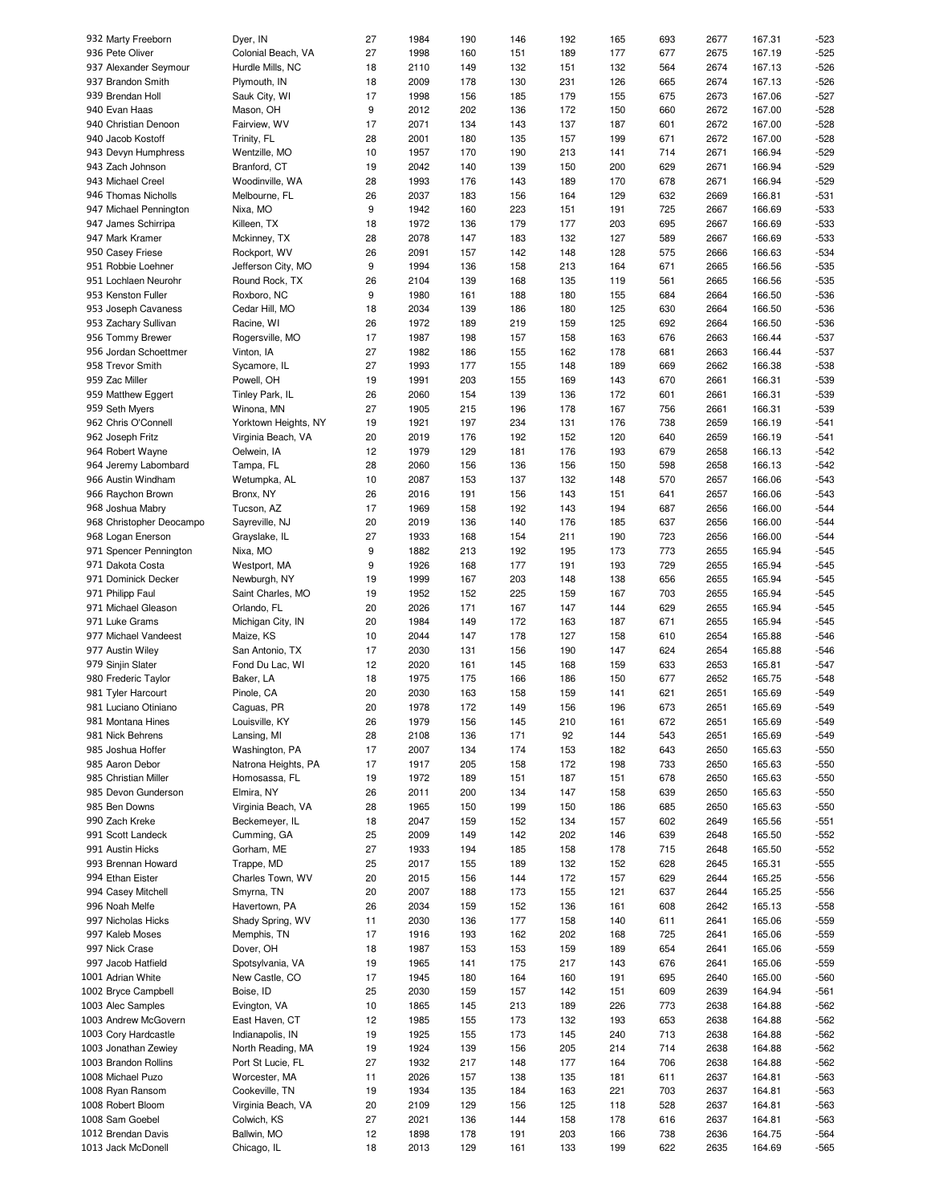|                          |                      | 27 | 1984 | 190 |     |     |     |     |      | 167.31 |        |
|--------------------------|----------------------|----|------|-----|-----|-----|-----|-----|------|--------|--------|
| 932 Marty Freeborn       | Dyer, IN             |    |      |     | 146 | 192 | 165 | 693 | 2677 |        | -523   |
| 936 Pete Oliver          | Colonial Beach, VA   | 27 | 1998 | 160 | 151 | 189 | 177 | 677 | 2675 | 167.19 | $-525$ |
| 937 Alexander Seymour    | Hurdle Mills, NC     | 18 | 2110 | 149 | 132 | 151 | 132 | 564 | 2674 | 167.13 | $-526$ |
| 937 Brandon Smith        |                      | 18 | 2009 | 178 | 130 | 231 | 126 | 665 | 2674 | 167.13 | $-526$ |
|                          | Plymouth, IN         |    |      |     |     |     |     |     |      |        |        |
| 939 Brendan Holl         | Sauk City, WI        | 17 | 1998 | 156 | 185 | 179 | 155 | 675 | 2673 | 167.06 | $-527$ |
| 940 Evan Haas            | Mason, OH            | 9  | 2012 | 202 | 136 | 172 | 150 | 660 | 2672 | 167.00 | $-528$ |
|                          |                      |    |      |     |     |     |     |     |      |        |        |
| 940 Christian Denoon     | Fairview, WV         | 17 | 2071 | 134 | 143 | 137 | 187 | 601 | 2672 | 167.00 | $-528$ |
| 940 Jacob Kostoff        | Trinity, FL          | 28 | 2001 | 180 | 135 | 157 | 199 | 671 | 2672 | 167.00 | $-528$ |
| 943 Devyn Humphress      | Wentzille, MO        | 10 | 1957 | 170 | 190 | 213 | 141 | 714 | 2671 | 166.94 | $-529$ |
|                          |                      |    |      |     |     |     |     |     |      |        |        |
| 943 Zach Johnson         | Branford, CT         | 19 | 2042 | 140 | 139 | 150 | 200 | 629 | 2671 | 166.94 | $-529$ |
| 943 Michael Creel        | Woodinville, WA      | 28 | 1993 | 176 | 143 | 189 | 170 | 678 | 2671 | 166.94 | $-529$ |
| 946 Thomas Nicholls      | Melbourne, FL        | 26 | 2037 | 183 | 156 | 164 | 129 | 632 | 2669 | 166.81 | $-531$ |
|                          |                      |    |      |     |     |     |     |     |      |        |        |
| 947 Michael Pennington   | Nixa, MO             | 9  | 1942 | 160 | 223 | 151 | 191 | 725 | 2667 | 166.69 | $-533$ |
| 947 James Schirripa      | Killeen, TX          | 18 | 1972 | 136 | 179 | 177 | 203 | 695 | 2667 | 166.69 | $-533$ |
|                          |                      |    |      |     |     |     |     |     |      |        |        |
| 947 Mark Kramer          | Mckinney, TX         | 28 | 2078 | 147 | 183 | 132 | 127 | 589 | 2667 | 166.69 | $-533$ |
| 950 Casey Friese         | Rockport, WV         | 26 | 2091 | 157 | 142 | 148 | 128 | 575 | 2666 | 166.63 | $-534$ |
| 951 Robbie Loehner       | Jefferson City, MO   | 9  | 1994 | 136 | 158 | 213 | 164 | 671 | 2665 | 166.56 | $-535$ |
|                          |                      |    |      |     |     |     |     |     |      |        |        |
| 951 Lochlaen Neurohr     | Round Rock, TX       | 26 | 2104 | 139 | 168 | 135 | 119 | 561 | 2665 | 166.56 | $-535$ |
| 953 Kenston Fuller       | Roxboro, NC          | 9  | 1980 | 161 | 188 | 180 | 155 | 684 | 2664 | 166.50 | $-536$ |
| 953 Joseph Cavaness      | Cedar Hill, MO       | 18 | 2034 | 139 | 186 | 180 | 125 | 630 | 2664 | 166.50 | -536   |
|                          |                      |    |      |     |     |     |     |     |      |        |        |
| 953 Zachary Sullivan     | Racine, WI           | 26 | 1972 | 189 | 219 | 159 | 125 | 692 | 2664 | 166.50 | -536   |
| 956 Tommy Brewer         | Rogersville, MO      | 17 | 1987 | 198 | 157 | 158 | 163 | 676 | 2663 | 166.44 | $-537$ |
| 956 Jordan Schoettmer    | Vinton, IA           | 27 | 1982 | 186 | 155 | 162 | 178 | 681 | 2663 | 166.44 | $-537$ |
|                          |                      |    |      |     |     |     |     |     |      |        |        |
| 958 Trevor Smith         | Sycamore, IL         | 27 | 1993 | 177 | 155 | 148 | 189 | 669 | 2662 | 166.38 | $-538$ |
| 959 Zac Miller           | Powell, OH           | 19 | 1991 | 203 | 155 | 169 | 143 | 670 | 2661 | 166.31 | $-539$ |
| 959 Matthew Eggert       | Tinley Park, IL      | 26 | 2060 | 154 | 139 | 136 | 172 | 601 | 2661 | 166.31 | $-539$ |
|                          |                      |    |      |     |     |     |     |     |      |        |        |
| 959 Seth Myers           | Winona, MN           | 27 | 1905 | 215 | 196 | 178 | 167 | 756 | 2661 | 166.31 | $-539$ |
| 962 Chris O'Connell      | Yorktown Heights, NY | 19 | 1921 | 197 | 234 | 131 | 176 | 738 | 2659 | 166.19 | $-541$ |
|                          |                      |    |      |     |     |     |     |     |      |        |        |
| 962 Joseph Fritz         | Virginia Beach, VA   | 20 | 2019 | 176 | 192 | 152 | 120 | 640 | 2659 | 166.19 | $-541$ |
| 964 Robert Wayne         | Oelwein, IA          | 12 | 1979 | 129 | 181 | 176 | 193 | 679 | 2658 | 166.13 | $-542$ |
| 964 Jeremy Labombard     | Tampa, FL            | 28 | 2060 | 156 | 136 | 156 | 150 | 598 | 2658 | 166.13 | $-542$ |
|                          |                      |    |      |     |     |     |     |     |      |        |        |
| 966 Austin Windham       | Wetumpka, AL         | 10 | 2087 | 153 | 137 | 132 | 148 | 570 | 2657 | 166.06 | $-543$ |
| 966 Raychon Brown        | Bronx, NY            | 26 | 2016 | 191 | 156 | 143 | 151 | 641 | 2657 | 166.06 | $-543$ |
| 968 Joshua Mabry         | Tucson, AZ           | 17 | 1969 | 158 | 192 | 143 | 194 | 687 | 2656 | 166.00 | $-544$ |
|                          |                      |    |      |     |     |     |     |     |      |        |        |
| 968 Christopher Deocampo | Sayreville, NJ       | 20 | 2019 | 136 | 140 | 176 | 185 | 637 | 2656 | 166.00 | $-544$ |
| 968 Logan Enerson        | Grayslake, IL        | 27 | 1933 | 168 | 154 | 211 | 190 | 723 | 2656 | 166.00 | $-544$ |
| 971 Spencer Pennington   | Nixa, MO             | 9  | 1882 | 213 | 192 | 195 | 173 | 773 | 2655 | 165.94 | $-545$ |
|                          |                      |    |      |     |     |     |     |     |      |        |        |
| 971 Dakota Costa         | Westport, MA         | 9  | 1926 | 168 | 177 | 191 | 193 | 729 | 2655 | 165.94 | $-545$ |
| 971 Dominick Decker      | Newburgh, NY         | 19 | 1999 | 167 | 203 | 148 | 138 | 656 | 2655 | 165.94 | $-545$ |
|                          |                      |    | 1952 |     |     |     |     |     |      |        |        |
| 971 Philipp Faul         | Saint Charles, MO    | 19 |      | 152 | 225 | 159 | 167 | 703 | 2655 | 165.94 | $-545$ |
| 971 Michael Gleason      | Orlando, FL          | 20 | 2026 | 171 | 167 | 147 | 144 | 629 | 2655 | 165.94 | $-545$ |
| 971 Luke Grams           | Michigan City, IN    | 20 | 1984 | 149 | 172 | 163 | 187 | 671 | 2655 | 165.94 | $-545$ |
|                          |                      |    |      |     |     |     |     |     |      |        |        |
| 977 Michael Vandeest     | Maize, KS            | 10 | 2044 | 147 | 178 | 127 | 158 | 610 | 2654 | 165.88 | $-546$ |
| 977 Austin Wiley         | San Antonio, TX      | 17 | 2030 | 131 | 156 | 190 | 147 | 624 | 2654 | 165.88 | $-546$ |
|                          |                      | 12 | 2020 | 161 | 145 | 168 | 159 |     | 2653 | 165.81 | $-547$ |
| 979 Sinjin Slater        | Fond Du Lac, WI      |    |      |     |     |     |     | 633 |      |        |        |
| 980 Frederic Taylor      | Baker, LA            | 18 | 1975 | 175 | 166 | 186 | 150 | 677 | 2652 | 165.75 | $-548$ |
| 981 Tyler Harcourt       | Pinole, CA           | 20 | 2030 | 163 | 158 | 159 | 141 | 621 | 2651 | 165.69 | $-549$ |
|                          |                      |    |      |     |     |     |     |     |      |        |        |
| 981 Luciano Otiniano     | Caguas, PR           | 20 | 1978 | 172 | 149 | 156 | 196 | 673 | 2651 | 165.69 | $-549$ |
| 981 Montana Hines        | Louisville, KY       | 26 | 1979 | 156 | 145 | 210 | 161 | 672 | 2651 | 165.69 | -549   |
| 981 Nick Behrens         | Lansing, MI          | 28 | 2108 | 136 | 171 | 92  | 144 | 543 | 2651 | 165.69 | $-549$ |
|                          |                      |    |      |     |     |     |     |     |      |        |        |
| 985 Joshua Hoffer        | Washington, PA       | 17 | 2007 | 134 | 174 | 153 | 182 | 643 | 2650 | 165.63 | $-550$ |
| 985 Aaron Debor          | Natrona Heights, PA  | 17 | 1917 | 205 | 158 | 172 | 198 | 733 | 2650 | 165.63 | $-550$ |
| 985 Christian Miller     | Homosassa, FL        | 19 | 1972 | 189 | 151 | 187 | 151 | 678 | 2650 | 165.63 | -550   |
|                          |                      |    |      |     |     |     |     |     |      |        |        |
| 985 Devon Gunderson      | Elmira, NY           | 26 | 2011 | 200 | 134 | 147 | 158 | 639 | 2650 | 165.63 | -550   |
| 985 Ben Downs            | Virginia Beach, VA   | 28 | 1965 | 150 | 199 | 150 | 186 | 685 | 2650 | 165.63 | $-550$ |
| 990 Zach Kreke           | Beckemeyer, IL       | 18 | 2047 | 159 | 152 | 134 | 157 | 602 | 2649 | 165.56 | -551   |
|                          |                      |    |      |     |     |     |     |     |      |        |        |
| 991 Scott Landeck        | Cumming, GA          | 25 | 2009 | 149 | 142 | 202 | 146 | 639 | 2648 | 165.50 | $-552$ |
| 991 Austin Hicks         | Gorham, ME           | 27 | 1933 | 194 | 185 | 158 | 178 | 715 | 2648 | 165.50 | $-552$ |
| 993 Brennan Howard       | Trappe, MD           | 25 | 2017 | 155 | 189 | 132 | 152 | 628 | 2645 | 165.31 | $-555$ |
|                          |                      |    |      |     |     |     |     |     |      |        |        |
| 994 Ethan Eister         | Charles Town, WV     | 20 | 2015 | 156 | 144 | 172 | 157 | 629 | 2644 | 165.25 | $-556$ |
| 994 Casey Mitchell       | Smyrna, TN           | 20 | 2007 | 188 | 173 | 155 | 121 | 637 | 2644 | 165.25 | $-556$ |
| 996 Noah Melfe           | Havertown, PA        | 26 | 2034 | 159 | 152 | 136 | 161 | 608 | 2642 | 165.13 | -558   |
|                          |                      |    |      |     |     |     |     |     |      |        |        |
| 997 Nicholas Hicks       | Shady Spring, WV     | 11 | 2030 | 136 | 177 | 158 | 140 | 611 | 2641 | 165.06 | -559   |
| 997 Kaleb Moses          | Memphis, TN          | 17 | 1916 | 193 | 162 | 202 | 168 | 725 | 2641 | 165.06 | $-559$ |
| 997 Nick Crase           | Dover, OH            | 18 | 1987 | 153 | 153 | 159 | 189 | 654 | 2641 | 165.06 | -559   |
|                          |                      |    |      |     |     |     |     |     |      |        |        |
| 997 Jacob Hatfield       | Spotsylvania, VA     | 19 | 1965 | 141 | 175 | 217 | 143 | 676 | 2641 | 165.06 | $-559$ |
| 1001 Adrian White        | New Castle, CO       | 17 | 1945 | 180 | 164 | 160 | 191 | 695 | 2640 | 165.00 | $-560$ |
| 1002 Bryce Campbell      | Boise, ID            | 25 | 2030 | 159 | 157 | 142 | 151 | 609 | 2639 | 164.94 | $-561$ |
|                          |                      |    |      |     |     |     |     |     |      |        |        |
| 1003 Alec Samples        | Evington, VA         | 10 | 1865 | 145 | 213 | 189 | 226 | 773 | 2638 | 164.88 | $-562$ |
| 1003 Andrew McGovern     | East Haven, CT       | 12 | 1985 | 155 | 173 | 132 | 193 | 653 | 2638 | 164.88 | $-562$ |
|                          |                      |    |      |     |     |     |     |     |      |        |        |
| 1003 Cory Hardcastle     | Indianapolis, IN     | 19 | 1925 | 155 | 173 | 145 | 240 | 713 | 2638 | 164.88 | $-562$ |
| 1003 Jonathan Zewiey     | North Reading, MA    | 19 | 1924 | 139 | 156 | 205 | 214 | 714 | 2638 | 164.88 | $-562$ |
| 1003 Brandon Rollins     | Port St Lucie, FL    | 27 | 1932 | 217 | 148 | 177 | 164 | 706 | 2638 | 164.88 | $-562$ |
|                          |                      |    |      |     |     |     |     |     |      |        |        |
| 1008 Michael Puzo        | Worcester, MA        | 11 | 2026 | 157 | 138 | 135 | 181 | 611 | 2637 | 164.81 | -563   |
| 1008 Ryan Ransom         | Cookeville, TN       | 19 | 1934 | 135 | 184 | 163 | 221 | 703 | 2637 | 164.81 | $-563$ |
| 1008 Robert Bloom        | Virginia Beach, VA   | 20 | 2109 | 129 | 156 | 125 | 118 | 528 | 2637 | 164.81 | $-563$ |
|                          |                      |    |      |     |     |     |     |     |      |        |        |
| 1008 Sam Goebel          | Colwich, KS          | 27 | 2021 | 136 | 144 | 158 | 178 | 616 | 2637 | 164.81 | $-563$ |
| 1012 Brendan Davis       | Ballwin, MO          | 12 | 1898 | 178 | 191 | 203 | 166 | 738 | 2636 | 164.75 | -564   |
| 1013 Jack McDonell       | Chicago, IL          | 18 | 2013 | 129 | 161 | 133 | 199 | 622 | 2635 | 164.69 | $-565$ |
|                          |                      |    |      |     |     |     |     |     |      |        |        |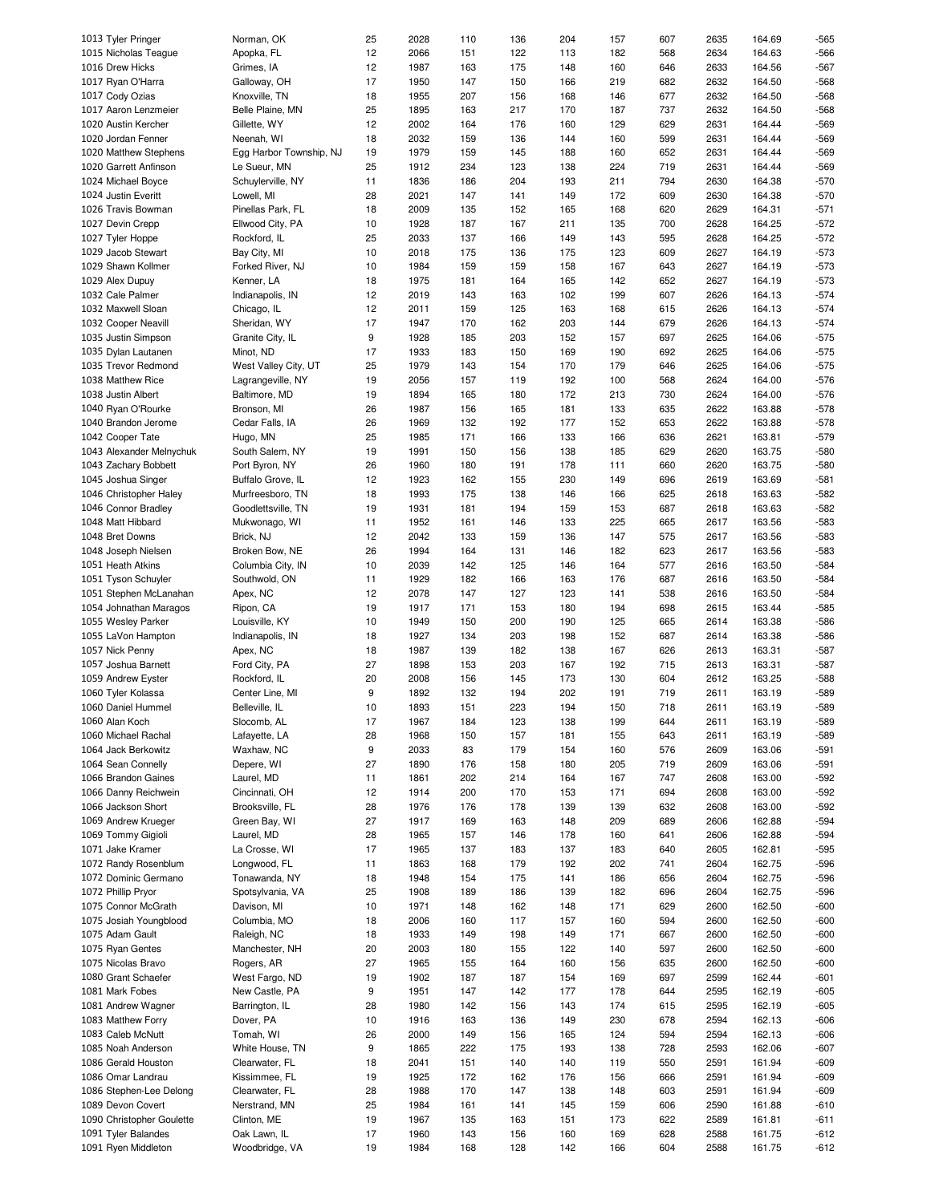| 1013 Tyler Pringer                         | Norman, OK                     | 25       | 2028         | 110        | 136        | 204        | 157        | 607        | 2635         | 164.69           | -565             |
|--------------------------------------------|--------------------------------|----------|--------------|------------|------------|------------|------------|------------|--------------|------------------|------------------|
| 1015 Nicholas Teaque                       | Apopka, FL                     | 12       | 2066         | 151        | 122        | 113        | 182        | 568        | 2634         | 164.63           | -566             |
| 1016 Drew Hicks                            | Grimes, IA                     | 12       | 1987         | 163        | 175        | 148        | 160        | 646        | 2633         | 164.56           | $-567$           |
| 1017 Ryan O'Harra                          | Galloway, OH                   | 17       | 1950         | 147        | 150        | 166        | 219        | 682        | 2632         | 164.50           | $-568$           |
|                                            |                                |          |              |            |            |            |            |            |              |                  |                  |
| 1017 Cody Ozias                            | Knoxville, TN                  | 18       | 1955         | 207        | 156        | 168        | 146        | 677        | 2632         | 164.50           | $-568$           |
| 1017 Aaron Lenzmeier                       | Belle Plaine, MN               | 25       | 1895         | 163        | 217        | 170        | 187        | 737        | 2632         | 164.50           | $-568$           |
| 1020 Austin Kercher                        | Gillette, WY                   | 12       | 2002         | 164        | 176        | 160        | 129        | 629        | 2631         | 164.44           | $-569$           |
| 1020 Jordan Fenner                         | Neenah, WI                     | 18       | 2032         | 159        | 136        | 144        | 160        | 599        | 2631         | 164.44           | $-569$           |
| 1020 Matthew Stephens                      | Egg Harbor Township, NJ        | 19       | 1979         | 159        | 145        | 188        | 160        | 652        | 2631         | 164.44           | -569             |
|                                            |                                |          |              |            |            |            |            |            |              |                  |                  |
| 1020 Garrett Anfinson                      | Le Sueur, MN                   | 25       | 1912         | 234        | 123        | 138        | 224        | 719        | 2631         | 164.44           | -569             |
| 1024 Michael Boyce                         | Schuylerville, NY              | 11       | 1836         | 186        | 204        | 193        | 211        | 794        | 2630         | 164.38           | $-570$           |
| 1024 Justin Everitt                        | Lowell, MI                     | 28       | 2021         | 147        | 141        | 149        | 172        | 609        | 2630         | 164.38           | $-570$           |
| 1026 Travis Bowman                         | Pinellas Park, FL              | 18       | 2009         | 135        | 152        | 165        | 168        | 620        | 2629         | 164.31           | $-571$           |
| 1027 Devin Crepp                           | Ellwood City, PA               | 10       | 1928         | 187        | 167        | 211        | 135        | 700        | 2628         | 164.25           | $-572$           |
|                                            |                                |          |              |            |            |            |            |            |              |                  |                  |
| 1027 Tyler Hoppe                           | Rockford, IL                   | 25       | 2033         | 137        | 166        | 149        | 143        | 595        | 2628         | 164.25           | $-572$           |
| 1029 Jacob Stewart                         | Bay City, MI                   | 10       | 2018         | 175        | 136        | 175        | 123        | 609        | 2627         | 164.19           | $-573$           |
| 1029 Shawn Kollmer                         | Forked River, NJ               | 10       | 1984         | 159        | 159        | 158        | 167        | 643        | 2627         | 164.19           | $-573$           |
| 1029 Alex Dupuy                            | Kenner, LA                     | 18       | 1975         | 181        | 164        | 165        | 142        | 652        | 2627         | 164.19           | $-573$           |
|                                            |                                |          | 2019         | 143        |            | 102        | 199        | 607        | 2626         | 164.13           | $-574$           |
| 1032 Cale Palmer                           | Indianapolis, IN               | 12       |              |            | 163        |            |            |            |              |                  |                  |
| 1032 Maxwell Sloan                         | Chicago, IL                    | 12       | 2011         | 159        | 125        | 163        | 168        | 615        | 2626         | 164.13           | $-574$           |
| 1032 Cooper Neavill                        | Sheridan, WY                   | 17       | 1947         | 170        | 162        | 203        | 144        | 679        | 2626         | 164.13           | $-574$           |
| 1035 Justin Simpson                        | Granite City, IL               | 9        | 1928         | 185        | 203        | 152        | 157        | 697        | 2625         | 164.06           | $-575$           |
| 1035 Dylan Lautanen                        | Minot, ND                      | 17       | 1933         | 183        | 150        | 169        | 190        | 692        | 2625         | 164.06           | $-575$           |
|                                            |                                |          |              |            |            |            |            |            |              |                  |                  |
| 1035 Trevor Redmond                        | West Valley City, UT           | 25       | 1979         | 143        | 154        | 170        | 179        | 646        | 2625         | 164.06           | $-575$           |
| 1038 Matthew Rice                          | Lagrangeville, NY              | 19       | 2056         | 157        | 119        | 192        | 100        | 568        | 2624         | 164.00           | $-576$           |
| 1038 Justin Albert                         | Baltimore, MD                  | 19       | 1894         | 165        | 180        | 172        | 213        | 730        | 2624         | 164.00           | $-576$           |
| 1040 Ryan O'Rourke                         | Bronson, MI                    | 26       | 1987         | 156        | 165        | 181        | 133        | 635        | 2622         | 163.88           | $-578$           |
| 1040 Brandon Jerome                        | Cedar Falls, IA                | 26       | 1969         | 132        | 192        | 177        | 152        | 653        | 2622         | 163.88           | $-578$           |
|                                            |                                |          |              |            |            |            |            |            |              |                  |                  |
| 1042 Cooper Tate                           | Hugo, MN                       | 25       | 1985         | 171        | 166        | 133        | 166        | 636        | 2621         | 163.81           | $-579$           |
| 1043 Alexander Melnychuk                   | South Salem, NY                | 19       | 1991         | 150        | 156        | 138        | 185        | 629        | 2620         | 163.75           | -580             |
| 1043 Zachary Bobbett                       | Port Byron, NY                 | 26       | 1960         | 180        | 191        | 178        | 111        | 660        | 2620         | 163.75           | -580             |
| 1045 Joshua Singer                         | Buffalo Grove, IL              | 12       | 1923         | 162        | 155        | 230        | 149        | 696        | 2619         | 163.69           | $-581$           |
|                                            |                                |          |              |            |            |            |            |            |              |                  |                  |
| 1046 Christopher Haley                     | Murfreesboro, TN               | 18       | 1993         | 175        | 138        | 146        | 166        | 625        | 2618         | 163.63           | $-582$           |
| 1046 Connor Bradley                        | Goodlettsville, TN             | 19       | 1931         | 181        | 194        | 159        | 153        | 687        | 2618         | 163.63           | $-582$           |
| 1048 Matt Hibbard                          | Mukwonago, WI                  | 11       | 1952         | 161        | 146        | 133        | 225        | 665        | 2617         | 163.56           | -583             |
| 1048 Bret Downs                            | Brick, NJ                      | 12       | 2042         | 133        | 159        | 136        | 147        | 575        | 2617         | 163.56           | $-583$           |
| 1048 Joseph Nielsen                        | Broken Bow, NE                 | 26       | 1994         | 164        | 131        | 146        | 182        | 623        | 2617         | 163.56           | -583             |
|                                            |                                |          |              |            |            |            |            |            |              |                  |                  |
| 1051 Heath Atkins                          | Columbia City, IN              | 10       | 2039         | 142        | 125        | 146        | 164        | 577        | 2616         | 163.50           | $-584$           |
| 1051 Tyson Schuyler                        | Southwold, ON                  | 11       | 1929         | 182        | 166        | 163        | 176        | 687        | 2616         | 163.50           | $-584$           |
| 1051 Stephen McLanahan                     | Apex, NC                       | 12       | 2078         | 147        | 127        | 123        | 141        | 538        | 2616         | 163.50           | $-584$           |
| 1054 Johnathan Maragos                     | Ripon, CA                      | 19       | 1917         | 171        | 153        | 180        | 194        | 698        | 2615         | 163.44           | $-585$           |
| 1055 Wesley Parker                         | Louisville, KY                 | 10       | 1949         | 150        | 200        | 190        | 125        | 665        | 2614         | 163.38           | $-586$           |
|                                            |                                |          |              |            |            |            |            |            |              |                  |                  |
| 1055 LaVon Hampton                         | Indianapolis, IN               | 18       | 1927         | 134        | 203        | 198        | 152        | 687        | 2614         | 163.38           | $-586$           |
| 1057 Nick Penny                            | Apex, NC                       | 18       | 1987         | 139        | 182        | 138        | 167        | 626        | 2613         | 163.31           | $-587$           |
| 1057 Joshua Barnett                        | Ford City, PA                  | 27       | 1898         | 153        | 203        | 167        | 192        | 715        | 2613         | 163.31           | $-587$           |
| 1059 Andrew Eyster                         | Rockford, IL                   | 20       | 2008         | 156        | 145        | 173        | 130        | 604        | 2612         | 163.25           | $-588$           |
| 1060 Tyler Kolassa                         | Center Line, MI                | 9        | 1892         | 132        | 194        | 202        | 191        | 719        | 2611         | 163.19           | $-589$           |
|                                            |                                |          |              |            |            |            |            |            |              |                  |                  |
| 1060 Daniel Hummel                         | Belleville, IL                 | 10       | 1893         | 151        | 223        | 194        | 150        | 718        | 2611         | 163.19           | -589             |
| 1060 Alan Koch                             | Slocomb, AL                    | 17       | 1967         | 184        | 123        | 138        | 199        | 644        | 2611         | 163.19           | -589             |
| 1060 Michael Rachal                        | Lafayette, LA                  | 28       | 1968         | 150        | 157        | 181        | 155        | 643        | 2611         | 163.19           | $-589$           |
| 1064 Jack Berkowitz                        | Waxhaw, NC                     | 9        | 2033         | 83         | 179        | 154        | 160        | 576        | 2609         | 163.06           | $-591$           |
| 1064 Sean Connelly                         | Depere, WI                     | 27       |              |            |            |            |            |            |              |                  | $-591$           |
|                                            |                                |          | 1890         | 176        | 158        | 180        | 205        | 719        | 2609         | 163.06           |                  |
| 1066 Brandon Gaines                        | Laurel, MD                     | 11       | 1861         | 202        | 214        | 164        | 167        | 747        | 2608         | 163.00           | $-592$           |
| 1066 Danny Reichwein                       | Cincinnati, OH                 | 12       | 1914         | 200        | 170        | 153        | 171        | 694        | 2608         | 163.00           | $-592$           |
| 1066 Jackson Short                         | Brooksville, FL                | 28       | 1976         | 176        | 178        | 139        | 139        | 632        | 2608         | 163.00           | $-592$           |
| 1069 Andrew Krueger                        | Green Bay, WI                  | 27       | 1917         | 169        | 163        | 148        | 209        | 689        | 2606         | 162.88           | $-594$           |
| 1069 Tommy Gigioli                         | Laurel, MD                     | 28       | 1965         | 157        | 146        | 178        | 160        | 641        | 2606         | 162.88           | $-594$           |
|                                            |                                |          |              |            |            |            |            |            |              |                  |                  |
| 1071 Jake Kramer                           |                                |          |              |            |            |            |            |            | 2605         | 162.81           | $-595$           |
| 1072 Randy Rosenblum                       | La Crosse, WI                  | 17       | 1965         | 137        | 183        | 137        | 183        | 640        |              |                  |                  |
|                                            | Longwood, FL                   | 11       | 1863         | 168        | 179        | 192        | 202        | 741        | 2604         | 162.75           | $-596$           |
| 1072 Dominic Germano                       | Tonawanda, NY                  | 18       | 1948         | 154        | 175        | 141        | 186        | 656        | 2604         | 162.75           | $-596$           |
|                                            |                                |          |              |            |            |            |            |            |              |                  |                  |
| 1072 Phillip Pryor                         | Spotsylvania, VA               | 25       | 1908         | 189        | 186        | 139        | 182        | 696        | 2604         | 162.75           | $-596$           |
| 1075 Connor McGrath                        | Davison, MI                    | 10       | 1971         | 148        | 162        | 148        | 171        | 629        | 2600         | 162.50           | -600             |
| 1075 Josiah Youngblood                     | Columbia, MO                   | 18       | 2006         | 160        | 117        | 157        | 160        | 594        | 2600         | 162.50           | -600             |
| 1075 Adam Gault                            | Raleigh, NC                    | 18       | 1933         | 149        | 198        | 149        | 171        | 667        | 2600         | 162.50           | $-600$           |
| 1075 Ryan Gentes                           | Manchester, NH                 | 20       | 2003         | 180        | 155        | 122        | 140        | 597        | 2600         | 162.50           | -600             |
|                                            |                                |          |              |            |            |            |            |            |              |                  |                  |
| 1075 Nicolas Bravo                         | Rogers, AR                     | 27       | 1965         | 155        | 164        | 160        | 156        | 635        | 2600         | 162.50           | $-600$           |
| 1080 Grant Schaefer                        | West Fargo, ND                 | 19       | 1902         | 187        | 187        | 154        | 169        | 697        | 2599         | 162.44           | -601             |
| 1081 Mark Fobes                            | New Castle, PA                 | 9        | 1951         | 147        | 142        | 177        | 178        | 644        | 2595         | 162.19           | $-605$           |
| 1081 Andrew Wagner                         | Barrington, IL                 | 28       | 1980         | 142        | 156        | 143        | 174        | 615        | 2595         | 162.19           | -605             |
| 1083 Matthew Forry                         | Dover, PA                      | 10       | 1916         | 163        | 136        | 149        | 230        | 678        | 2594         | 162.13           | -606             |
|                                            |                                |          |              |            |            |            |            |            |              |                  |                  |
| 1083 Caleb McNutt                          | Tomah, WI                      | 26       | 2000         | 149        | 156        | 165        | 124        | 594        | 2594         | 162.13           | -606             |
| 1085 Noah Anderson                         | White House, TN                | 9        | 1865         | 222        | 175        | 193        | 138        | 728        | 2593         | 162.06           | -607             |
| 1086 Gerald Houston                        | Clearwater, FL                 | 18       | 2041         | 151        | 140        | 140        | 119        | 550        | 2591         | 161.94           | $-609$           |
| 1086 Omar Landrau                          | Kissimmee, FL                  | 19       | 1925         | 172        | 162        | 176        | 156        | 666        | 2591         | 161.94           | $-609$           |
| 1086 Stephen-Lee Delong                    | Clearwater, FL                 | 28       | 1988         | 170        | 147        | 138        | 148        | 603        | 2591         | 161.94           | -609             |
|                                            |                                |          |              |            |            |            |            |            |              |                  |                  |
| 1089 Devon Covert                          | Nerstrand, MN                  | 25       | 1984         | 161        | 141        | 145        | 159        | 606        | 2590         | 161.88           | $-610$           |
| 1090 Christopher Goulette                  | Clinton, ME                    | 19       | 1967         | 135        | 163        | 151        | 173        | 622        | 2589         | 161.81           | $-611$           |
| 1091 Tyler Balandes<br>1091 Ryen Middleton | Oak Lawn, IL<br>Woodbridge, VA | 17<br>19 | 1960<br>1984 | 143<br>168 | 156<br>128 | 160<br>142 | 169<br>166 | 628<br>604 | 2588<br>2588 | 161.75<br>161.75 | $-612$<br>$-612$ |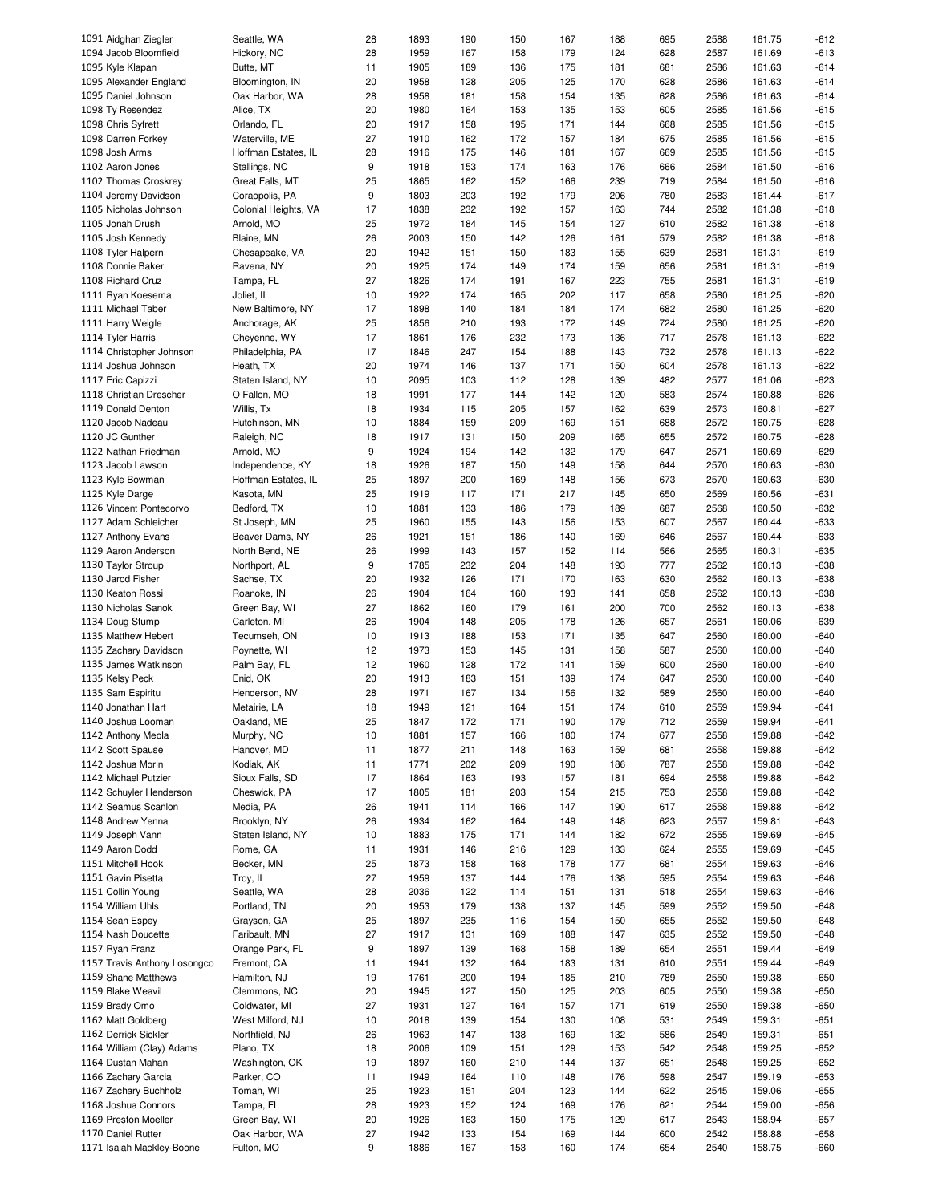| 1091 Aidghan Ziegler                            | Seattle, WA                  | 28      | 1893         | 190        | 150        | 167        | 188        | 695        | 2588         | 161.75           | -612         |
|-------------------------------------------------|------------------------------|---------|--------------|------------|------------|------------|------------|------------|--------------|------------------|--------------|
| 1094 Jacob Bloomfield                           | Hickory, NC                  | 28      | 1959         | 167        | 158        | 179        | 124        | 628        | 2587         | 161.69           | $-613$       |
| 1095 Kyle Klapan                                | Butte, MT                    | 11      | 1905         | 189        | 136        | 175        | 181        | 681        | 2586         | 161.63           | $-614$       |
|                                                 |                              |         |              |            |            |            |            |            |              |                  |              |
| 1095 Alexander England                          | Bloomington, IN              | 20      | 1958         | 128        | 205        | 125        | 170        | 628        | 2586         | 161.63           | $-614$       |
| 1095 Daniel Johnson                             | Oak Harbor, WA               | 28      | 1958         | 181        | 158        | 154        | 135        | 628        | 2586         | 161.63           | $-614$       |
| 1098 Ty Resendez                                | Alice, TX                    | 20      | 1980         | 164        | 153        | 135        | 153        | 605        | 2585         | 161.56           | $-615$       |
| 1098 Chris Syfrett                              | Orlando, FL                  | 20      | 1917         | 158        | 195        | 171        | 144        | 668        | 2585         | 161.56           | $-615$       |
|                                                 |                              |         |              |            |            |            |            |            |              |                  |              |
| 1098 Darren Forkey                              | Waterville, ME               | 27      | 1910         | 162        | 172        | 157        | 184        | 675        | 2585         | 161.56           | $-615$       |
| 1098 Josh Arms                                  | Hoffman Estates, IL          | 28      | 1916         | 175        | 146        | 181        | 167        | 669        | 2585         | 161.56           | $-615$       |
| 1102 Aaron Jones                                | Stallings, NC                | 9       | 1918         | 153        | 174        | 163        | 176        | 666        | 2584         | 161.50           | $-616$       |
| 1102 Thomas Croskrey                            | Great Falls, MT              | 25      | 1865         | 162        | 152        | 166        | 239        | 719        | 2584         | 161.50           | $-616$       |
|                                                 |                              |         |              |            |            |            |            |            |              |                  |              |
| 1104 Jeremy Davidson                            | Coraopolis, PA               | 9       | 1803         | 203        | 192        | 179        | 206        | 780        | 2583         | 161.44           | $-617$       |
| 1105 Nicholas Johnson                           | Colonial Heights, VA         | 17      | 1838         | 232        | 192        | 157        | 163        | 744        | 2582         | 161.38           | $-618$       |
| 1105 Jonah Drush                                | Arnold, MO                   | 25      | 1972         | 184        | 145        | 154        | 127        | 610        | 2582         | 161.38           | $-618$       |
| 1105 Josh Kennedy                               | Blaine, MN                   | 26      | 2003         | 150        | 142        | 126        | 161        | 579        | 2582         | 161.38           | $-618$       |
|                                                 |                              |         |              |            |            |            |            |            |              |                  |              |
| 1108 Tyler Halpern                              | Chesapeake, VA               | 20      | 1942         | 151        | 150        | 183        | 155        | 639        | 2581         | 161.31           | $-619$       |
| 1108 Donnie Baker                               | Ravena, NY                   | 20      | 1925         | 174        | 149        | 174        | 159        | 656        | 2581         | 161.31           | $-619$       |
| 1108 Richard Cruz                               | Tampa, FL                    | 27      | 1826         | 174        | 191        | 167        | 223        | 755        | 2581         | 161.31           | $-619$       |
| 1111 Ryan Koesema                               | Joliet, IL                   | 10      | 1922         | 174        | 165        | 202        | 117        | 658        | 2580         | 161.25           | $-620$       |
|                                                 |                              |         | 1898         | 140        |            | 184        | 174        |            | 2580         |                  | $-620$       |
| 1111 Michael Taber                              | New Baltimore, NY            | 17      |              |            | 184        |            |            | 682        |              | 161.25           |              |
| 1111 Harry Weigle                               | Anchorage, AK                | 25      | 1856         | 210        | 193        | 172        | 149        | 724        | 2580         | 161.25           | $-620$       |
| 1114 Tyler Harris                               | Cheyenne, WY                 | 17      | 1861         | 176        | 232        | 173        | 136        | 717        | 2578         | 161.13           | $-622$       |
| 1114 Christopher Johnson                        | Philadelphia, PA             | 17      | 1846         | 247        | 154        | 188        | 143        | 732        | 2578         | 161.13           | $-622$       |
| 1114 Joshua Johnson                             | Heath, TX                    | 20      | 1974         | 146        | 137        | 171        | 150        | 604        | 2578         | 161.13           | $-622$       |
|                                                 |                              |         |              |            |            |            |            |            |              |                  |              |
| 1117 Eric Capizzi                               | Staten Island, NY            | 10      | 2095         | 103        | 112        | 128        | 139        | 482        | 2577         | 161.06           | $-623$       |
| 1118 Christian Drescher                         | O Fallon, MO                 | 18      | 1991         | 177        | 144        | 142        | 120        | 583        | 2574         | 160.88           | $-626$       |
| 1119 Donald Denton                              | Willis, Tx                   | 18      | 1934         | 115        | 205        | 157        | 162        | 639        | 2573         | 160.81           | $-627$       |
|                                                 |                              |         |              |            |            |            |            |            |              |                  |              |
| 1120 Jacob Nadeau                               | Hutchinson, MN               | 10      | 1884         | 159        | 209        | 169        | 151        | 688        | 2572         | 160.75           | $-628$       |
| 1120 JC Gunther                                 | Raleigh, NC                  | 18      | 1917         | 131        | 150        | 209        | 165        | 655        | 2572         | 160.75           | $-628$       |
| 1122 Nathan Friedman                            | Arnold, MO                   | 9       | 1924         | 194        | 142        | 132        | 179        | 647        | 2571         | 160.69           | $-629$       |
| 1123 Jacob Lawson                               | Independence, KY             | 18      | 1926         | 187        | 150        | 149        | 158        | 644        | 2570         | 160.63           | $-630$       |
|                                                 |                              |         |              |            |            |            |            |            |              |                  |              |
| 1123 Kyle Bowman                                | Hoffman Estates, IL          | 25      | 1897         | 200        | 169        | 148        | 156        | 673        | 2570         | 160.63           | $-630$       |
| 1125 Kyle Darge                                 | Kasota, MN                   | 25      | 1919         | 117        | 171        | 217        | 145        | 650        | 2569         | 160.56           | $-631$       |
| 1126 Vincent Pontecorvo                         | Bedford, TX                  | 10      | 1881         | 133        | 186        | 179        | 189        | 687        | 2568         | 160.50           | $-632$       |
| 1127 Adam Schleicher                            | St Joseph, MN                | 25      | 1960         | 155        | 143        | 156        | 153        | 607        | 2567         | 160.44           | -633         |
|                                                 |                              |         | 1921         | 151        | 186        | 140        | 169        | 646        | 2567         | 160.44           | -633         |
| 1127 Anthony Evans                              | Beaver Dams, NY              | 26      |              |            |            |            |            |            |              |                  |              |
| 1129 Aaron Anderson                             | North Bend, NE               | 26      | 1999         | 143        | 157        | 152        | 114        | 566        | 2565         | 160.31           | $-635$       |
| 1130 Taylor Stroup                              | Northport, AL                | 9       | 1785         | 232        | 204        | 148        | 193        | 777        | 2562         | 160.13           | $-638$       |
| 1130 Jarod Fisher                               | Sachse, TX                   | 20      | 1932         | 126        | 171        | 170        | 163        | 630        | 2562         | 160.13           | $-638$       |
| 1130 Keaton Rossi                               | Roanoke, IN                  | 26      | 1904         | 164        | 160        | 193        | 141        | 658        | 2562         | 160.13           | $-638$       |
|                                                 |                              |         |              |            |            |            |            |            |              |                  |              |
| 1130 Nicholas Sanok                             | Green Bay, WI                | 27      | 1862         | 160        | 179        | 161        | 200        | 700        | 2562         | 160.13           | $-638$       |
| 1134 Doug Stump                                 | Carleton, MI                 | 26      | 1904         | 148        | 205        | 178        | 126        | 657        | 2561         | 160.06           | $-639$       |
| 1135 Matthew Hebert                             | Tecumseh, ON                 | 10      | 1913         | 188        | 153        | 171        | 135        | 647        | 2560         | 160.00           | $-640$       |
| 1135 Zachary Davidson                           |                              |         |              |            |            |            |            | 587        |              |                  |              |
|                                                 | Poynette, WI                 | 12      | 1973         | 153        | 145        | 131        | 158        |            | 2560         | 160.00           | $-640$       |
| 1135 James Watkinson                            | Palm Bay, FL                 | 12      | 1960         | 128        | 172        | 141        | 159        | 600        | 2560         | 160.00           | -640         |
| 1135 Kelsy Peck                                 | Enid, OK                     | 20      | 1913         | 183        | 151        | 139        | 174        | 647        | 2560         | 160.00           | $-640$       |
| 1135 Sam Espiritu                               | Henderson, NV                | 28      | 1971         | 167        | 134        | 156        | 132        | 589        | 2560         | 160.00           | $-640$       |
|                                                 |                              |         | 1949         |            | 164        |            |            | 610        | 2559         |                  |              |
| 1140 Jonathan Hart                              | Metairie, LA                 | 18      |              | 121        |            | 151        | 174        |            |              | 159.94           | $-641$       |
| 1140 Joshua Looman                              | Oakland, ME                  | 25      | 1847         | 172        | 171        | 190        | 179        | 712        | 2559         | 159.94           | -641         |
| 1142 Anthony Meola                              | Murphy, NC                   | 10      | 1881         | 157        | 166        | 180        | 174        | 677        | 2558         | 159.88           | $-642$       |
| 1142 Scott Spause                               | Hanover, MD                  | 11      | 1877         | 211        | 148        | 163        | 159        | 681        | 2558         | 159.88           | $-642$       |
| 1142 Joshua Morin                               | Kodiak, AK                   | 11      | 1771         | 202        | 209        | 190        | 186        | 787        | 2558         | 159.88           | $-642$       |
|                                                 |                              |         |              |            |            |            |            |            |              |                  |              |
| 1142 Michael Putzier                            | Sioux Falls, SD              | 17      | 1864         | 163        | 193        | 157        | 181        | 694        | 2558         | 159.88           | -642         |
| 1142 Schuyler Henderson                         | Cheswick, PA                 | 17      | 1805         | 181        | 203        | 154        | 215        | 753        | 2558         | 159.88           | $-642$       |
| 1142 Seamus Scanlon                             | Media, PA                    | 26      | 1941         | 114        | 166        | 147        | 190        | 617        | 2558         | 159.88           | $-642$       |
| 1148 Andrew Yenna                               | Brooklyn, NY                 | 26      | 1934         | 162        | 164        | 149        | 148        | 623        | 2557         | 159.81           | $-643$       |
|                                                 |                              |         |              |            |            |            |            |            |              |                  |              |
| 1149 Joseph Vann                                | Staten Island, NY            | 10      | 1883         | 175        | 171        | 144        | 182        | 672        | 2555         | 159.69           | $-645$       |
| 1149 Aaron Dodd                                 | Rome, GA                     | 11      | 1931         | 146        | 216        | 129        | 133        | 624        | 2555         | 159.69           | -645         |
| 1151 Mitchell Hook                              | Becker, MN                   | 25      | 1873         | 158        | 168        | 178        | 177        | 681        | 2554         | 159.63           | -646         |
| 1151 Gavin Pisetta                              | Troy, IL                     | 27      | 1959         | 137        | 144        | 176        | 138        | 595        | 2554         | 159.63           | -646         |
|                                                 |                              |         |              |            |            |            |            |            |              |                  |              |
| 1151 Collin Young                               |                              |         | 2036         | 122        | 114        | 151        | 131        | 518        | 2554         | 159.63           | -646         |
| 1154 William Uhls                               | Seattle, WA                  | 28      |              |            |            |            |            |            |              |                  | -648         |
|                                                 | Portland, TN                 | 20      | 1953         | 179        | 138        | 137        | 145        | 599        | 2552         | 159.50           |              |
|                                                 |                              |         |              |            |            |            |            |            |              |                  |              |
| 1154 Sean Espey                                 | Grayson, GA                  | 25      | 1897         | 235        | 116        | 154        | 150        | 655        | 2552         | 159.50           | -648         |
| 1154 Nash Doucette                              | Faribault, MN                | 27      | 1917         | 131        | 169        | 188        | 147        | 635        | 2552         | 159.50           | -648         |
| 1157 Ryan Franz                                 | Orange Park, FL              | 9       | 1897         | 139        | 168        | 158        | 189        | 654        | 2551         | 159.44           | $-649$       |
| 1157 Travis Anthony Losongco                    | Fremont, CA                  | 11      | 1941         | 132        | 164        | 183        | 131        | 610        | 2551         | 159.44           | $-649$       |
| 1159 Shane Matthews                             | Hamilton, NJ                 | 19      | 1761         | 200        | 194        | 185        | 210        | 789        | 2550         | 159.38           | -650         |
|                                                 |                              |         |              |            |            |            |            |            |              |                  |              |
| 1159 Blake Weavil                               | Clemmons, NC                 | 20      | 1945         | 127        | 150        | 125        | 203        | 605        | 2550         | 159.38           | -650         |
| 1159 Brady Omo                                  | Coldwater, MI                | 27      | 1931         | 127        | 164        | 157        | 171        | 619        | 2550         | 159.38           | -650         |
| 1162 Matt Goldberg                              | West Milford, NJ             | 10      | 2018         | 139        | 154        | 130        | 108        | 531        | 2549         | 159.31           | -651         |
| 1162 Derrick Sickler                            | Northfield, NJ               | 26      | 1963         | 147        | 138        | 169        | 132        | 586        | 2549         | 159.31           | -651         |
|                                                 |                              |         |              |            |            |            |            |            |              |                  |              |
| 1164 William (Clay) Adams                       | Plano, TX                    | 18      | 2006         | 109        | 151        | 129        | 153        | 542        | 2548         | 159.25           | -652         |
| 1164 Dustan Mahan                               | Washington, OK               | 19      | 1897         | 160        | 210        | 144        | 137        | 651        | 2548         | 159.25           | $-652$       |
| 1166 Zachary Garcia                             | Parker, CO                   | 11      | 1949         | 164        | 110        | 148        | 176        | 598        | 2547         | 159.19           | $-653$       |
| 1167 Zachary Buchholz                           | Tomah, WI                    | 25      | 1923         | 151        | 204        | 123        | 144        | 622        | 2545         | 159.06           | $-655$       |
|                                                 |                              |         |              |            |            |            |            |            |              |                  |              |
| 1168 Joshua Connors                             | Tampa, FL                    | 28      | 1923         | 152        | 124        | 169        | 176        | 621        | 2544         | 159.00           | -656         |
| 1169 Preston Moeller                            | Green Bay, WI                | 20      | 1926         | 163        | 150        | 175        | 129        | 617        | 2543         | 158.94           | $-657$       |
| 1170 Daniel Rutter<br>1171 Isaiah Mackley-Boone | Oak Harbor, WA<br>Fulton, MO | 27<br>9 | 1942<br>1886 | 133<br>167 | 154<br>153 | 169<br>160 | 144<br>174 | 600<br>654 | 2542<br>2540 | 158.88<br>158.75 | -658<br>-660 |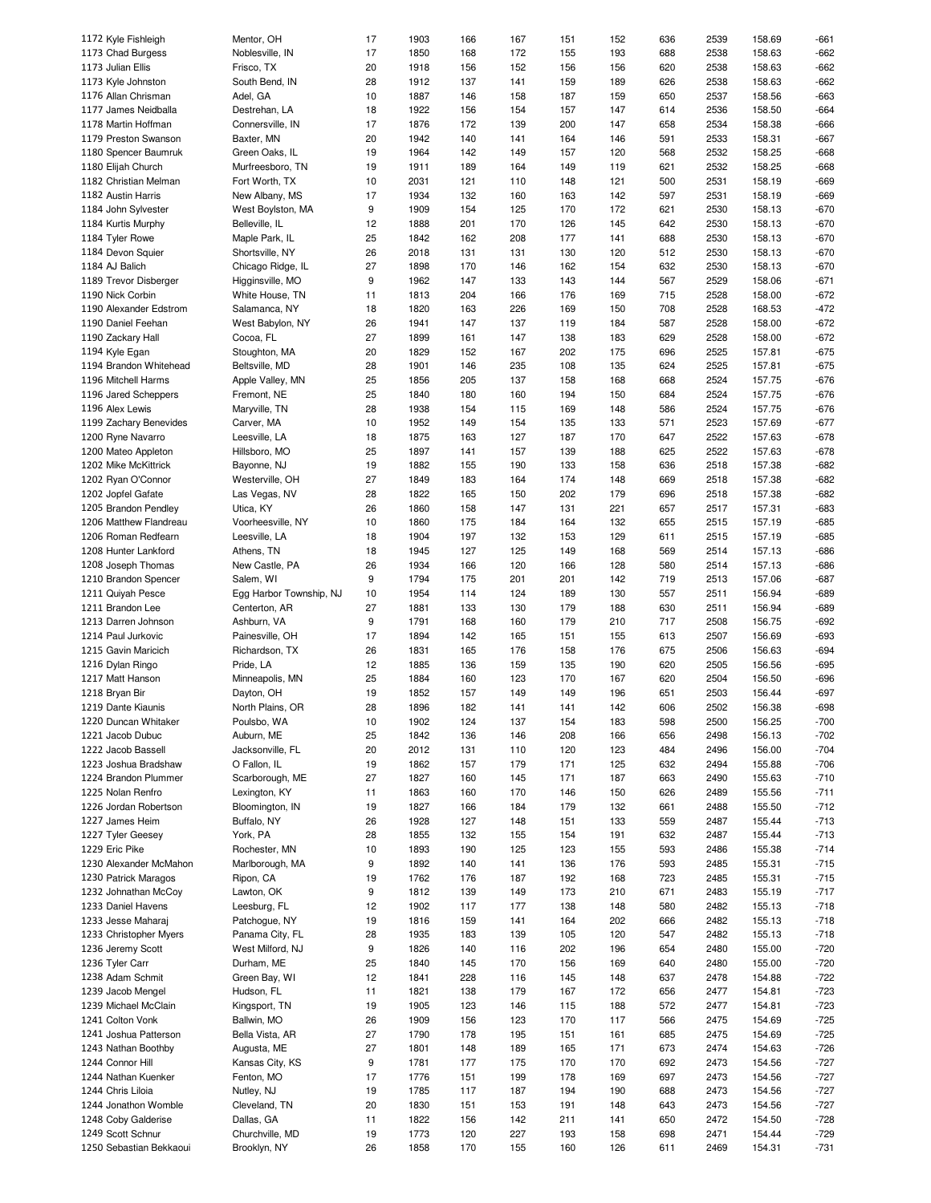| 1172 Kyle Fishleigh     | Mentor, OH              | 17 | 1903 | 166 | 167 | 151 | 152 | 636 | 2539 | 158.69 | -661   |
|-------------------------|-------------------------|----|------|-----|-----|-----|-----|-----|------|--------|--------|
| 1173 Chad Burgess       | Noblesville, IN         | 17 | 1850 | 168 | 172 | 155 | 193 | 688 | 2538 | 158.63 | $-662$ |
| 1173 Julian Ellis       | Frisco, TX              | 20 | 1918 | 156 | 152 | 156 | 156 | 620 | 2538 | 158.63 | $-662$ |
| 1173 Kyle Johnston      | South Bend, IN          | 28 | 1912 | 137 | 141 | 159 | 189 | 626 | 2538 | 158.63 | $-662$ |
|                         |                         |    |      |     |     |     |     |     |      |        |        |
| 1176 Allan Chrisman     | Adel, GA                | 10 | 1887 | 146 | 158 | 187 | 159 | 650 | 2537 | 158.56 | $-663$ |
| 1177 James Neidballa    | Destrehan, LA           | 18 | 1922 | 156 | 154 | 157 | 147 | 614 | 2536 | 158.50 | $-664$ |
| 1178 Martin Hoffman     | Connersville, IN        | 17 | 1876 | 172 | 139 | 200 | 147 | 658 | 2534 | 158.38 | $-666$ |
| 1179 Preston Swanson    | Baxter, MN              | 20 | 1942 | 140 | 141 | 164 | 146 | 591 | 2533 | 158.31 | $-667$ |
|                         |                         |    |      |     |     |     |     |     |      |        |        |
| 1180 Spencer Baumruk    | Green Oaks, IL          | 19 | 1964 | 142 | 149 | 157 | 120 | 568 | 2532 | 158.25 | $-668$ |
| 1180 Elijah Church      | Murfreesboro, TN        | 19 | 1911 | 189 | 164 | 149 | 119 | 621 | 2532 | 158.25 | $-668$ |
| 1182 Christian Melman   | Fort Worth, TX          | 10 | 2031 | 121 | 110 | 148 | 121 | 500 | 2531 | 158.19 | $-669$ |
| 1182 Austin Harris      | New Albany, MS          | 17 | 1934 | 132 | 160 | 163 | 142 | 597 | 2531 | 158.19 | $-669$ |
|                         |                         |    |      |     |     |     |     |     |      |        |        |
| 1184 John Sylvester     | West Boylston, MA       | 9  | 1909 | 154 | 125 | 170 | 172 | 621 | 2530 | 158.13 | $-670$ |
| 1184 Kurtis Murphy      | Belleville, IL          | 12 | 1888 | 201 | 170 | 126 | 145 | 642 | 2530 | 158.13 | $-670$ |
| 1184 Tyler Rowe         | Maple Park, IL          | 25 | 1842 | 162 | 208 | 177 | 141 | 688 | 2530 | 158.13 | $-670$ |
| 1184 Devon Squier       | Shortsville, NY         | 26 | 2018 | 131 | 131 | 130 | 120 | 512 | 2530 | 158.13 | $-670$ |
|                         |                         |    |      |     |     |     |     |     |      |        |        |
| 1184 AJ Balich          | Chicago Ridge, IL       | 27 | 1898 | 170 | 146 | 162 | 154 | 632 | 2530 | 158.13 | $-670$ |
| 1189 Trevor Disberger   | Higginsville, MO        | 9  | 1962 | 147 | 133 | 143 | 144 | 567 | 2529 | 158.06 | $-671$ |
| 1190 Nick Corbin        | White House, TN         | 11 | 1813 | 204 | 166 | 176 | 169 | 715 | 2528 | 158.00 | $-672$ |
| 1190 Alexander Edstrom  | Salamanca, NY           | 18 | 1820 | 163 | 226 | 169 | 150 | 708 | 2528 | 168.53 | $-472$ |
|                         |                         |    |      |     |     |     |     |     |      |        |        |
| 1190 Daniel Feehan      | West Babylon, NY        | 26 | 1941 | 147 | 137 | 119 | 184 | 587 | 2528 | 158.00 | $-672$ |
| 1190 Zackary Hall       | Cocoa, FL               | 27 | 1899 | 161 | 147 | 138 | 183 | 629 | 2528 | 158.00 | $-672$ |
| 1194 Kyle Egan          | Stoughton, MA           | 20 | 1829 | 152 | 167 | 202 | 175 | 696 | 2525 | 157.81 | $-675$ |
| 1194 Brandon Whitehead  | Beltsville, MD          | 28 | 1901 | 146 | 235 | 108 | 135 | 624 | 2525 | 157.81 | $-675$ |
|                         |                         |    |      |     |     |     |     |     |      | 157.75 |        |
| 1196 Mitchell Harms     | Apple Valley, MN        | 25 | 1856 | 205 | 137 | 158 | 168 | 668 | 2524 |        | $-676$ |
| 1196 Jared Scheppers    | Fremont, NE             | 25 | 1840 | 180 | 160 | 194 | 150 | 684 | 2524 | 157.75 | $-676$ |
| 1196 Alex Lewis         | Maryville, TN           | 28 | 1938 | 154 | 115 | 169 | 148 | 586 | 2524 | 157.75 | $-676$ |
| 1199 Zachary Benevides  | Carver, MA              | 10 | 1952 | 149 | 154 | 135 | 133 | 571 | 2523 | 157.69 | $-677$ |
|                         |                         |    |      |     |     |     |     |     |      | 157.63 |        |
| 1200 Ryne Navarro       | Leesville, LA           | 18 | 1875 | 163 | 127 | 187 | 170 | 647 | 2522 |        | $-678$ |
| 1200 Mateo Appleton     | Hillsboro, MO           | 25 | 1897 | 141 | 157 | 139 | 188 | 625 | 2522 | 157.63 | $-678$ |
| 1202 Mike McKittrick    | Bayonne, NJ             | 19 | 1882 | 155 | 190 | 133 | 158 | 636 | 2518 | 157.38 | $-682$ |
| 1202 Ryan O'Connor      | Westerville, OH         | 27 | 1849 | 183 | 164 | 174 | 148 | 669 | 2518 | 157.38 | $-682$ |
|                         |                         |    |      |     |     |     |     |     |      |        |        |
| 1202 Jopfel Gafate      | Las Vegas, NV           | 28 | 1822 | 165 | 150 | 202 | 179 | 696 | 2518 | 157.38 | $-682$ |
| 1205 Brandon Pendley    | Utica, KY               | 26 | 1860 | 158 | 147 | 131 | 221 | 657 | 2517 | 157.31 | $-683$ |
| 1206 Matthew Flandreau  | Voorheesville, NY       | 10 | 1860 | 175 | 184 | 164 | 132 | 655 | 2515 | 157.19 | $-685$ |
| 1206 Roman Redfearn     | Leesville, LA           | 18 | 1904 | 197 | 132 | 153 | 129 | 611 | 2515 | 157.19 | -685   |
| 1208 Hunter Lankford    | Athens, TN              | 18 | 1945 | 127 | 125 | 149 | 168 | 569 | 2514 | 157.13 | $-686$ |
|                         |                         |    |      |     |     |     |     |     |      |        |        |
| 1208 Joseph Thomas      | New Castle, PA          | 26 | 1934 | 166 | 120 | 166 | 128 | 580 | 2514 | 157.13 | $-686$ |
| 1210 Brandon Spencer    | Salem, WI               | 9  | 1794 | 175 | 201 | 201 | 142 | 719 | 2513 | 157.06 | $-687$ |
| 1211 Quiyah Pesce       | Egg Harbor Township, NJ | 10 | 1954 | 114 | 124 | 189 | 130 | 557 | 2511 | 156.94 | $-689$ |
| 1211 Brandon Lee        | Centerton, AR           | 27 | 1881 | 133 | 130 | 179 | 188 | 630 | 2511 | 156.94 | $-689$ |
|                         |                         |    |      |     |     |     |     |     |      |        |        |
| 1213 Darren Johnson     | Ashburn, VA             | 9  | 1791 | 168 | 160 | 179 | 210 | 717 | 2508 | 156.75 | $-692$ |
| 1214 Paul Jurkovic      | Painesville, OH         | 17 | 1894 | 142 | 165 | 151 | 155 | 613 | 2507 | 156.69 | -693   |
| 1215 Gavin Maricich     | Richardson, TX          | 26 | 1831 | 165 | 176 | 158 | 176 | 675 | 2506 | 156.63 | $-694$ |
| 1216 Dylan Ringo        | Pride, LA               | 12 | 1885 | 136 | 159 | 135 | 190 | 620 | 2505 | 156.56 | $-695$ |
|                         |                         |    |      |     |     |     |     |     |      |        |        |
| 1217 Matt Hanson        | Minneapolis, MN         | 25 | 1884 | 160 | 123 | 170 | 167 | 620 | 2504 | 156.50 | $-696$ |
| 1218 Bryan Bir          | Dayton, OH              | 19 | 1852 | 157 | 149 | 149 | 196 | 651 | 2503 | 156.44 | $-697$ |
| 1219 Dante Kiaunis      | North Plains, OR        | 28 | 1896 | 182 | 141 | 141 | 142 | 606 | 2502 | 156.38 | $-698$ |
| 1220 Duncan Whitaker    | Poulsbo, WA             | 10 | 1902 | 124 | 137 | 154 | 183 | 598 | 2500 | 156.25 | $-700$ |
| 1221 Jacob Dubuc        |                         |    |      |     |     |     |     |     |      |        |        |
|                         | Auburn, ME              | 25 | 1842 | 136 | 146 | 208 | 166 | 656 | 2498 | 156.13 | $-702$ |
| 1222 Jacob Bassell      | Jacksonville, FL        | 20 | 2012 | 131 | 110 | 120 | 123 | 484 | 2496 | 156.00 | $-704$ |
| 1223 Joshua Bradshaw    | O Fallon, IL            | 19 | 1862 | 157 | 179 | 171 | 125 | 632 | 2494 | 155.88 | $-706$ |
| 1224 Brandon Plummer    | Scarborough, ME         | 27 | 1827 | 160 | 145 | 171 | 187 | 663 | 2490 | 155.63 | $-710$ |
| 1225 Nolan Renfro       | Lexington, KY           | 11 | 1863 | 160 | 170 | 146 | 150 | 626 | 2489 | 155.56 | $-711$ |
|                         |                         |    |      |     |     |     |     |     |      |        |        |
| 1226 Jordan Robertson   | Bloomington, IN         | 19 | 1827 | 166 | 184 | 179 | 132 | 661 | 2488 | 155.50 | $-712$ |
| 1227 James Heim         | Buffalo, NY             | 26 | 1928 | 127 | 148 | 151 | 133 | 559 | 2487 | 155.44 | $-713$ |
| 1227 Tyler Geesey       | York, PA                | 28 | 1855 | 132 | 155 | 154 | 191 | 632 | 2487 | 155.44 | $-713$ |
| 1229 Eric Pike          | Rochester, MN           | 10 | 1893 | 190 | 125 | 123 | 155 | 593 | 2486 | 155.38 | $-714$ |
|                         |                         |    |      |     |     |     |     |     |      |        |        |
| 1230 Alexander McMahon  | Marlborough, MA         | 9  | 1892 | 140 | 141 | 136 | 176 | 593 | 2485 | 155.31 | $-715$ |
| 1230 Patrick Maragos    | Ripon, CA               | 19 | 1762 | 176 | 187 | 192 | 168 | 723 | 2485 | 155.31 | $-715$ |
| 1232 Johnathan McCoy    | Lawton, OK              | 9  | 1812 | 139 | 149 | 173 | 210 | 671 | 2483 | 155.19 | $-717$ |
| 1233 Daniel Havens      | Leesburg, FL            | 12 | 1902 | 117 | 177 | 138 | 148 | 580 | 2482 | 155.13 | $-718$ |
|                         |                         |    |      |     |     |     |     |     |      |        |        |
| 1233 Jesse Maharaj      | Patchogue, NY           | 19 | 1816 | 159 | 141 | 164 | 202 | 666 | 2482 | 155.13 | $-718$ |
| 1233 Christopher Myers  | Panama City, FL         | 28 | 1935 | 183 | 139 | 105 | 120 | 547 | 2482 | 155.13 | $-718$ |
| 1236 Jeremy Scott       | West Milford, NJ        | 9  | 1826 | 140 | 116 | 202 | 196 | 654 | 2480 | 155.00 | $-720$ |
| 1236 Tyler Carr         | Durham, ME              | 25 | 1840 | 145 | 170 | 156 | 169 | 640 | 2480 | 155.00 | $-720$ |
| 1238 Adam Schmit        | Green Bay, WI           | 12 | 1841 | 228 | 116 | 145 | 148 | 637 | 2478 | 154.88 | $-722$ |
|                         |                         |    |      |     |     |     |     |     |      |        |        |
| 1239 Jacob Mengel       | Hudson, FL              | 11 | 1821 | 138 | 179 | 167 | 172 | 656 | 2477 | 154.81 | $-723$ |
| 1239 Michael McClain    | Kingsport, TN           | 19 | 1905 | 123 | 146 | 115 | 188 | 572 | 2477 | 154.81 | $-723$ |
| 1241 Colton Vonk        | Ballwin, MO             | 26 | 1909 | 156 | 123 | 170 | 117 | 566 | 2475 | 154.69 | -725   |
| 1241 Joshua Patterson   | Bella Vista, AR         | 27 | 1790 | 178 | 195 | 151 | 161 | 685 | 2475 | 154.69 | $-725$ |
|                         |                         |    |      |     |     |     |     |     |      |        |        |
| 1243 Nathan Boothby     | Augusta, ME             | 27 | 1801 | 148 | 189 | 165 | 171 | 673 | 2474 | 154.63 | -726   |
| 1244 Connor Hill        | Kansas City, KS         | 9  | 1781 | 177 | 175 | 170 | 170 | 692 | 2473 | 154.56 | $-727$ |
| 1244 Nathan Kuenker     | Fenton, MO              | 17 | 1776 | 151 | 199 | 178 | 169 | 697 | 2473 | 154.56 | $-727$ |
| 1244 Chris Liloia       | Nutley, NJ              | 19 | 1785 | 117 | 187 | 194 | 190 | 688 | 2473 | 154.56 | $-727$ |
|                         |                         |    |      |     |     |     |     |     |      |        |        |
| 1244 Jonathon Womble    | Cleveland, TN           | 20 | 1830 | 151 | 153 | 191 | 148 | 643 | 2473 | 154.56 | $-727$ |
| 1248 Coby Galderise     | Dallas, GA              | 11 | 1822 | 156 | 142 | 211 | 141 | 650 | 2472 | 154.50 | $-728$ |
| 1249 Scott Schnur       | Churchville, MD         | 19 | 1773 | 120 | 227 | 193 | 158 | 698 | 2471 | 154.44 | $-729$ |
| 1250 Sebastian Bekkaoui | Brooklyn, NY            | 26 | 1858 | 170 | 155 | 160 | 126 | 611 | 2469 | 154.31 | -731   |
|                         |                         |    |      |     |     |     |     |     |      |        |        |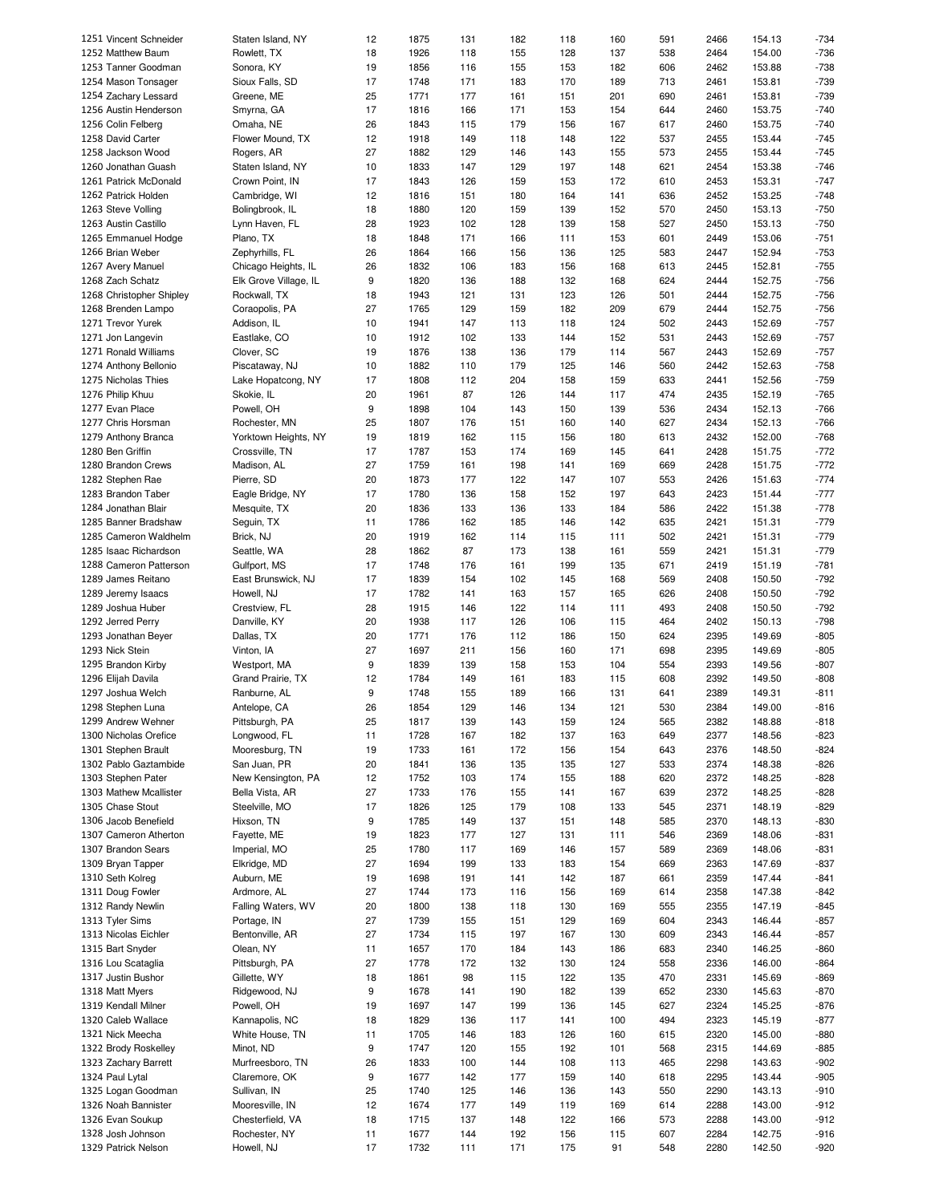| 1251 Vincent Schneider                   | Staten Island, NY           | 12       | 1875         | 131        | 182        | 118        | 160       | 591        | 2466         | 154.13           | $-734$           |
|------------------------------------------|-----------------------------|----------|--------------|------------|------------|------------|-----------|------------|--------------|------------------|------------------|
| 1252 Matthew Baum                        | Rowlett, TX                 | 18       | 1926         | 118        | 155        | 128        | 137       | 538        | 2464         | 154.00           | $-736$           |
| 1253 Tanner Goodman                      | Sonora, KY                  | 19       | 1856         | 116        | 155        | 153        | 182       | 606        | 2462         | 153.88           | $-738$           |
| 1254 Mason Tonsager                      | Sioux Falls, SD             | 17       | 1748         | 171        | 183        | 170        | 189       | 713        | 2461         | 153.81           | $-739$           |
|                                          |                             |          |              |            |            |            |           |            |              |                  |                  |
| 1254 Zachary Lessard                     | Greene, ME                  | 25       | 1771         | 177        | 161        | 151        | 201       | 690        | 2461         | 153.81           | $-739$           |
| 1256 Austin Henderson                    | Smyrna, GA                  | 17       | 1816         | 166        | 171        | 153        | 154       | 644        | 2460         | 153.75           | $-740$           |
| 1256 Colin Felberg                       | Omaha, NE                   | 26       | 1843         | 115        | 179        | 156        | 167       | 617        | 2460         | 153.75           | $-740$           |
| 1258 David Carter                        | Flower Mound, TX            | 12       | 1918         | 149        | 118        | 148        | 122       | 537        | 2455         | 153.44           | $-745$           |
|                                          |                             |          |              |            |            |            |           |            |              |                  |                  |
| 1258 Jackson Wood                        | Rogers, AR                  | 27       | 1882         | 129        | 146        | 143        | 155       | 573        | 2455         | 153.44           | $-745$           |
| 1260 Jonathan Guash                      | Staten Island, NY           | 10       | 1833         | 147        | 129        | 197        | 148       | 621        | 2454         | 153.38           | $-746$           |
| 1261 Patrick McDonald                    | Crown Point, IN             | 17       | 1843         | 126        | 159        | 153        | 172       | 610        | 2453         | 153.31           | $-747$           |
| 1262 Patrick Holden                      | Cambridge, WI               | 12       | 1816         | 151        | 180        | 164        | 141       | 636        | 2452         | 153.25           | $-748$           |
|                                          |                             |          |              |            |            |            |           |            |              |                  |                  |
| 1263 Steve Volling                       | Bolingbrook, IL             | 18       | 1880         | 120        | 159        | 139        | 152       | 570        | 2450         | 153.13           | $-750$           |
| 1263 Austin Castillo                     | Lynn Haven, FL              | 28       | 1923         | 102        | 128        | 139        | 158       | 527        | 2450         | 153.13           | $-750$           |
| 1265 Emmanuel Hodge                      | Plano, TX                   | 18       | 1848         | 171        | 166        | 111        | 153       | 601        | 2449         | 153.06           | $-751$           |
| 1266 Brian Weber                         | Zephyrhills, FL             | 26       | 1864         | 166        | 156        | 136        | 125       | 583        | 2447         | 152.94           | $-753$           |
|                                          |                             |          |              |            |            |            |           |            |              |                  |                  |
| 1267 Avery Manuel                        | Chicago Heights, IL         | 26       | 1832         | 106        | 183        | 156        | 168       | 613        | 2445         | 152.81           | $-755$           |
| 1268 Zach Schatz                         | Elk Grove Village, IL       | 9        | 1820         | 136        | 188        | 132        | 168       | 624        | 2444         | 152.75           | $-756$           |
| 1268 Christopher Shipley                 | Rockwall, TX                | 18       | 1943         | 121        | 131        | 123        | 126       | 501        | 2444         | 152.75           | $-756$           |
| 1268 Brenden Lampo                       | Coraopolis, PA              | 27       | 1765         | 129        | 159        | 182        | 209       | 679        | 2444         | 152.75           | $-756$           |
|                                          |                             |          |              |            |            |            |           |            |              |                  |                  |
| 1271 Trevor Yurek                        | Addison, IL                 | 10       | 1941         | 147        | 113        | 118        | 124       | 502        | 2443         | 152.69           | $-757$           |
| 1271 Jon Langevin                        | Eastlake, CO                | 10       | 1912         | 102        | 133        | 144        | 152       | 531        | 2443         | 152.69           | $-757$           |
| 1271 Ronald Williams                     | Clover, SC                  | 19       | 1876         | 138        | 136        | 179        | 114       | 567        | 2443         | 152.69           | $-757$           |
| 1274 Anthony Bellonio                    | Piscataway, NJ              | 10       | 1882         | 110        | 179        | 125        | 146       | 560        | 2442         | 152.63           | $-758$           |
|                                          |                             |          |              |            |            |            |           |            |              |                  |                  |
| 1275 Nicholas Thies                      | Lake Hopatcong, NY          | 17       | 1808         | 112        | 204        | 158        | 159       | 633        | 2441         | 152.56           | $-759$           |
| 1276 Philip Khuu                         | Skokie, IL                  | 20       | 1961         | 87         | 126        | 144        | 117       | 474        | 2435         | 152.19           | $-765$           |
| 1277 Evan Place                          | Powell, OH                  | 9        | 1898         | 104        | 143        | 150        | 139       | 536        | 2434         | 152.13           | $-766$           |
|                                          |                             |          |              |            |            |            |           |            |              |                  |                  |
| 1277 Chris Horsman                       | Rochester, MN               | 25       | 1807         | 176        | 151        | 160        | 140       | 627        | 2434         | 152.13           | $-766$           |
| 1279 Anthony Branca                      | Yorktown Heights, NY        | 19       | 1819         | 162        | 115        | 156        | 180       | 613        | 2432         | 152.00           | $-768$           |
| 1280 Ben Griffin                         | Crossville, TN              | 17       | 1787         | 153        | 174        | 169        | 145       | 641        | 2428         | 151.75           | $-772$           |
| 1280 Brandon Crews                       | Madison, AL                 | 27       | 1759         | 161        | 198        | 141        | 169       | 669        | 2428         | 151.75           | $-772$           |
|                                          |                             |          |              |            |            |            |           |            |              |                  |                  |
| 1282 Stephen Rae                         | Pierre, SD                  | 20       | 1873         | 177        | 122        | 147        | 107       | 553        | 2426         | 151.63           | $-774$           |
| 1283 Brandon Taber                       | Eagle Bridge, NY            | 17       | 1780         | 136        | 158        | 152        | 197       | 643        | 2423         | 151.44           | $-777$           |
| 1284 Jonathan Blair                      | Mesquite, TX                | 20       | 1836         | 133        | 136        | 133        | 184       | 586        | 2422         | 151.38           | $-778$           |
| 1285 Banner Bradshaw                     | Seguin, TX                  | 11       | 1786         | 162        | 185        | 146        | 142       | 635        | 2421         | 151.31           | $-779$           |
|                                          |                             |          |              |            |            |            |           |            |              |                  |                  |
| 1285 Cameron Waldhelm                    | Brick, NJ                   | 20       | 1919         | 162        | 114        | 115        | 111       | 502        | 2421         | 151.31           | $-779$           |
| 1285 Isaac Richardson                    | Seattle, WA                 | 28       | 1862         | 87         | 173        | 138        | 161       | 559        | 2421         | 151.31           | $-779$           |
| 1288 Cameron Patterson                   | Gulfport, MS                | 17       | 1748         | 176        | 161        | 199        | 135       | 671        | 2419         | 151.19           | $-781$           |
| 1289 James Reitano                       | East Brunswick, NJ          | 17       | 1839         | 154        | 102        | 145        | 168       | 569        | 2408         | 150.50           | $-792$           |
|                                          |                             |          |              |            |            |            |           |            |              |                  |                  |
| 1289 Jeremy Isaacs                       | Howell, NJ                  | 17       | 1782         | 141        | 163        | 157        | 165       | 626        | 2408         | 150.50           | $-792$           |
| 1289 Joshua Huber                        | Crestview, FL               | 28       | 1915         | 146        | 122        | 114        | 111       | 493        | 2408         | 150.50           | $-792$           |
| 1292 Jerred Perry                        | Danville, KY                | 20       | 1938         | 117        | 126        | 106        | 115       | 464        | 2402         | 150.13           | $-798$           |
| 1293 Jonathan Beyer                      | Dallas, TX                  | 20       | 1771         | 176        | 112        | 186        | 150       | 624        | 2395         | 149.69           | $-805$           |
|                                          |                             |          |              |            |            |            |           |            |              |                  |                  |
| 1293 Nick Stein                          | Vinton, IA                  | 27       | 1697         | 211        | 156        | 160        | 171       | 698        | 2395         | 149.69           | $-805$           |
| 1295 Brandon Kirby                       | Westport, MA                | 9        | 1839         | 139        | 158        | 153        | 104       | 554        | 2393         | 149.56           | $-807$           |
| 1296 Elijah Davila                       | Grand Prairie, TX           | 12       | 1784         | 149        | 161        | 183        | 115       | 608        | 2392         | 149.50           | $-808$           |
|                                          |                             | 9        | 1748         | 155        |            |            |           | 641        |              |                  | $-811$           |
| 1297 Joshua Welch                        | Ranburne, AL                |          |              |            | 189        | 166        | 131       |            | 2389         | 149.31           |                  |
| 1298 Stephen Luna                        | Antelope, CA                | 26       | 1854         | 129        | 146        | 134        | 121       | 530        | 2384         | 149.00           | $-816$           |
| 1299 Andrew Wehner                       | Pittsburgh, PA              | 25       | 1817         | 139        | 143        | 159        | 124       | 565        | 2382         | 148.88           | $-818$           |
| 1300 Nicholas Orefice                    | Longwood, FL                | 11       | 1728         | 167        | 182        | 137        | 163       | 649        | 2377         | 148.56           | $-823$           |
|                                          |                             |          |              |            |            |            |           |            |              |                  |                  |
| 1301 Stephen Brault                      | Mooresburg, TN              | 19       | 1733         | 161        | 172        | 156        | 154       | 643        | 2376         | 148.50           | $-824$           |
| 1302 Pablo Gaztambide                    | San Juan, PR                | 20       | 1841         | 136        | 135        | 135        | 127       | 533        | 2374         | 148.38           | $-826$           |
| 1303 Stephen Pater                       | New Kensington, PA          | 12       | 1752         | 103        | 174        | 155        | 188       | 620        | 2372         | 148.25           | $-828$           |
| 1303 Mathew Mcallister                   | Bella Vista, AR             | 27       | 1733         | 176        | 155        | 141        | 167       | 639        | 2372         | 148.25           | $-828$           |
|                                          |                             |          |              |            |            |            |           |            |              |                  |                  |
| 1305 Chase Stout                         | Steelville, MO              | 17       | 1826         | 125        | 179        | 108        | 133       | 545        | 2371         | 148.19           | $-829$           |
| 1306 Jacob Benefield                     | Hixson, TN                  | 9        | 1785         | 149        | 137        | 151        | 148       | 585        | 2370         | 148.13           | -830             |
| 1307 Cameron Atherton                    | Fayette, ME                 | 19       | 1823         | 177        | 127        | 131        | 111       | 546        | 2369         | 148.06           | $-831$           |
| 1307 Brandon Sears                       | Imperial, MO                | 25       | 1780         | 117        | 169        | 146        | 157       | 589        | 2369         | 148.06           | $-831$           |
|                                          |                             |          |              |            |            |            |           |            |              |                  |                  |
| 1309 Bryan Tapper                        | Elkridge, MD                | 27       | 1694         | 199        | 133        | 183        | 154       | 669        | 2363         | 147.69           | $-837$           |
| 1310 Seth Kolreg                         | Auburn, ME                  | 19       | 1698         | 191        | 141        | 142        | 187       | 661        | 2359         | 147.44           | $-841$           |
| 1311 Doug Fowler                         | Ardmore, AL                 | 27       | 1744         | 173        | 116        | 156        | 169       | 614        | 2358         | 147.38           | $-842$           |
| 1312 Randy Newlin                        | Falling Waters, WV          | 20       | 1800         | 138        | 118        | 130        | 169       | 555        | 2355         | 147.19           | -845             |
|                                          |                             | 27       |              |            |            |            |           |            |              |                  |                  |
| 1313 Tyler Sims                          | Portage, IN                 |          | 1739         | 155        | 151        | 129        | 169       | 604        | 2343         | 146.44           | -857             |
| 1313 Nicolas Eichler                     | Bentonville, AR             | 27       | 1734         | 115        | 197        | 167        | 130       | 609        | 2343         | 146.44           | $-857$           |
| 1315 Bart Snyder                         | Olean, NY                   | 11       | 1657         | 170        | 184        | 143        | 186       | 683        | 2340         | 146.25           | -860             |
| 1316 Lou Scataglia                       | Pittsburgh, PA              | 27       | 1778         | 172        | 132        | 130        | 124       | 558        | 2336         | 146.00           | $-864$           |
|                                          |                             |          |              |            |            |            |           |            |              |                  |                  |
| 1317 Justin Bushor                       | Gillette, WY                | 18       | 1861         | 98         | 115        | 122        | 135       | 470        | 2331         | 145.69           | -869             |
| 1318 Matt Myers                          | Ridgewood, NJ               | 9        | 1678         | 141        | 190        | 182        | 139       | 652        | 2330         | 145.63           | $-870$           |
| 1319 Kendall Milner                      | Powell, OH                  | 19       | 1697         | 147        | 199        | 136        | 145       | 627        | 2324         | 145.25           | $-876$           |
| 1320 Caleb Wallace                       | Kannapolis, NC              | 18       | 1829         | 136        | 117        | 141        | 100       | 494        | 2323         | 145.19           | $-877$           |
|                                          |                             |          |              |            |            |            |           |            |              |                  |                  |
| 1321 Nick Meecha                         | White House, TN             | 11       | 1705         | 146        | 183        | 126        | 160       | 615        | 2320         | 145.00           | -880             |
| 1322 Brody Roskelley                     |                             | 9        | 1747         | 120        | 155        | 192        | 101       | 568        | 2315         | 144.69           | -885             |
| 1323 Zachary Barrett                     | Minot, ND                   |          |              | 100        | 144        | 108        | 113       | 465        | 2298         | 143.63           | $-902$           |
|                                          | Murfreesboro, TN            | 26       | 1833         |            |            |            |           |            |              |                  |                  |
|                                          |                             |          |              |            |            |            |           |            |              |                  |                  |
| 1324 Paul Lytal                          | Claremore, OK               | 9        | 1677         | 142        | 177        | 159        | 140       | 618        | 2295         | 143.44           | $-905$           |
| 1325 Logan Goodman                       | Sullivan, IN                | 25       | 1740         | 125        | 146        | 136        | 143       | 550        | 2290         | 143.13           | $-910$           |
| 1326 Noah Bannister                      | Mooresville, IN             | 12       | 1674         | 177        | 149        | 119        | 169       | 614        | 2288         | 143.00           | $-912$           |
| 1326 Evan Soukup                         | Chesterfield, VA            | 18       | 1715         | 137        | 148        | 122        | 166       | 573        | 2288         | 143.00           | $-912$           |
|                                          |                             |          |              |            |            |            |           |            |              |                  |                  |
| 1328 Josh Johnson<br>1329 Patrick Nelson | Rochester, NY<br>Howell, NJ | 11<br>17 | 1677<br>1732 | 144<br>111 | 192<br>171 | 156<br>175 | 115<br>91 | 607<br>548 | 2284<br>2280 | 142.75<br>142.50 | $-916$<br>$-920$ |